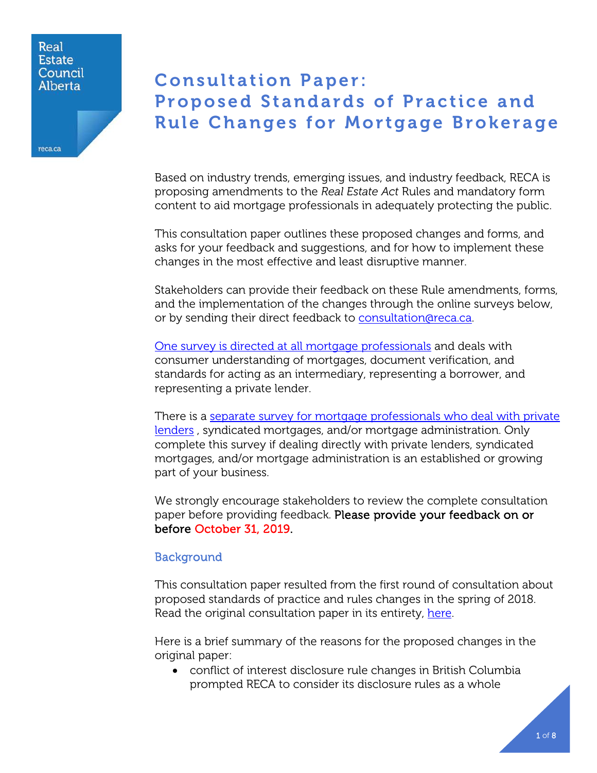### Real **Estate** Council Alberta

reca.ca

# Consultation Paper: Proposed Standards of Practice and Rule Changes for Mortgage Brokerage

Based on industry trends, emerging issues, and industry feedback, RECA is proposing amendments to the *Real Estate Act* Rules and mandatory form content to aid mortgage professionals in adequately protecting the public.

This consultation paper outlines these proposed changes and forms, and asks for your feedback and suggestions, and for how to implement these changes in the most effective and least disruptive manner.

Stakeholders can provide their feedback on these Rule amendments, forms, and the implementation of the changes through the online surveys below, or by sending their direct feedback to [consultation@reca.ca.](mailto:consultation@reca.ca)

[One survey is directed at all mortgage professionals](https://www.surveymonkey.com/r/Mortgage-Rules-Consultation-Disclosures-Verification-Relationships) and deals with consumer understanding of mortgages, document verification, and standards for acting as an intermediary, representing a borrower, and representing a private lender.

There is a [separate survey for mortgage professionals who deal with private](https://www.surveymonkey.com/r/Mortgage-Rules-Consultation-Private-Lending)  [lenders](https://www.surveymonkey.com/r/Mortgage-Rules-Consultation-Private-Lending) , syndicated mortgages, and/or mortgage administration. Only complete this survey if dealing directly with private lenders, syndicated mortgages, and/or mortgage administration is an established or growing part of your business.

We strongly encourage stakeholders to review the complete consultation paper before providing feedback. Please provide your feedback on or before October 31, 2019.

# Background

This consultation paper resulted from the first round of consultation about proposed standards of practice and rules changes in the spring of 2018. Read the original consultation paper in its entirety, here.

Here is a brief summary of the reasons for the proposed changes in the original paper:

• conflict of interest disclosure rule changes in British Columbia prompted RECA to consider its disclosure rules as a whole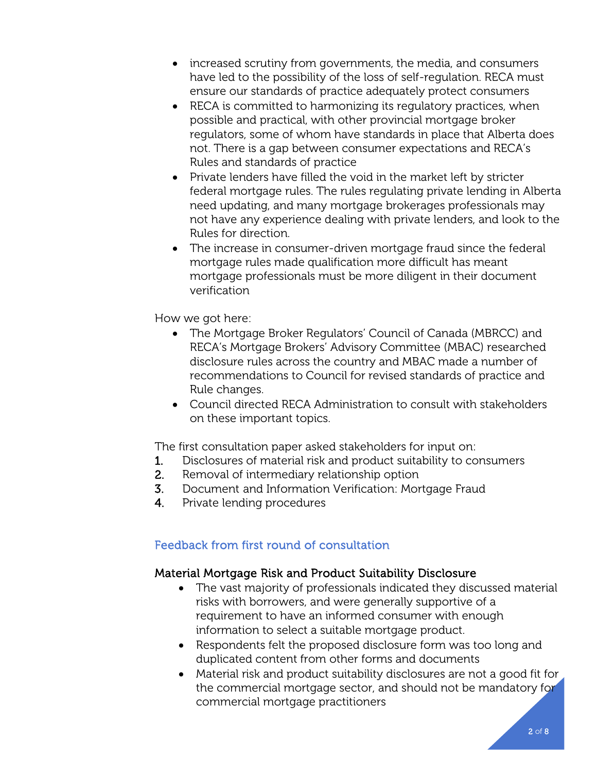- increased scrutiny from governments, the media, and consumers have led to the possibility of the loss of self-regulation. RECA must ensure our standards of practice adequately protect consumers
- RECA is committed to harmonizing its regulatory practices, when possible and practical, with other provincial mortgage broker regulators, some of whom have standards in place that Alberta does not. There is a gap between consumer expectations and RECA's Rules and standards of practice
- Private lenders have filled the void in the market left by stricter federal mortgage rules. The rules regulating private lending in Alberta need updating, and many mortgage brokerages professionals may not have any experience dealing with private lenders, and look to the Rules for direction.
- The increase in consumer-driven mortgage fraud since the federal mortgage rules made qualification more difficult has meant mortgage professionals must be more diligent in their document verification

How we got here:

- The Mortgage Broker Regulators' Council of Canada (MBRCC) and RECA's Mortgage Brokers' Advisory Committee (MBAC) researched disclosure rules across the country and MBAC made a number of recommendations to Council for revised standards of practice and Rule changes.
- Council directed RECA Administration to consult with stakeholders on these important topics.

The first consultation paper asked stakeholders for input on:

- 1. Disclosures of material risk and product suitability to consumers
- 2. Removal of intermediary relationship option
- 3. Document and Information Verification: Mortgage Fraud
- 4. Private lending procedures

# Feedback from first round of consultation

# Material Mortgage Risk and Product Suitability Disclosure

- The vast majority of professionals indicated they discussed material risks with borrowers, and were generally supportive of a requirement to have an informed consumer with enough information to select a suitable mortgage product.
- Respondents felt the proposed disclosure form was too long and duplicated content from other forms and documents
- Material risk and product suitability disclosures are not a good fit for the commercial mortgage sector, and should not be mandatory for commercial mortgage practitioners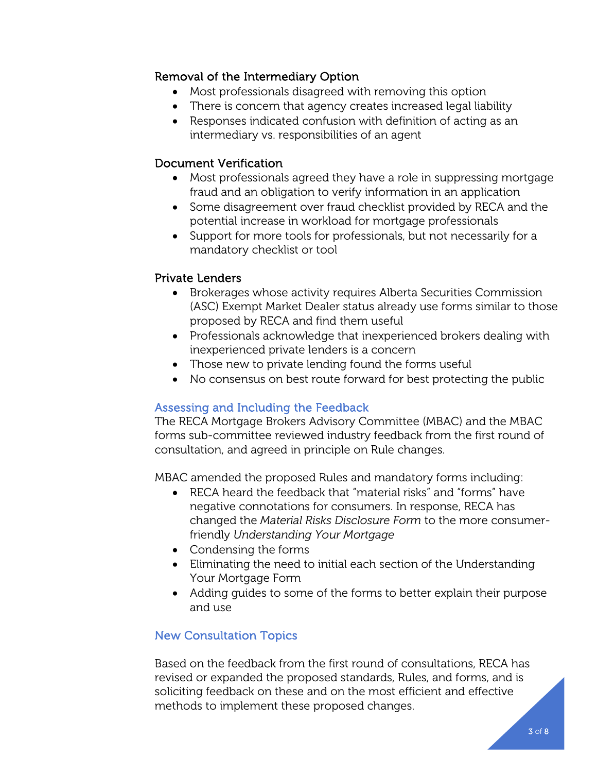# Removal of the Intermediary Option

- Most professionals disagreed with removing this option
- There is concern that agency creates increased legal liability
- Responses indicated confusion with definition of acting as an intermediary vs. responsibilities of an agent

# Document Verification

- Most professionals agreed they have a role in suppressing mortgage fraud and an obligation to verify information in an application
- Some disagreement over fraud checklist provided by RECA and the potential increase in workload for mortgage professionals
- Support for more tools for professionals, but not necessarily for a mandatory checklist or tool

# Private Lenders

- Brokerages whose activity requires Alberta Securities Commission (ASC) Exempt Market Dealer status already use forms similar to those proposed by RECA and find them useful
- Professionals acknowledge that inexperienced brokers dealing with inexperienced private lenders is a concern
- Those new to private lending found the forms useful
- No consensus on best route forward for best protecting the public

# Assessing and Including the Feedback

The RECA Mortgage Brokers Advisory Committee (MBAC) and the MBAC forms sub-committee reviewed industry feedback from the first round of consultation, and agreed in principle on Rule changes.

MBAC amended the proposed Rules and mandatory forms including:

- RECA heard the feedback that "material risks" and "forms" have negative connotations for consumers. In response, RECA has changed the *Material Risks Disclosure Form* to the more consumerfriendly *Understanding Your Mortgage*
- Condensing the forms
- Eliminating the need to initial each section of the Understanding Your Mortgage Form
- Adding guides to some of the forms to better explain their purpose and use

# New Consultation Topics

Based on the feedback from the first round of consultations, RECA has revised or expanded the proposed standards, Rules, and forms, and is soliciting feedback on these and on the most efficient and effective methods to implement these proposed changes.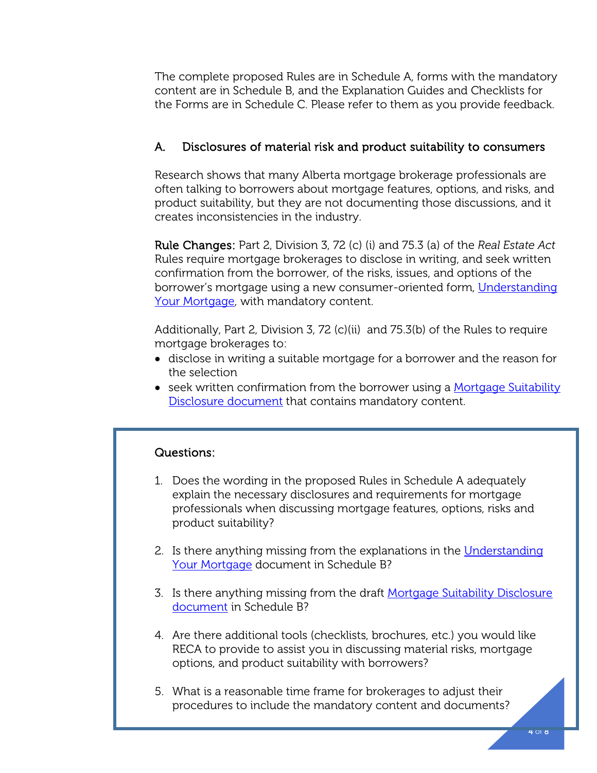The complete proposed Rules are in Schedule A, forms with the mandatory content are in Schedule B, and the Explanation Guides and Checklists for the Forms are in Schedule C. Please refer to them as you provide feedback.

# A. Disclosures of material risk and product suitability to consumers

Research shows that many Alberta mortgage brokerage professionals are often talking to borrowers about mortgage features, options, and risks, and product suitability, but they are not documenting those discussions, and it creates inconsistencies in the industry.

Rule Changes: Part 2, Division 3, 72 (c) (i) and 75.3 (a) of the *Real Estate Act* Rules require mortgage brokerages to disclose in writing, and seek written confirmation from the borrower, of the risks, issues, and options of the borrower's mortgage using a new consumer-oriented form, [Understanding](http://www.reca.ca/industry/legislation/PDF/Draft-Understanding-Your-Mortgage-Material-Risks.pdf)  [Your Mortgage,](http://www.reca.ca/industry/legislation/PDF/Draft-Understanding-Your-Mortgage-Material-Risks.pdf) with mandatory content.

Additionally, Part 2, Division 3, 72 (c)(ii) and 75.3(b) of the Rules to require mortgage brokerages to:

- disclose in writing a suitable mortgage for a borrower and the reason for the selection
- seek written confirmation from the borrower using a [Mortgage Suitability](http://www.reca.ca/industry/legislation/PDF/Draft-Mortgage-Product-Suitability-Disclosure.pdf)  [Disclosure document](http://www.reca.ca/industry/legislation/PDF/Draft-Mortgage-Product-Suitability-Disclosure.pdf) that contains mandatory content.

# Questions:

- 1. Does the wording in the proposed Rules in Schedule A adequately explain the necessary disclosures and requirements for mortgage professionals when discussing mortgage features, options, risks and product suitability?
- 2. Is there anything missing from the explanations in the Understanding [Your Mortgage](file://fileserver02/common/Communications/Consultations/Mortgage%20Rule%20Changes/sdf) document in Schedule B?
- 3. Is there anything missing from the draft Mortgage Suitability Disclosure [document](http://www.reca.ca/industry/legislation/PDF/Draft-Mortgage-Product-Suitability-Disclosure.pdf) in Schedule B?
- 4. Are there additional tools (checklists, brochures, etc.) you would like RECA to provide to assist you in discussing material risks, mortgage options, and product suitability with borrowers?
- 5. What is a reasonable time frame for brokerages to adjust their procedures to include the mandatory content and documents?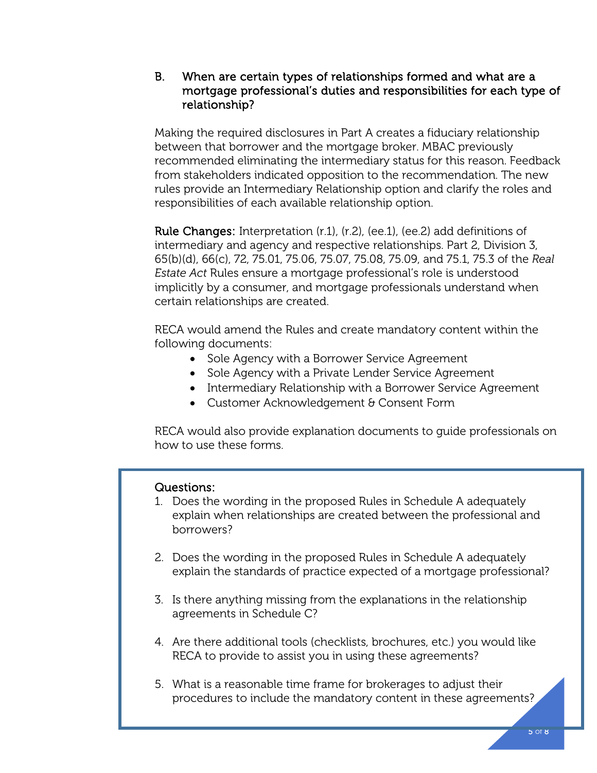# B. When are certain types of relationships formed and what are a mortgage professional's duties and responsibilities for each type of relationship?

Making the required disclosures in Part A creates a fiduciary relationship between that borrower and the mortgage broker. MBAC previously recommended eliminating the intermediary status for this reason. Feedback from stakeholders indicated opposition to the recommendation. The new rules provide an Intermediary Relationship option and clarify the roles and responsibilities of each available relationship option.

Rule Changes: Interpretation (r.1), (r.2), (ee.1), (ee.2) add definitions of intermediary and agency and respective relationships. Part 2, Division 3, 65(b)(d), 66(c), 72, 75.01, 75.06, 75.07, 75.08, 75.09, and 75.1, 75.3 of the *Real Estate Act* Rules ensure a mortgage professional's role is understood implicitly by a consumer, and mortgage professionals understand when certain relationships are created.

RECA would amend the Rules and create mandatory content within the following documents:

- Sole Agency with a Borrower Service Agreement
- Sole Agency with a Private Lender Service Agreement
- Intermediary Relationship with a Borrower Service Agreement
- Customer Acknowledgement & Consent Form

RECA would also provide explanation documents to guide professionals on how to use these forms.

## Questions:

- 1. Does the wording in the proposed Rules in Schedule A adequately explain when relationships are created between the professional and borrowers?
- 2. Does the wording in the proposed Rules in Schedule A adequately explain the standards of practice expected of a mortgage professional?
- 3. Is there anything missing from the explanations in the relationship agreements in Schedule C?
- 4. Are there additional tools (checklists, brochures, etc.) you would like RECA to provide to assist you in using these agreements?
- 5. What is a reasonable time frame for brokerages to adjust their procedures to include the mandatory content in these agreements?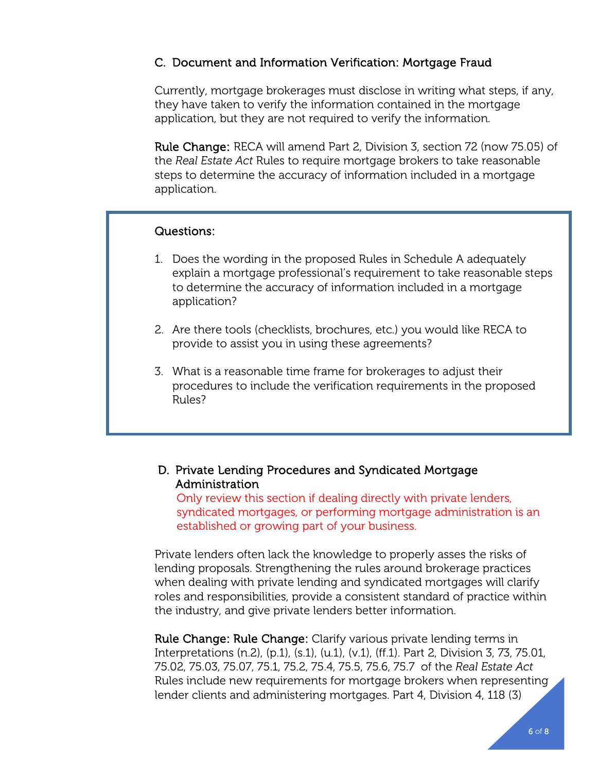# C. Document and Information Verification: Mortgage Fraud

Currently, mortgage brokerages must disclose in writing what steps, if any, they have taken to verify the information contained in the mortgage application, but they are not required to verify the information.

Rule Change: RECA will amend Part 2, Division 3, section 72 (now 75.05) of the *Real Estate Act* Rules to require mortgage brokers to take reasonable steps to determine the accuracy of information included in a mortgage application.

# Questions:

L

- 1. Does the wording in the proposed Rules in Schedule A adequately explain a mortgage professional's requirement to take reasonable steps to determine the accuracy of information included in a mortgage application?
- 2. Are there tools (checklists, brochures, etc.) you would like RECA to provide to assist you in using these agreements?
- 3. What is a reasonable time frame for brokerages to adjust their procedures to include the verification requirements in the proposed Rules?

# D. Private Lending Procedures and Syndicated Mortgage Administration

Only review this section if dealing directly with private lenders, syndicated mortgages, or performing mortgage administration is an established or growing part of your business.

Private lenders often lack the knowledge to properly asses the risks of lending proposals. Strengthening the rules around brokerage practices when dealing with private lending and syndicated mortgages will clarify roles and responsibilities, provide a consistent standard of practice within the industry, and give private lenders better information.

Rule Change: Rule Change: Clarify various private lending terms in Interpretations (n.2), (p.1), (s.1), (u.1), (v.1), (ff.1). Part 2, Division 3, 73, 75.01, 75.02, 75.03, 75.07, 75.1, 75.2, 75.4, 75.5, 75.6, 75.7 of the *Real Estate Act* Rules include new requirements for mortgage brokers when representing lender clients and administering mortgages. Part 4, Division 4, 118 (3)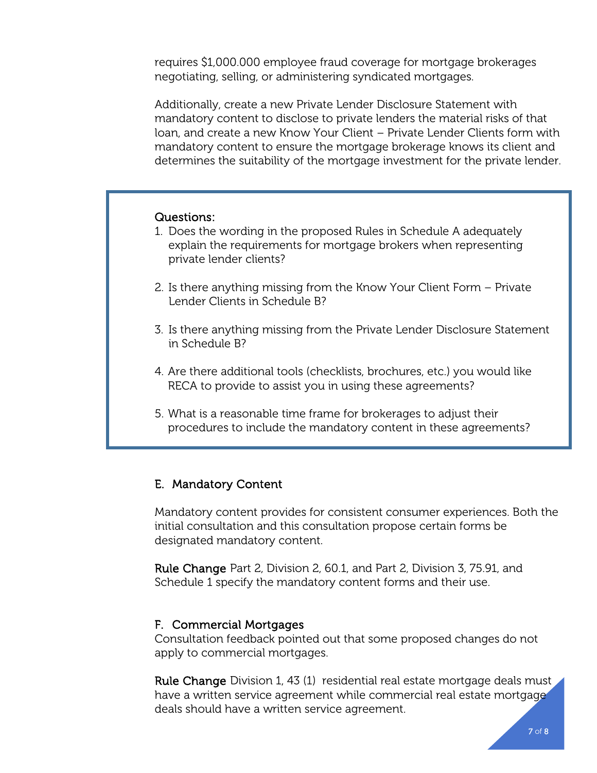requires \$1,000.000 employee fraud coverage for mortgage brokerages negotiating, selling, or administering syndicated mortgages.

Additionally, create a new Private Lender Disclosure Statement with mandatory content to disclose to private lenders the material risks of that loan, and create a new Know Your Client – Private Lender Clients form with mandatory content to ensure the mortgage brokerage knows its client and determines the suitability of the mortgage investment for the private lender.

## Questions:

- 1. Does the wording in the proposed Rules in Schedule A adequately explain the requirements for mortgage brokers when representing private lender clients?
- 2. Is there anything missing from the Know Your Client Form Private Lender Clients in Schedule B?
- 3. Is there anything missing from the Private Lender Disclosure Statement in Schedule B?
- 4. Are there additional tools (checklists, brochures, etc.) you would like RECA to provide to assist you in using these agreements?
- 5. What is a reasonable time frame for brokerages to adjust their procedures to include the mandatory content in these agreements?

## E. Mandatory Content

Mandatory content provides for consistent consumer experiences. Both the initial consultation and this consultation propose certain forms be designated mandatory content.

Rule Change Part 2, Division 2, 60.1, and Part 2, Division 3, 75.91, and Schedule 1 specify the mandatory content forms and their use.

### F. Commercial Mortgages

Consultation feedback pointed out that some proposed changes do not apply to commercial mortgages.

Rule Change Division 1, 43 (1) residential real estate mortgage deals must have a written service agreement while commercial real estate mortgage deals should have a written service agreement.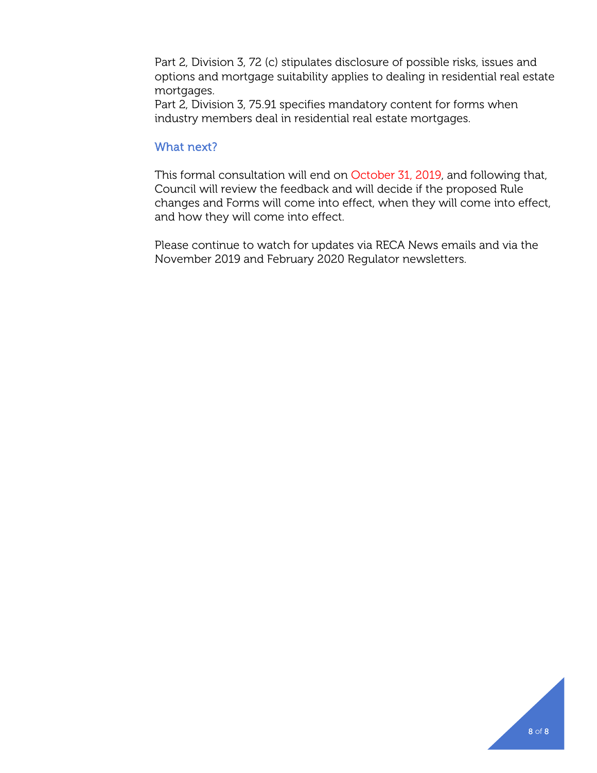Part 2, Division 3, 72 (c) stipulates disclosure of possible risks, issues and options and mortgage suitability applies to dealing in residential real estate mortgages.

Part 2, Division 3, 75.91 specifies mandatory content for forms when industry members deal in residential real estate mortgages.

### What next?

This formal consultation will end on October 31, 2019, and following that, Council will review the feedback and will decide if the proposed Rule changes and Forms will come into effect, when they will come into effect, and how they will come into effect.

Please continue to watch for updates via RECA News emails and via the November 2019 and February 2020 Regulator newsletters.

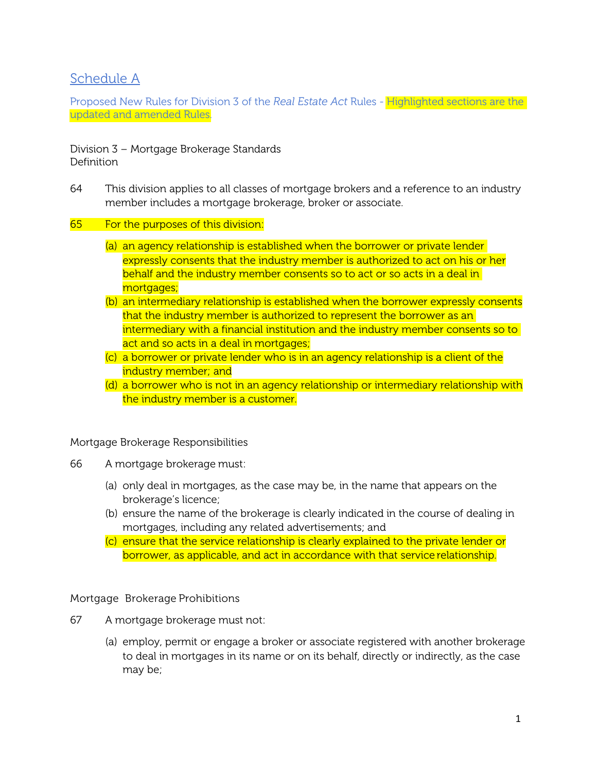# Schedule A

Proposed New Rules for Division 3 of the *Real Estate Act* Rules - Highlighted sections are the updated and amended Rules.

Division 3 – Mortgage Brokerage Standards **Definition** 

- 64 This division applies to all classes of mortgage brokers and a reference to an industry member includes a mortgage brokerage, broker or associate.
- 65 For the purposes of this division:
	- (a) an agency relationship is established when the borrower or private lender expressly consents that the industry member is authorized to act on his or her behalf and the industry member consents so to act or so acts in a deal in mortgages;
	- (b) an intermediary relationship is established when the borrower expressly consents that the industry member is authorized to represent the borrower as an intermediary with a financial institution and the industry member consents so to act and so acts in a deal in mortgages;
	- (c) a borrower or private lender who is in an agency relationship is a client of the industry member; and
	- (d) a borrower who is not in an agency relationship or intermediary relationship with the industry member is a customer.

Mortgage Brokerage Responsibilities

- 66 A mortgage brokerage must:
	- (a) only deal in mortgages, as the case may be, in the name that appears on the brokerage's licence;
	- (b) ensure the name of the brokerage is clearly indicated in the course of dealing in mortgages, including any related advertisements; and
	- (c) ensure that the service relationship is clearly explained to the private lender or borrower, as applicable, and act in accordance with that service relationship.

Mortgage Brokerage Prohibitions

- 67 A mortgage brokerage must not:
	- (a) employ, permit or engage a broker or associate registered with another brokerage to deal in mortgages in its name or on its behalf, directly or indirectly, as the case may be;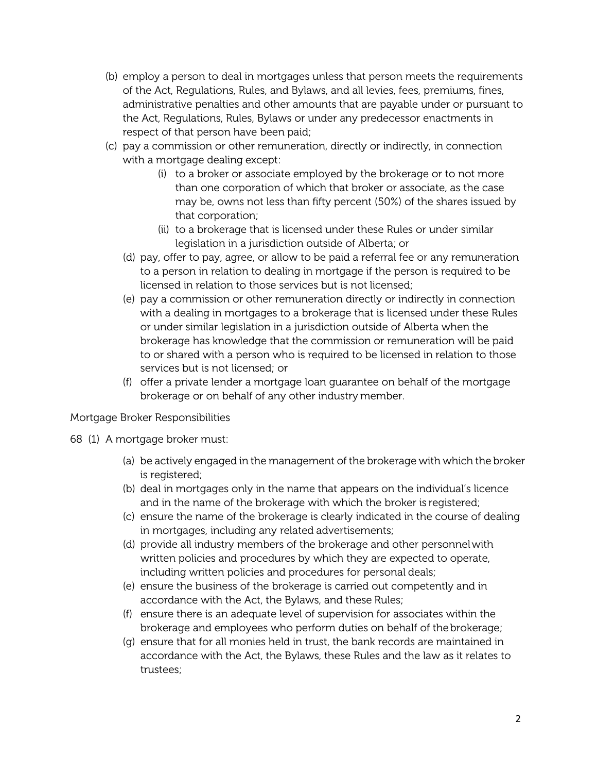- (b) employ a person to deal in mortgages unless that person meets the requirements of the Act, Regulations, Rules, and Bylaws, and all levies, fees, premiums, fines, administrative penalties and other amounts that are payable under or pursuant to the Act, Regulations, Rules, Bylaws or under any predecessor enactments in respect of that person have been paid;
- (c) pay a commission or other remuneration, directly or indirectly, in connection with a mortgage dealing except:
	- (i) to a broker or associate employed by the brokerage or to not more than one corporation of which that broker or associate, as the case may be, owns not less than fifty percent (50%) of the shares issued by that corporation;
	- (ii) to a brokerage that is licensed under these Rules or under similar legislation in a jurisdiction outside of Alberta; or
	- (d) pay, offer to pay, agree, or allow to be paid a referral fee or any remuneration to a person in relation to dealing in mortgage if the person is required to be licensed in relation to those services but is not licensed;
	- (e) pay a commission or other remuneration directly or indirectly in connection with a dealing in mortgages to a brokerage that is licensed under these Rules or under similar legislation in a jurisdiction outside of Alberta when the brokerage has knowledge that the commission or remuneration will be paid to or shared with a person who is required to be licensed in relation to those services but is not licensed; or
	- (f) offer a private lender a mortgage loan guarantee on behalf of the mortgage brokerage or on behalf of any other industry member.

## Mortgage Broker Responsibilities

- 68 (1) A mortgage broker must:
	- (a) be actively engaged in the management of the brokerage with which the broker is registered;
	- (b) deal in mortgages only in the name that appears on the individual's licence and in the name of the brokerage with which the broker is registered;
	- (c) ensure the name of the brokerage is clearly indicated in the course of dealing in mortgages, including any related advertisements;
	- (d) provide all industry members of the brokerage and other personnelwith written policies and procedures by which they are expected to operate, including written policies and procedures for personal deals;
	- (e) ensure the business of the brokerage is carried out competently and in accordance with the Act, the Bylaws, and these Rules;
	- (f) ensure there is an adequate level of supervision for associates within the brokerage and employees who perform duties on behalf of thebrokerage;
	- (g) ensure that for all monies held in trust, the bank records are maintained in accordance with the Act, the Bylaws, these Rules and the law as it relates to trustees;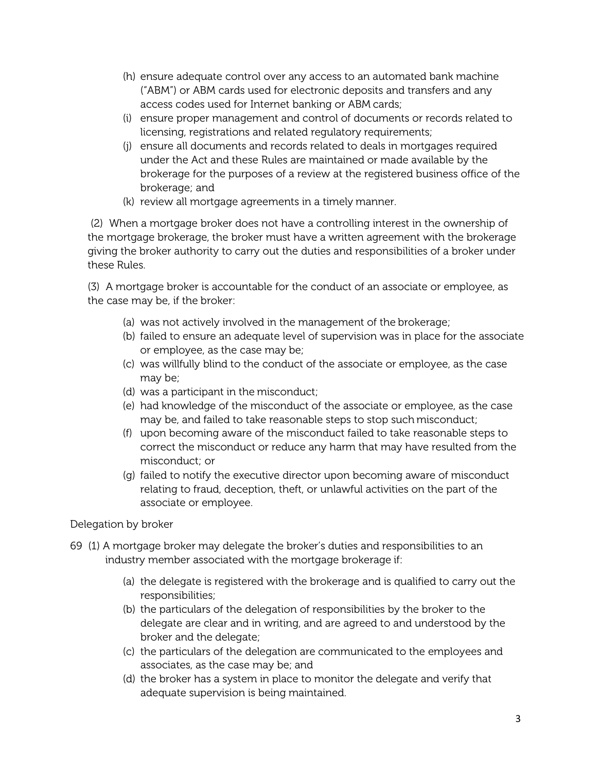- (h) ensure adequate control over any access to an automated bank machine ("ABM") or ABM cards used for electronic deposits and transfers and any access codes used for Internet banking or ABM cards;
- (i) ensure proper management and control of documents or records related to licensing, registrations and related regulatory requirements;
- (j) ensure all documents and records related to deals in mortgages required under the Act and these Rules are maintained or made available by the brokerage for the purposes of a review at the registered business office of the brokerage; and
- (k) review all mortgage agreements in a timely manner.

(2) When a mortgage broker does not have a controlling interest in the ownership of the mortgage brokerage, the broker must have a written agreement with the brokerage giving the broker authority to carry out the duties and responsibilities of a broker under these Rules.

(3) A mortgage broker is accountable for the conduct of an associate or employee, as the case may be, if the broker:

- (a) was not actively involved in the management of the brokerage;
- (b) failed to ensure an adequate level of supervision was in place for the associate or employee, as the case may be;
- (c) was willfully blind to the conduct of the associate or employee, as the case may be;
- (d) was a participant in the misconduct;
- (e) had knowledge of the misconduct of the associate or employee, as the case may be, and failed to take reasonable steps to stop such misconduct;
- (f) upon becoming aware of the misconduct failed to take reasonable steps to correct the misconduct or reduce any harm that may have resulted from the misconduct; or
- (g) failed to notify the executive director upon becoming aware of misconduct relating to fraud, deception, theft, or unlawful activities on the part of the associate or employee.

Delegation by broker

- 69 (1) A mortgage broker may delegate the broker's duties and responsibilities to an industry member associated with the mortgage brokerage if:
	- (a) the delegate is registered with the brokerage and is qualified to carry out the responsibilities;
	- (b) the particulars of the delegation of responsibilities by the broker to the delegate are clear and in writing, and are agreed to and understood by the broker and the delegate;
	- (c) the particulars of the delegation are communicated to the employees and associates, as the case may be; and
	- (d) the broker has a system in place to monitor the delegate and verify that adequate supervision is being maintained.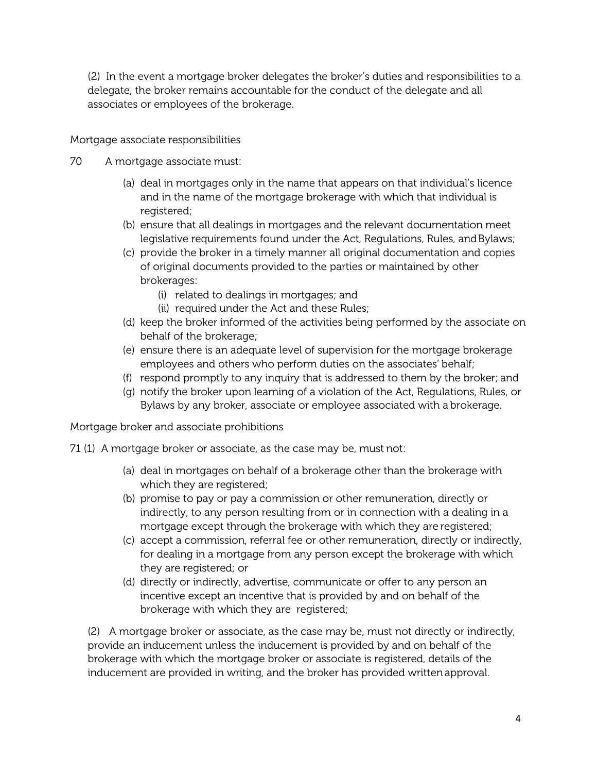(2) In the event a mortgage broker delegates the broker's duties and responsibilities to a delegate, the broker remains accountable for the conduct of the delegate and all associates or employees of the brokerage.

Mortgage associate responsibilities

- 70 A mortgage associate must:
	- (a) deal in mortgages only in the name that appears on that individual's licence and in the name of the mortgage brokerage with which that individual is registered:
	- (b) ensure that all dealings in mortgages and the relevant documentation meet legislative requirements found under the Act, Regulations, Rules, and Bylaws;
	- (c) provide the broker in a timely manner all original documentation and copies of original documents provided to the parties or maintained by other brokerages:
		- (i) related to dealings in mortgages; and
		- (ii) required under the Act and these Rules;
	- (d) keep the broker informed of the activities being performed by the associate on behalf of the brokerage;
	- (e) ensure there is an adequate level of supervision for the mortgage brokerage employees and others who perform duties on the associates' behalf;
	- (f) respond promptly to any inquiry that is addressed to them by the broker; and
	- (g) notify the broker upon learning of a violation of the Act, Regulations, Rules, or Bylaws by any broker, associate or employee associated with a brokerage.

Mortgage broker and associate prohibitions

- 71 (1) A mortgage broker or associate, as the case may be, must not:
	- (a) deal in mortgages on behalf of a brokerage other than the brokerage with which they are registered;
	- (b) promise to pay or pay a commission or other remuneration, directly or indirectly, to any person resulting from or in connection with a dealing in a mortgage except through the brokerage with which they are registered;
	- (c) accept a commission, referral fee or other remuneration, directly or indirectly, for dealing in a mortgage from any person except the brokerage with which they are registered; or
	- (d) directly or indirectly, advertise, communicate or offer to any person an incentive except an incentive that is provided by and on behalf of the brokerage with which they are registered;

(2) A mortgage broker or associate, as the case may be, must not directly or indirectly, provide an inducement unless the inducement is provided by and on behalf of the brokerage with which the mortgage broker or associate is registered, details of the inducement are provided in writing, and the broker has provided written approval.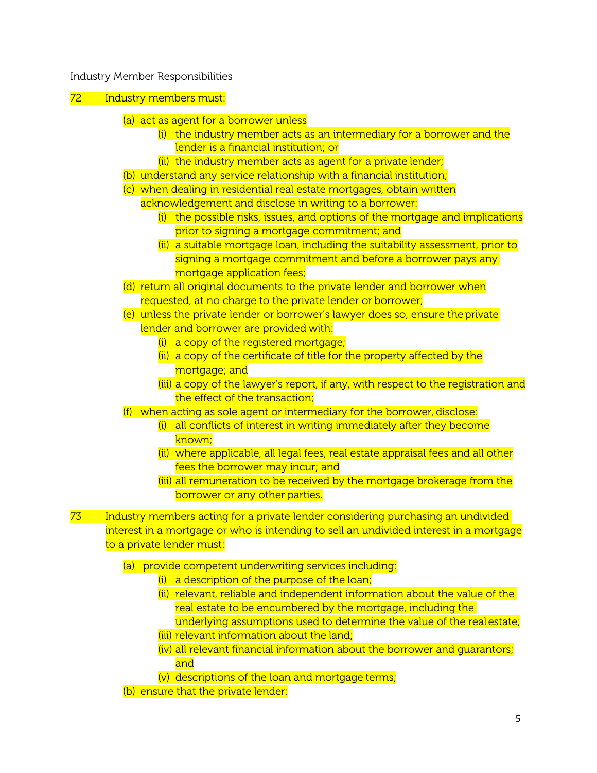#### Industry Member Responsibilities

### 72 Industry members must:

- (a) act as agent for a borrower unless
	- $(i)$  the industry member acts as an intermediary for a borrower and the lender is a financial institution; or
	- (ii) the industry member acts as agent for a private lender;
- (b) understand any service relationship with a financial institution;
- (c) when dealing in residential real estate mortgages, obtain written
	- acknowledgement and disclose in writing to a borrower:
		- $(i)$  the possible risks, issues, and options of the mortgage and implications prior to signing a mortgage commitment; and
		- (ii) a suitable mortgage loan, including the suitability assessment, prior to signing a mortgage commitment and before a borrower pays any mortgage application fees;
- (d) return all original documents to the private lender and borrower when requested, at no charge to the private lender or borrower;
- (e) unless the private lender or borrower's lawyer does so, ensure theprivate lender and borrower are provided with:
	- (i) a copy of the registered mortgage;
	- (ii) a copy of the certificate of title for the property affected by the mortgage; and
	- (iii) a copy of the lawyer's report, if any, with respect to the registration and the effect of the transaction;
- (f) when acting as sole agent or intermediary for the borrower, disclose:
	- $(i)$  all conflicts of interest in writing immediately after they become known;
	- (ii) where applicable, all legal fees, real estate appraisal fees and all other fees the borrower may incur; and
	- (iii) all remuneration to be received by the mortgage brokerage from the borrower or any other parties.
- 73 Industry members acting for a private lender considering purchasing an undivided interest in a mortgage or who is intending to sell an undivided interest in a mortgage to a private lender must:
	- (a) provide competent underwriting services including:
		- $(i)$  a description of the purpose of the loan;
		- (ii) relevant, reliable and independent information about the value of the real estate to be encumbered by the mortgage, including the underlying assumptions used to determine the value of the real estate;
		- (iii) relevant information about the land;
		- (iv) all relevant financial information about the borrower and guarantors; and
		- (v) descriptions of the loan and mortgage terms;
	- (b) ensure that the private lender: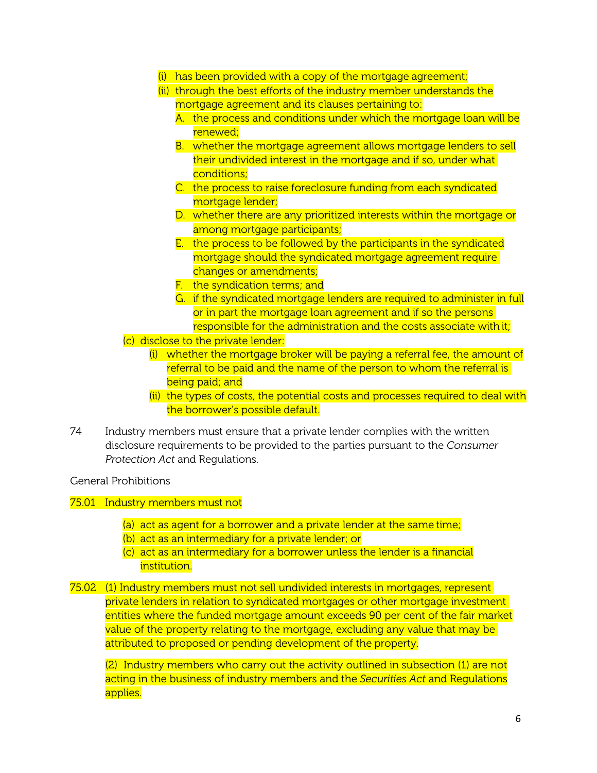- (i) has been provided with a copy of the mortgage agreement;
- (ii) through the best efforts of the industry member understands the mortgage agreement and its clauses pertaining to:
	- A. the process and conditions under which the mortgage loan will be renewed;
	- B. whether the mortgage agreement allows mortgage lenders to sell their undivided interest in the mortgage and if so, under what conditions;
	- C. the process to raise foreclosure funding from each syndicated mortgage lender;
	- D. whether there are any prioritized interests within the mortgage or among mortgage participants;
	- E. the process to be followed by the participants in the syndicated mortgage should the syndicated mortgage agreement require changes or amendments;
	- F. the syndication terms; and
	- G. if the syndicated mortgage lenders are required to administer in full or in part the mortgage loan agreement and if so the persons responsible for the administration and the costs associate with it;
- (c) disclose to the private lender:
	- (i) whether the mortgage broker will be paying a referral fee, the amount of referral to be paid and the name of the person to whom the referral is being paid; and
	- (ii) the types of costs, the potential costs and processes required to deal with the borrower's possible default.
- 74 Industry members must ensure that a private lender complies with the written disclosure requirements to be provided to the parties pursuant to the *Consumer Protection Act* and Regulations.

General Prohibitions

75.01 Industry members must not

- (a) act as agent for a borrower and a private lender at the same time;
- (b) act as an intermediary for a private lender; or
- (c) act as an intermediary for a borrower unless the lender is a financial institution.
- 75.02 (1) Industry members must not sell undivided interests in mortgages, represent private lenders in relation to syndicated mortgages or other mortgage investment entities where the funded mortgage amount exceeds 90 per cent of the fair market value of the property relating to the mortgage, excluding any value that may be attributed to proposed or pending development of the property.

(2) Industry members who carry out the activity outlined in subsection (1) are not acting in the business of industry members and the *Securities Act* and Regulations applies.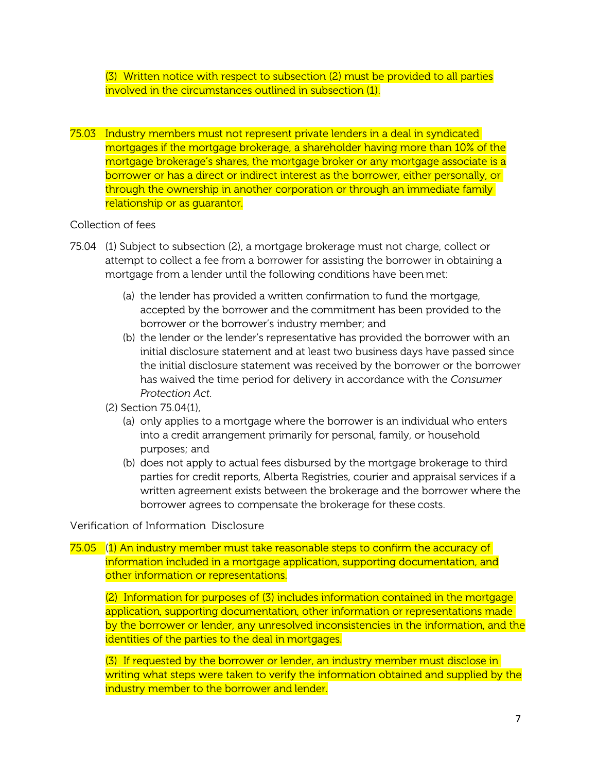(3) Written notice with respect to subsection (2) must be provided to all parties involved in the circumstances outlined in subsection (1).

75.03 Industry members must not represent private lenders in a deal in syndicated mortgages if the mortgage brokerage, a shareholder having more than 10% of the mortgage brokerage's shares, the mortgage broker or any mortgage associate is a borrower or has a direct or indirect interest as the borrower, either personally, or through the ownership in another corporation or through an immediate family relationship or as guarantor.

### Collection of fees

- 75.04 (1) Subject to subsection (2), a mortgage brokerage must not charge, collect or attempt to collect a fee from a borrower for assisting the borrower in obtaining a mortgage from a lender until the following conditions have been met:
	- (a) the lender has provided a written confirmation to fund the mortgage, accepted by the borrower and the commitment has been provided to the borrower or the borrower's industry member; and
	- (b) the lender or the lender's representative has provided the borrower with an initial disclosure statement and at least two business days have passed since the initial disclosure statement was received by the borrower or the borrower has waived the time period for delivery in accordance with the *Consumer Protection Act*.
	- (2) Section 75.04(1),
		- (a) only applies to a mortgage where the borrower is an individual who enters into a credit arrangement primarily for personal, family, or household purposes; and
		- (b) does not apply to actual fees disbursed by the mortgage brokerage to third parties for credit reports, Alberta Registries, courier and appraisal services if a written agreement exists between the brokerage and the borrower where the borrower agrees to compensate the brokerage for these costs.

### Verification of Information Disclosure

75.05 (1) An industry member must take reasonable steps to confirm the accuracy of information included in a mortgage application, supporting documentation, and other information or representations.

(2) Information for purposes of (3) includes information contained in the mortgage application, supporting documentation, other information or representations made by the borrower or lender, any unresolved inconsistencies in the information, and the identities of the parties to the deal in mortgages.

(3) If requested by the borrower or lender, an industry member must disclose in writing what steps were taken to verify the information obtained and supplied by the industry member to the borrower and lender.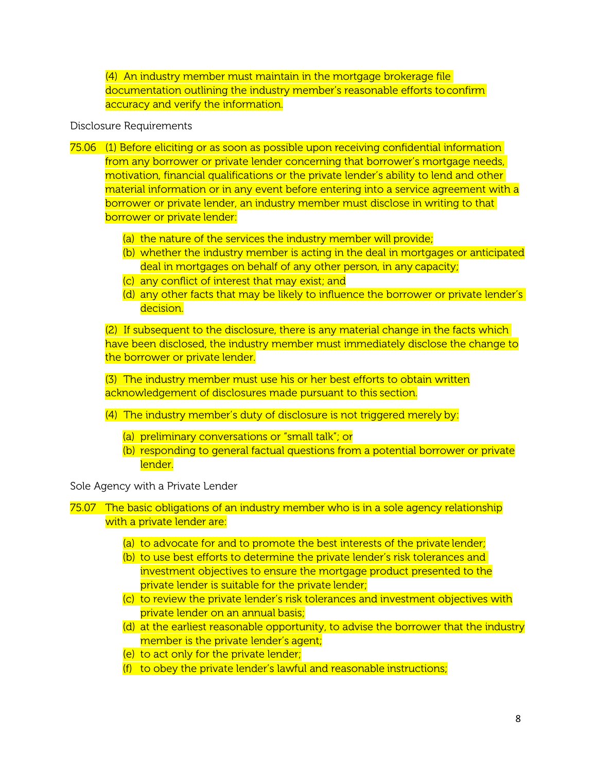(4) An industry member must maintain in the mortgage brokerage file documentation outlining the industry member's reasonable efforts toconfirm accuracy and verify the information.

### Disclosure Requirements

- 75.06 (1) Before eliciting or as soon as possible upon receiving confidential information from any borrower or private lender concerning that borrower's mortgage needs, motivation, financial qualifications or the private lender's ability to lend and other material information or in any event before entering into a service agreement with a borrower or private lender, an industry member must disclose in writing to that borrower or private lender:
	- (a) the nature of the services the industry member will provide;
	- (b) whether the industry member is acting in the deal in mortgages or anticipated deal in mortgages on behalf of any other person, in any capacity;
	- (c) any conflict of interest that may exist; and
	- (d) any other facts that may be likely to influence the borrower or private lender's decision.

(2) If subsequent to the disclosure, there is any material change in the facts which have been disclosed, the industry member must immediately disclose the change to the borrower or private lender.

(3) The industry member must use his or her best efforts to obtain written acknowledgement of disclosures made pursuant to this section.

- (4) The industry member's duty of disclosure is not triggered merely by:
	- (a) preliminary conversations or "small talk"; or
	- (b) responding to general factual questions from a potential borrower or private lender.

Sole Agency with a Private Lender

### 75.07 The basic obligations of an industry member who is in a sole agency relationship with a private lender are:

- (a) to advocate for and to promote the best interests of the private lender;
- (b) to use best efforts to determine the private lender's risk tolerances and investment objectives to ensure the mortgage product presented to the private lender is suitable for the private lender;
- (c) to review the private lender's risk tolerances and investment objectives with private lender on an annual basis;
- (d) at the earliest reasonable opportunity, to advise the borrower that the industry member is the private lender's agent;
- (e) to act only for the private lender;
- (f) to obey the private lender's lawful and reasonable instructions;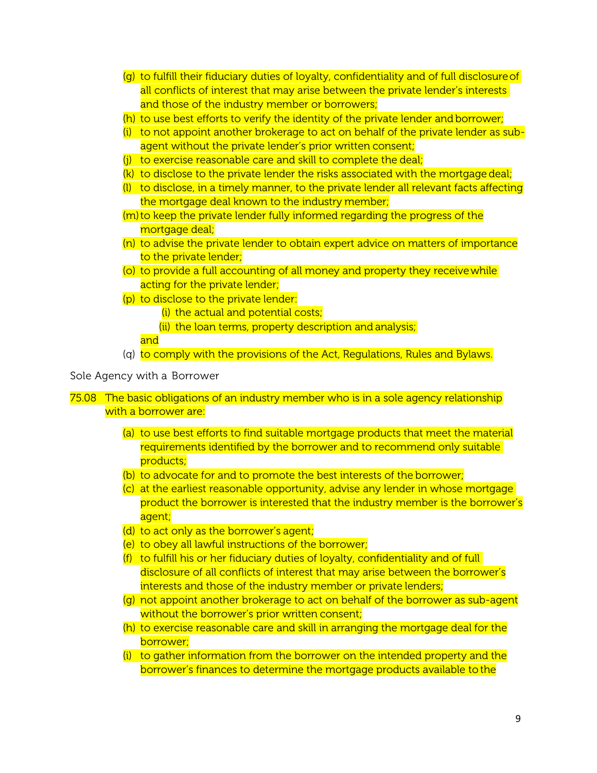- (g) to fulfill their fiduciary duties of loyalty, confidentiality and of full disclosureof all conflicts of interest that may arise between the private lender's interests and those of the industry member or borrowers;
- (h) to use best efforts to verify the identity of the private lender and borrower;
- (i) to not appoint another brokerage to act on behalf of the private lender as subagent without the private lender's prior written consent;
- (j) to exercise reasonable care and skill to complete the deal;
- (k) to disclose to the private lender the risks associated with the mortgage deal;
- (l) to disclose, in a timely manner, to the private lender all relevant facts affecting the mortgage deal known to the industry member;
- $(m)$  to keep the private lender fully informed regarding the progress of the mortgage deal;
- (n) to advise the private lender to obtain expert advice on matters of importance to the private lender;
- (o) to provide a full accounting of all money and property they receivewhile acting for the private lender;
- (p) to disclose to the private lender:
	- (i) the actual and potential costs;
	- (ii) the loan terms, property description and analysis;
	- and
- (q) to comply with the provisions of the Act, Regulations, Rules and Bylaws.

#### Sole Agency with a Borrower

- 75.08 The basic obligations of an industry member who is in a sole agency relationship with a borrower are:
	- (a) to use best efforts to find suitable mortgage products that meet the material requirements identified by the borrower and to recommend only suitable products;
	- (b) to advocate for and to promote the best interests of the borrower;
	- (c) at the earliest reasonable opportunity, advise any lender in whose mortgage product the borrower is interested that the industry member is the borrower's agent;
	- (d) to act only as the borrower's agent;
	- (e) to obey all lawful instructions of the borrower;
	- (f) to fulfill his or her fiduciary duties of loyalty, confidentiality and of full disclosure of all conflicts of interest that may arise between the borrower's interests and those of the industry member or private lenders;
	- (g) not appoint another brokerage to act on behalf of the borrower as sub-agent without the borrower's prior written consent;
	- (h) to exercise reasonable care and skill in arranging the mortgage deal for the borrower;
	- (i) to gather information from the borrower on the intended property and the borrower's finances to determine the mortgage products available to the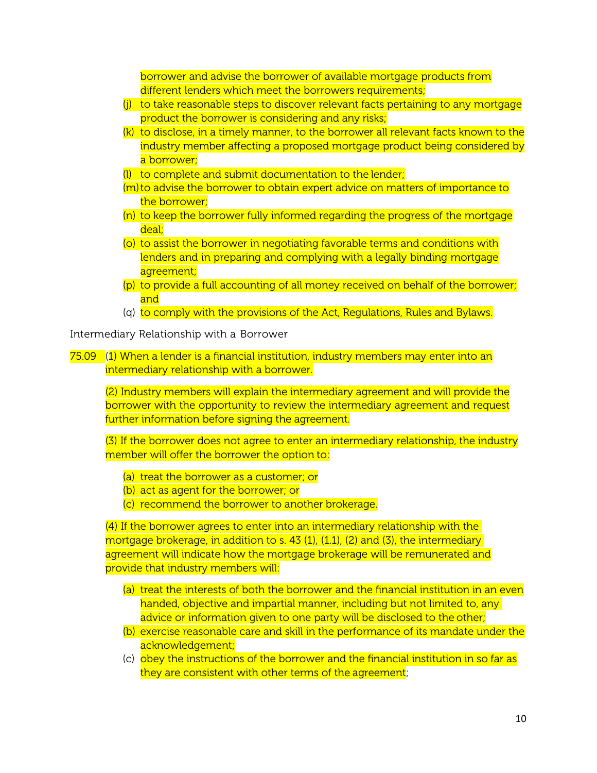borrower and advise the borrower of available mortgage products from different lenders which meet the borrowers requirements;

- (j) to take reasonable steps to discover relevant facts pertaining to any mortgage product the borrower is considering and any risks;
- (k) to disclose, in a timely manner, to the borrower all relevant facts known to the industry member affecting a proposed mortgage product being considered by a borrower;
- (l) to complete and submit documentation to the lender;
- (m)to advise the borrower to obtain expert advice on matters of importance to the borrower;
- (n) to keep the borrower fully informed regarding the progress of the mortgage deal;
- (o) to assist the borrower in negotiating favorable terms and conditions with lenders and in preparing and complying with a legally binding mortgage agreement;
- (p) to provide a full accounting of all money received on behalf of the borrower; and
- (q) to comply with the provisions of the Act, Regulations, Rules and Bylaws.

Intermediary Relationship with a Borrower

75.09 (1) When a lender is a financial institution, industry members may enter into an intermediary relationship with a borrower.

(2) Industry members will explain the intermediary agreement and will provide the borrower with the opportunity to review the intermediary agreement and request further information before signing the agreement.

(3) If the borrower does not agree to enter an intermediary relationship, the industry member will offer the borrower the option to:

- (a) treat the borrower as a customer; or
- (b) act as agent for the borrower; or
- (c) recommend the borrower to another brokerage.

(4) If the borrower agrees to enter into an intermediary relationship with the mortgage brokerage, in addition to s.  $43$  (1), (1.1), (2) and (3), the intermediary agreement will indicate how the mortgage brokerage will be remunerated and provide that industry members will:

- (a) treat the interests of both the borrower and the financial institution in an even handed, objective and impartial manner, including but not limited to, any advice or information given to one party will be disclosed to the other;
- (b) exercise reasonable care and skill in the performance of its mandate under the acknowledgement;
- (c) obey the instructions of the borrower and the financial institution in so far as they are consistent with other terms of the agreement;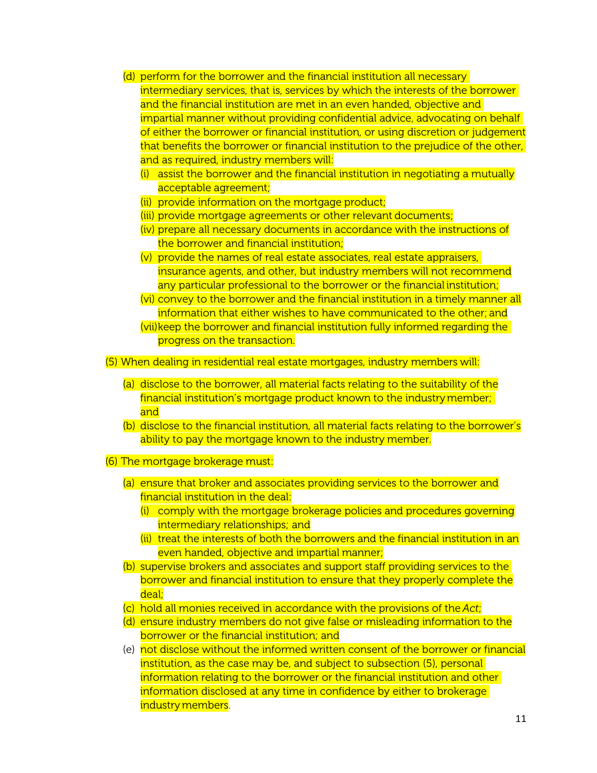- (d) perform for the borrower and the financial institution all necessary intermediary services, that is, services by which the interests of the borrower and the financial institution are met in an even handed, objective and impartial manner without providing confidential advice, advocating on behalf of either the borrower or financial institution, or using discretion or judgement that benefits the borrower or financial institution to the prejudice of the other, and as required, industry members will:
	- (i) assist the borrower and the financial institution in negotiating a mutually acceptable agreement;
	- (ii) provide information on the mortgage product;
	- (iii) provide mortgage agreements or other relevant documents;
	- (iv) prepare all necessary documents in accordance with the instructions of the borrower and financial institution;
	- (v) provide the names of real estate associates, real estate appraisers, insurance agents, and other, but industry members will not recommend any particular professional to the borrower or the financial institution;
	- (vi) convey to the borrower and the financial institution in a timely manner all information that either wishes to have communicated to the other; and
	- (vii)keep the borrower and financial institution fully informed regarding the progress on the transaction.

(5) When dealing in residential real estate mortgages, industry members will:

- (a) disclose to the borrower, all material facts relating to the suitability of the financial institution's mortgage product known to the industrymember; and
- (b) disclose to the financial institution, all material facts relating to the borrower's ability to pay the mortgage known to the industry member.
- (6) The mortgage brokerage must:
	- (a) ensure that broker and associates providing services to the borrower and financial institution in the deal:
		- (i) comply with the mortgage brokerage policies and procedures governing intermediary relationships; and
		- (ii) treat the interests of both the borrowers and the financial institution in an even handed, objective and impartial manner;
	- (b) supervise brokers and associates and support staff providing services to the borrower and financial institution to ensure that they properly complete the deal;
	- (c) hold all monies received in accordance with the provisions of the *Act*;
	- (d) ensure industry members do not give false or misleading information to the borrower or the financial institution; and
	- (e) not disclose without the informed written consent of the borrower or financial institution, as the case may be, and subject to subsection (5), personal information relating to the borrower or the financial institution and other information disclosed at any time in confidence by either to brokerage industry members.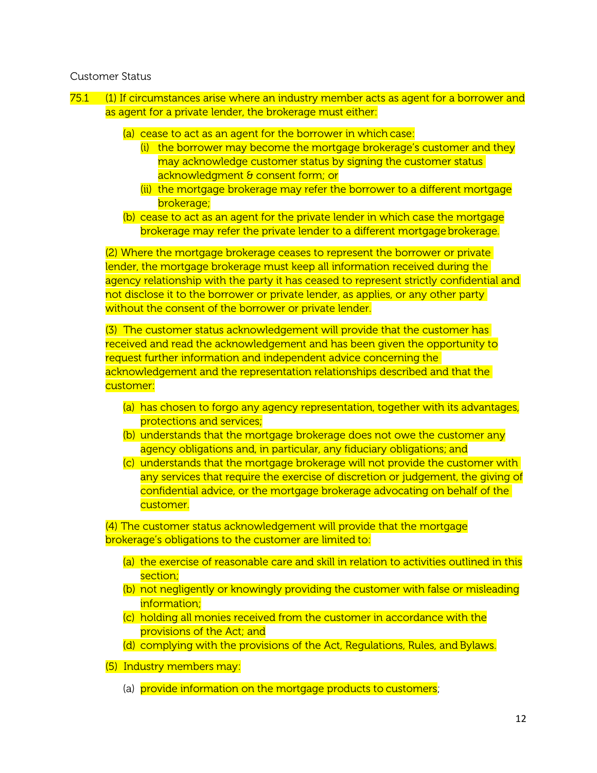#### Customer Status

- 75.1 (1) If circumstances arise where an industry member acts as agent for a borrower and as agent for a private lender, the brokerage must either:
	- (a) cease to act as an agent for the borrower in which case:
		- (i) the borrower may become the mortgage brokerage's customer and they may acknowledge customer status by signing the customer status acknowledgment & consent form; or
		- (ii) the mortgage brokerage may refer the borrower to a different mortgage brokerage;
	- (b) cease to act as an agent for the private lender in which case the mortgage brokerage may refer the private lender to a different mortgage brokerage.

(2) Where the mortgage brokerage ceases to represent the borrower or private lender, the mortgage brokerage must keep all information received during the agency relationship with the party it has ceased to represent strictly confidential and not disclose it to the borrower or private lender, as applies, or any other party without the consent of the borrower or private lender.

(3) The customer status acknowledgement will provide that the customer has received and read the acknowledgement and has been given the opportunity to request further information and independent advice concerning the acknowledgement and the representation relationships described and that the customer:

- (a) has chosen to forgo any agency representation, together with its advantages, protections and services;
- (b) understands that the mortgage brokerage does not owe the customer any agency obligations and, in particular, any fiduciary obligations; and
- (c) understands that the mortgage brokerage will not provide the customer with any services that require the exercise of discretion or judgement, the giving of confidential advice, or the mortgage brokerage advocating on behalf of the customer.

(4) The customer status acknowledgement will provide that the mortgage brokerage's obligations to the customer are limited to:

- (a) the exercise of reasonable care and skill in relation to activities outlined in this section;
- (b) not negligently or knowingly providing the customer with false or misleading information;
- (c) holding all monies received from the customer in accordance with the provisions of the Act; and
- (d) complying with the provisions of the Act, Regulations, Rules, and Bylaws.
- (5) Industry members may:
	- (a) provide information on the mortgage products to customers;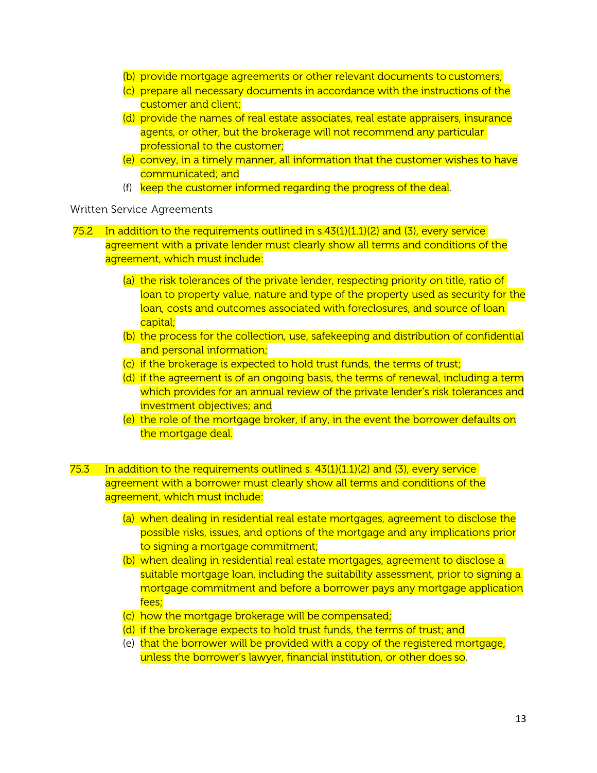- (b) provide mortgage agreements or other relevant documents to customers;
- (c) prepare all necessary documents in accordance with the instructions of the customer and client;
- (d) provide the names of real estate associates, real estate appraisers, insurance agents, or other, but the brokerage will not recommend any particular professional to the customer;
- (e) convey, in a timely manner, all information that the customer wishes to have communicated; and
- (f) keep the customer informed regarding the progress of the deal.

Written Service Agreements

- 75.2 In addition to the requirements outlined in  $s.43(1)(1.1)(2)$  and (3), every service agreement with a private lender must clearly show all terms and conditions of the agreement, which must include:
	- (a) the risk tolerances of the private lender, respecting priority on title, ratio of loan to property value, nature and type of the property used as security for the loan, costs and outcomes associated with foreclosures, and source of loan capital;
	- (b) the process for the collection, use, safekeeping and distribution of confidential and personal information;
	- (c) if the brokerage is expected to hold trust funds, the terms of trust;
	- (d) if the agreement is of an ongoing basis, the terms of renewal, including a term which provides for an annual review of the private lender's risk tolerances and investment objectives; and
	- (e) the role of the mortgage broker, if any, in the event the borrower defaults on the mortgage deal.
- 75.3 In addition to the requirements outlined s.  $43(1)(1.1)(2)$  and  $(3)$ , every service agreement with a borrower must clearly show all terms and conditions of the agreement, which must include:
	- (a) when dealing in residential real estate mortgages, agreement to disclose the possible risks, issues, and options of the mortgage and any implications prior to signing a mortgage commitment;
	- (b) when dealing in residential real estate mortgages, agreement to disclose a suitable mortgage loan, including the suitability assessment, prior to signing a mortgage commitment and before a borrower pays any mortgage application fees;
	- (c) how the mortgage brokerage will be compensated;
	- (d) if the brokerage expects to hold trust funds, the terms of trust; and
	- (e) that the borrower will be provided with a copy of the registered mortgage, unless the borrower's lawyer, financial institution, or other does so.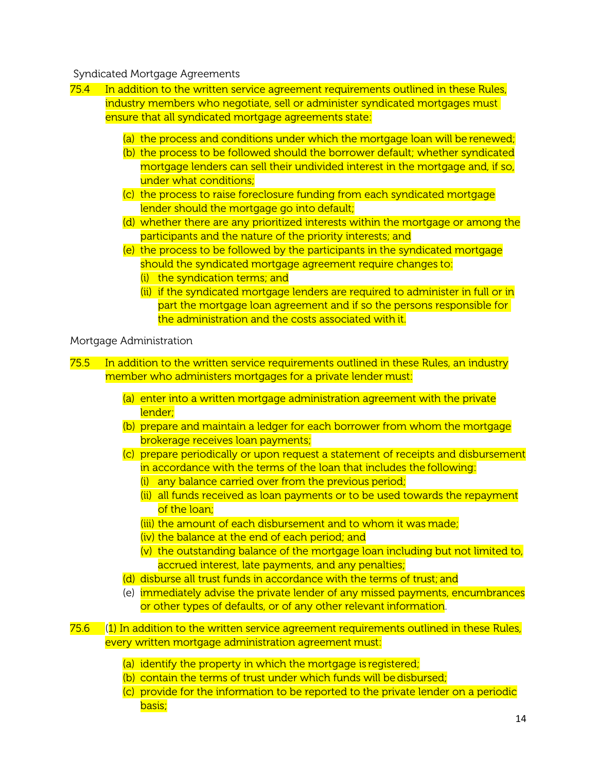#### Syndicated Mortgage Agreements

- 75.4 In addition to the written service agreement requirements outlined in these Rules, industry members who negotiate, sell or administer syndicated mortgages must ensure that all syndicated mortgage agreements state:
	- (a) the process and conditions under which the mortgage loan will be renewed;
	- (b) the process to be followed should the borrower default; whether syndicated mortgage lenders can sell their undivided interest in the mortgage and, if so, under what conditions;
	- (c) the process to raise foreclosure funding from each syndicated mortgage lender should the mortgage go into default;
	- (d) whether there are any prioritized interests within the mortgage or among the participants and the nature of the priority interests; and
	- (e) the process to be followed by the participants in the syndicated mortgage should the syndicated mortgage agreement require changes to: (i) the syndication terms; and
		- (ii) if the syndicated mortgage lenders are required to administer in full or in part the mortgage loan agreement and if so the persons responsible for the administration and the costs associated with it.

#### Mortgage Administration

75.5 In addition to the written service requirements outlined in these Rules, an industry member who administers mortgages for a private lender must:

- (a) enter into a written mortgage administration agreement with the private lender;
- (b) prepare and maintain a ledger for each borrower from whom the mortgage brokerage receives loan payments;
- (c) prepare periodically or upon request a statement of receipts and disbursement in accordance with the terms of the loan that includes the following:
	- (i) any balance carried over from the previous period;
	- (ii) all funds received as loan payments or to be used towards the repayment of the loan;
	- (iii) the amount of each disbursement and to whom it was made;
	- (iv) the balance at the end of each period; and
	- (v) the outstanding balance of the mortgage loan including but not limited to, accrued interest, late payments, and any penalties;
- (d) disburse all trust funds in accordance with the terms of trust; and
- (e) immediately advise the private lender of any missed payments, encumbrances or other types of defaults, or of any other relevant information.
- 75.6 (1) In addition to the written service agreement requirements outlined in these Rules, every written mortgage administration agreement must:
	- (a) identify the property in which the mortgage is registered;
	- (b) contain the terms of trust under which funds will be disbursed:
	- (c) provide for the information to be reported to the private lender on a periodic basis;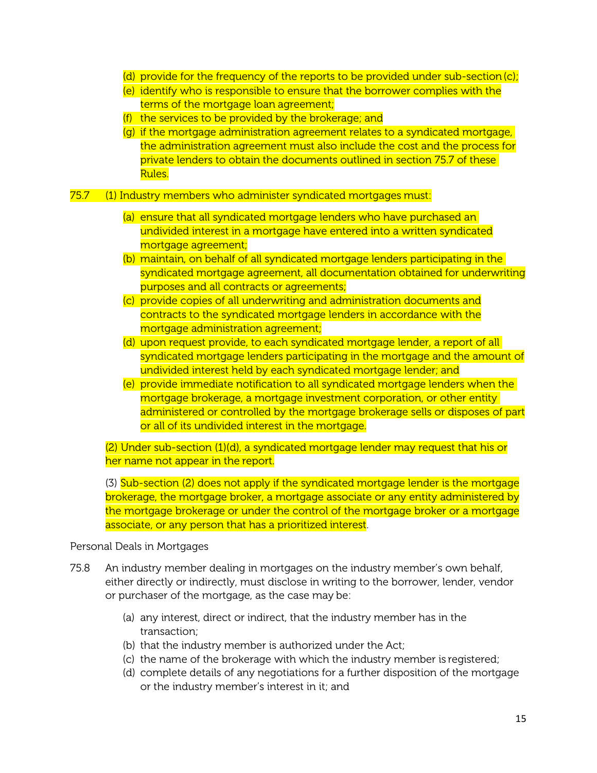- (d) provide for the frequency of the reports to be provided under sub-section (c);
- (e) identify who is responsible to ensure that the borrower complies with the terms of the mortgage loan agreement;
- (f) the services to be provided by the brokerage; and
- (g) if the mortgage administration agreement relates to a syndicated mortgage, the administration agreement must also include the cost and the process for private lenders to obtain the documents outlined in section 75.7 of these Rules.
- 75.7 (1) Industry members who administer syndicated mortgages must:
	- (a) ensure that all syndicated mortgage lenders who have purchased an undivided interest in a mortgage have entered into a written syndicated mortgage agreement;
	- (b) maintain, on behalf of all syndicated mortgage lenders participating in the syndicated mortgage agreement, all documentation obtained for underwriting purposes and all contracts or agreements;
	- (c) provide copies of all underwriting and administration documents and contracts to the syndicated mortgage lenders in accordance with the mortgage administration agreement;
	- (d) upon request provide, to each syndicated mortgage lender, a report of all syndicated mortgage lenders participating in the mortgage and the amount of undivided interest held by each syndicated mortgage lender; and
	- (e) provide immediate notification to all syndicated mortgage lenders when the mortgage brokerage, a mortgage investment corporation, or other entity administered or controlled by the mortgage brokerage sells or disposes of part or all of its undivided interest in the mortgage.

(2) Under sub-section (1)(d), a syndicated mortgage lender may request that his or her name not appear in the report.

(3) Sub-section (2) does not apply if the syndicated mortgage lender is the mortgage brokerage, the mortgage broker, a mortgage associate or any entity administered by the mortgage brokerage or under the control of the mortgage broker or a mortgage associate, or any person that has a prioritized interest.

### Personal Deals in Mortgages

- 75.8 An industry member dealing in mortgages on the industry member's own behalf, either directly or indirectly, must disclose in writing to the borrower, lender, vendor or purchaser of the mortgage, as the case may be:
	- (a) any interest, direct or indirect, that the industry member has in the transaction;
	- (b) that the industry member is authorized under the Act;
	- (c) the name of the brokerage with which the industry member is registered;
	- (d) complete details of any negotiations for a further disposition of the mortgage or the industry member's interest in it; and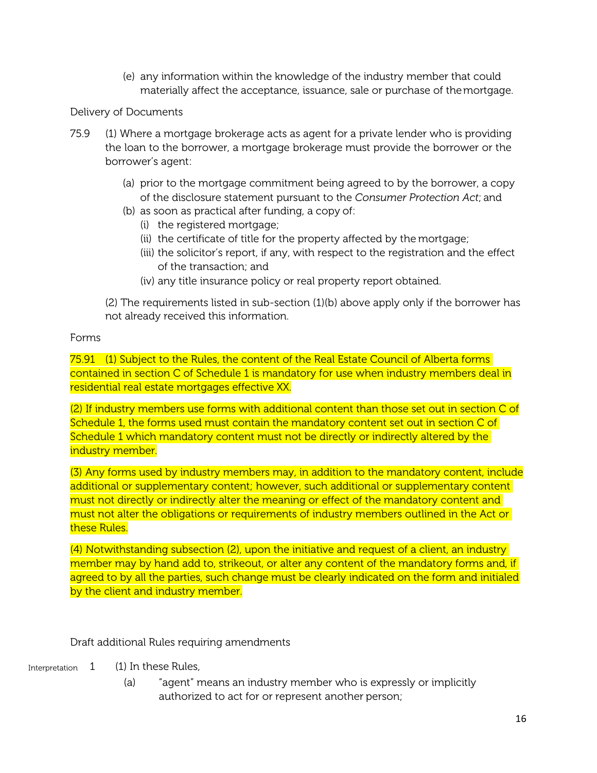(e) any information within the knowledge of the industry member that could materially affect the acceptance, issuance, sale or purchase of themortgage.

### Delivery of Documents

- 75.9 (1) Where a mortgage brokerage acts as agent for a private lender who is providing the loan to the borrower, a mortgage brokerage must provide the borrower or the borrower's agent:
	- (a) prior to the mortgage commitment being agreed to by the borrower, a copy of the disclosure statement pursuant to the *Consumer Protection Act*; and
	- (b) as soon as practical after funding, a copy of:
		- (i) the registered mortgage;
		- (ii) the certificate of title for the property affected by the mortgage;
		- (iii) the solicitor's report, if any, with respect to the registration and the effect of the transaction; and
		- (iv) any title insurance policy or real property report obtained.

(2) The requirements listed in sub-section (1)(b) above apply only if the borrower has not already received this information.

### Forms

75.91 (1) Subject to the Rules, the content of the Real Estate Council of Alberta forms contained in section C of Schedule 1 is mandatory for use when industry members deal in residential real estate mortgages effective XX.

(2) If industry members use forms with additional content than those set out in section C of Schedule 1, the forms used must contain the mandatory content set out in section C of Schedule 1 which mandatory content must not be directly or indirectly altered by the industry member.

(3) Any forms used by industry members may, in addition to the mandatory content, include additional or supplementary content; however, such additional or supplementary content must not directly or indirectly alter the meaning or effect of the mandatory content and must not alter the obligations or requirements of industry members outlined in the Act or these Rules.

(4) Notwithstanding subsection (2), upon the initiative and request of a client, an industry member may by hand add to, strikeout, or alter any content of the mandatory forms and, if agreed to by all the parties, such change must be clearly indicated on the form and initialed by the client and industry member.

Draft additional Rules requiring amendments

- Interpretation 1 (1) In these Rules,
	- (a) "agent" means an industry member who is expressly or implicitly authorized to act for or represent another person;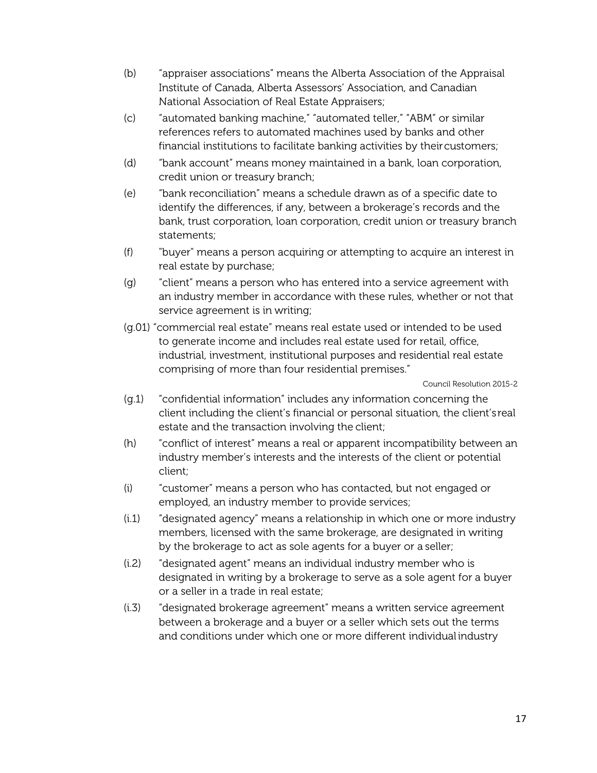- (b) "appraiser associations" means the Alberta Association of the Appraisal Institute of Canada, Alberta Assessors' Association, and Canadian National Association of Real Estate Appraisers;
- (c) "automated banking machine," "automated teller," "ABM" or similar references refers to automated machines used by banks and other financial institutions to facilitate banking activities by theircustomers;
- (d) "bank account" means money maintained in a bank, loan corporation, credit union or treasury branch;
- (e) "bank reconciliation" means a schedule drawn as of a specific date to identify the differences, if any, between a brokerage's records and the bank, trust corporation, loan corporation, credit union or treasury branch statements;
- (f) "buyer" means a person acquiring or attempting to acquire an interest in real estate by purchase;
- (g) "client" means a person who has entered into a service agreement with an industry member in accordance with these rules, whether or not that service agreement is in writing;
- (g.01) "commercial real estate" means real estate used or intended to be used to generate income and includes real estate used for retail, office, industrial, investment, institutional purposes and residential real estate comprising of more than four residential premises."

Council Resolution 2015-2

- (g.1) "confidential information" includes any information concerning the client including the client's financial or personal situation, the client's real estate and the transaction involving the client;
- (h) "conflict of interest" means a real or apparent incompatibility between an industry member's interests and the interests of the client or potential client;
- (i) "customer" means a person who has contacted, but not engaged or employed, an industry member to provide services;
- (i.1) "designated agency" means a relationship in which one or more industry members, licensed with the same brokerage, are designated in writing by the brokerage to act as sole agents for a buyer or a seller;
- (i.2) "designated agent" means an individual industry member who is designated in writing by a brokerage to serve as a sole agent for a buyer or a seller in a trade in real estate;
- (i.3) "designated brokerage agreement" means a written service agreement between a brokerage and a buyer or a seller which sets out the terms and conditions under which one or more different individual industry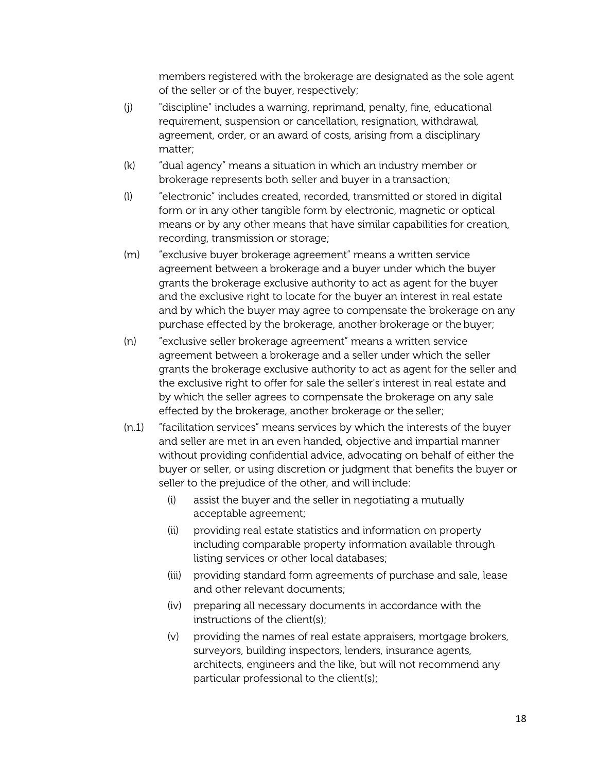members registered with the brokerage are designated as the sole agent of the seller or of the buyer, respectively;

- (j) "discipline" includes a warning, reprimand, penalty, fine, educational requirement, suspension or cancellation, resignation, withdrawal, agreement, order, or an award of costs, arising from a disciplinary matter;
- (k) "dual agency" means a situation in which an industry member or brokerage represents both seller and buyer in a transaction;
- (l) "electronic" includes created, recorded, transmitted or stored in digital form or in any other tangible form by electronic, magnetic or optical means or by any other means that have similar capabilities for creation, recording, transmission or storage;
- (m) "exclusive buyer brokerage agreement" means a written service agreement between a brokerage and a buyer under which the buyer grants the brokerage exclusive authority to act as agent for the buyer and the exclusive right to locate for the buyer an interest in real estate and by which the buyer may agree to compensate the brokerage on any purchase effected by the brokerage, another brokerage or the buyer;
- (n) "exclusive seller brokerage agreement" means a written service agreement between a brokerage and a seller under which the seller grants the brokerage exclusive authority to act as agent for the seller and the exclusive right to offer for sale the seller's interest in real estate and by which the seller agrees to compensate the brokerage on any sale effected by the brokerage, another brokerage or the seller;
- (n.1) "facilitation services" means services by which the interests of the buyer and seller are met in an even handed, objective and impartial manner without providing confidential advice, advocating on behalf of either the buyer or seller, or using discretion or judgment that benefits the buyer or seller to the prejudice of the other, and will include:
	- (i) assist the buyer and the seller in negotiating a mutually acceptable agreement;
	- (ii) providing real estate statistics and information on property including comparable property information available through listing services or other local databases;
	- (iii) providing standard form agreements of purchase and sale, lease and other relevant documents;
	- (iv) preparing all necessary documents in accordance with the instructions of the client(s);
	- (v) providing the names of real estate appraisers, mortgage brokers, surveyors, building inspectors, lenders, insurance agents, architects, engineers and the like, but will not recommend any particular professional to the client(s);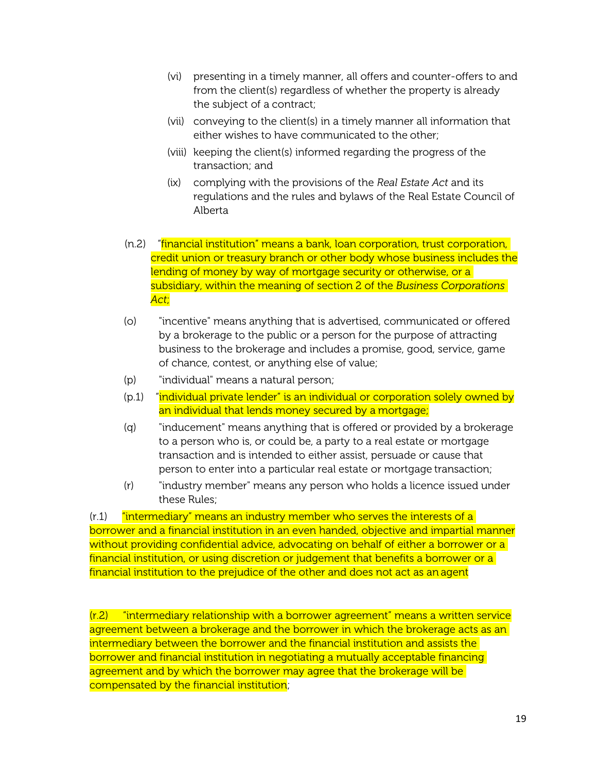- (vi) presenting in a timely manner, all offers and counter-offers to and from the client(s) regardless of whether the property is already the subject of a contract;
- (vii) conveying to the client(s) in a timely manner all information that either wishes to have communicated to the other;
- (viii) keeping the client(s) informed regarding the progress of the transaction; and
- (ix) complying with the provisions of the *Real Estate Act* and its regulations and the rules and bylaws of the Real Estate Council of Alberta
- (n.2) "financial institution" means a bank, loan corporation, trust corporation, credit union or treasury branch or other body whose business includes the lending of money by way of mortgage security or otherwise, or a subsidiary, within the meaning of section 2 of the *Business Corporations Act*;
- (o) "incentive" means anything that is advertised, communicated or offered by a brokerage to the public or a person for the purpose of attracting business to the brokerage and includes a promise, good, service, game of chance, contest, or anything else of value;
- (p) "individual" means a natural person;
- (p.1) "individual private lender" is an individual or corporation solely owned by an individual that lends money secured by a mortgage;
- (q) "inducement" means anything that is offered or provided by a brokerage to a person who is, or could be, a party to a real estate or mortgage transaction and is intended to either assist, persuade or cause that person to enter into a particular real estate or mortgage transaction;
- (r) "industry member" means any person who holds a licence issued under these Rules;

 $(r.1)$  "intermediary" means an industry member who serves the interests of a borrower and a financial institution in an even handed, objective and impartial manner without providing confidential advice, advocating on behalf of either a borrower or a financial institution, or using discretion or judgement that benefits a borrower or a financial institution to the prejudice of the other and does not act as an agent

(r.2) "intermediary relationship with a borrower agreement" means a written service agreement between a brokerage and the borrower in which the brokerage acts as an intermediary between the borrower and the financial institution and assists the borrower and financial institution in negotiating a mutually acceptable financing agreement and by which the borrower may agree that the brokerage will be compensated by the financial institution;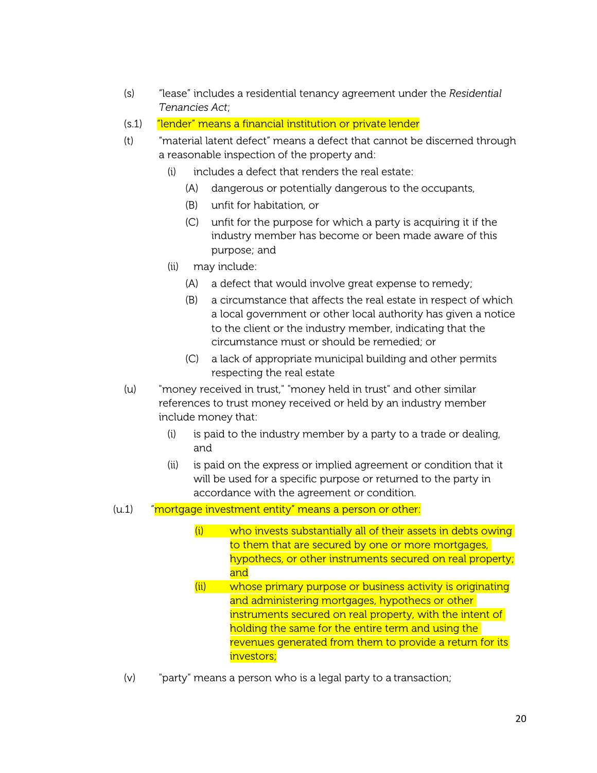- (s) "lease" includes a residential tenancy agreement under the *Residential Tenancies Act*;
- (s.1) "lender" means a financial institution or private lender
- (t) "material latent defect" means a defect that cannot be discerned through a reasonable inspection of the property and:
	- (i) includes a defect that renders the real estate:
		- (A) dangerous or potentially dangerous to the occupants,
		- (B) unfit for habitation, or
		- (C) unfit for the purpose for which a party is acquiring it if the industry member has become or been made aware of this purpose; and
	- (ii) may include:
		- (A) a defect that would involve great expense to remedy;
		- (B) a circumstance that affects the real estate in respect of which a local government or other local authority has given a notice to the client or the industry member, indicating that the circumstance must or should be remedied; or
		- (C) a lack of appropriate municipal building and other permits respecting the real estate
- (u) "money received in trust," "money held in trust" and other similar references to trust money received or held by an industry member include money that:
	- (i) is paid to the industry member by a party to a trade or dealing, and
	- (ii) is paid on the express or implied agreement or condition that it will be used for a specific purpose or returned to the party in accordance with the agreement or condition.

## (u.1) "mortgage investment entity" means a person or other:

- (i) who invests substantially all of their assets in debts owing to them that are secured by one or more mortgages, hypothecs, or other instruments secured on real property; and
- (ii) whose primary purpose or business activity is originating and administering mortgages, hypothecs or other instruments secured on real property, with the intent of holding the same for the entire term and using the revenues generated from them to provide a return for its investors;
- (v) "party" means a person who is a legal party to a transaction;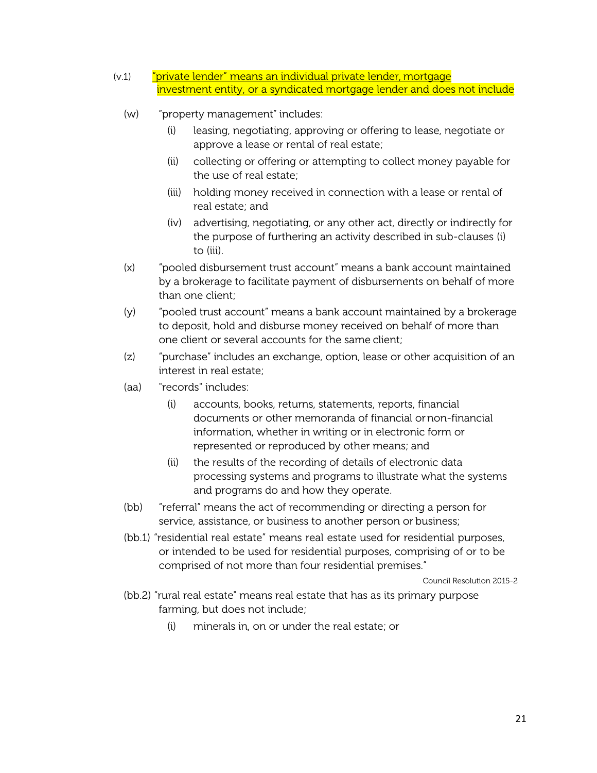- (v.1) <mark>"private lender" means an individual private lender, mortgage</mark> investment entity, or a syndicated mortgage lender and does not include
	- (w) "property management" includes:
		- (i) leasing, negotiating, approving or offering to lease, negotiate or approve a lease or rental of real estate;
		- (ii) collecting or offering or attempting to collect money payable for the use of real estate;
		- (iii) holding money received in connection with a lease or rental of real estate; and
		- (iv) advertising, negotiating, or any other act, directly or indirectly for the purpose of furthering an activity described in sub-clauses (i) to (iii).
	- (x) "pooled disbursement trust account" means a bank account maintained by a brokerage to facilitate payment of disbursements on behalf of more than one client;
	- (y) "pooled trust account" means a bank account maintained by a brokerage to deposit, hold and disburse money received on behalf of more than one client or several accounts for the same client;
	- (z) "purchase" includes an exchange, option, lease or other acquisition of an interest in real estate;
	- (aa) "records" includes:
		- (i) accounts, books, returns, statements, reports, financial documents or other memoranda of financial ornon-financial information, whether in writing or in electronic form or represented or reproduced by other means; and
		- (ii) the results of the recording of details of electronic data processing systems and programs to illustrate what the systems and programs do and how they operate.
	- (bb) "referral" means the act of recommending or directing a person for service, assistance, or business to another person or business;
	- (bb.1) "residential real estate" means real estate used for residential purposes, or intended to be used for residential purposes, comprising of or to be comprised of not more than four residential premises."

Council Resolution 2015-2

- (bb.2) "rural real estate" means real estate that has as its primary purpose farming, but does not include;
	- (i) minerals in, on or under the real estate; or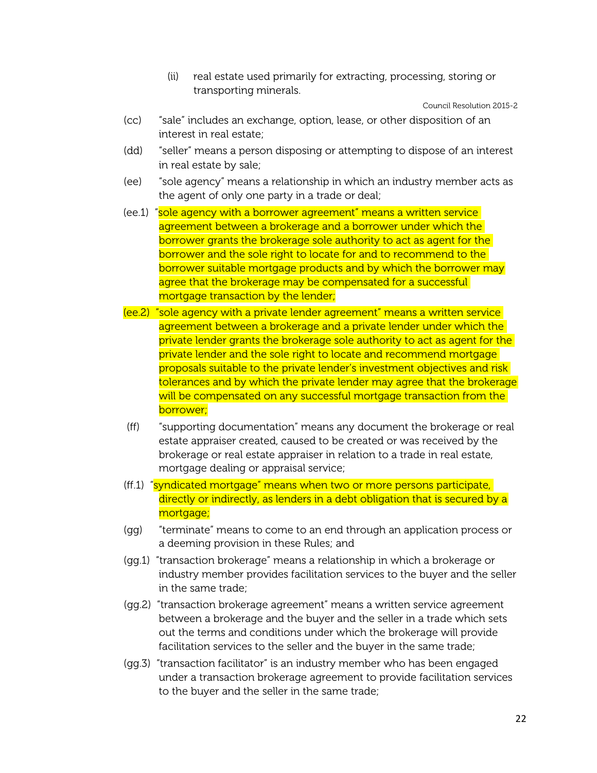(ii) real estate used primarily for extracting, processing, storing or transporting minerals.

Council Resolution 2015-2

- (cc) "sale" includes an exchange, option, lease, or other disposition of an interest in real estate;
- (dd) "seller" means a person disposing or attempting to dispose of an interest in real estate by sale;
- (ee) "sole agency" means a relationship in which an industry member acts as the agent of only one party in a trade or deal;
- (ee.1) "sole agency with a borrower agreement" means a written service agreement between a brokerage and a borrower under which the borrower grants the brokerage sole authority to act as agent for the borrower and the sole right to locate for and to recommend to the borrower suitable mortgage products and by which the borrower may agree that the brokerage may be compensated for a successful mortgage transaction by the lender;
- (ee.2) "sole agency with a private lender agreement" means a written service agreement between a brokerage and a private lender under which the private lender grants the brokerage sole authority to act as agent for the private lender and the sole right to locate and recommend mortgage proposals suitable to the private lender's investment objectives and risk tolerances and by which the private lender may agree that the brokerage will be compensated on any successful mortgage transaction from the borrower;
- (ff) "supporting documentation" means any document the brokerage or real estate appraiser created, caused to be created or was received by the brokerage or real estate appraiser in relation to a trade in real estate, mortgage dealing or appraisal service;
- (ff.1) "syndicated mortgage" means when two or more persons participate, directly or indirectly, as lenders in a debt obligation that is secured by a mortgage;
- (gg) "terminate" means to come to an end through an application process or a deeming provision in these Rules; and
- (gg.1) "transaction brokerage" means a relationship in which a brokerage or industry member provides facilitation services to the buyer and the seller in the same trade;
- (gg.2) "transaction brokerage agreement" means a written service agreement between a brokerage and the buyer and the seller in a trade which sets out the terms and conditions under which the brokerage will provide facilitation services to the seller and the buyer in the same trade;
- (gg.3) "transaction facilitator" is an industry member who has been engaged under a transaction brokerage agreement to provide facilitation services to the buyer and the seller in the same trade;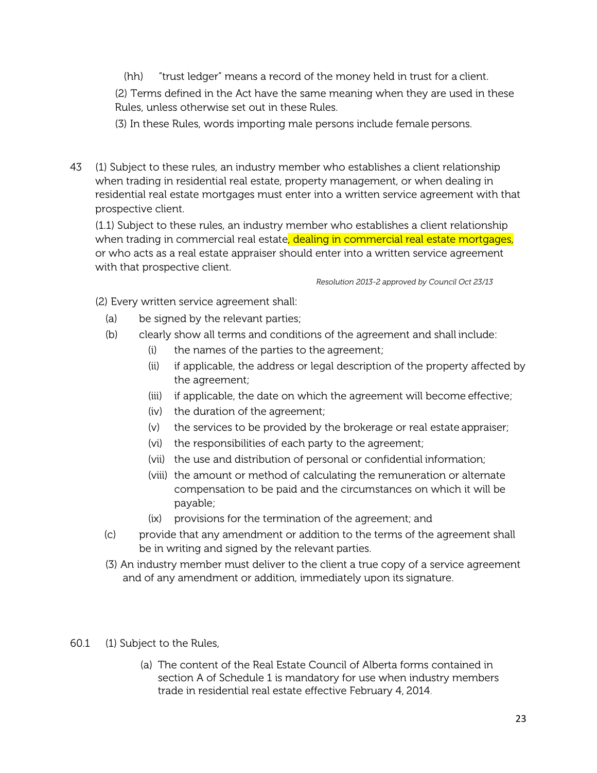(hh) "trust ledger" means a record of the money held in trust for a client.

(2) Terms defined in the Act have the same meaning when they are used in these Rules, unless otherwise set out in these Rules.

(3) In these Rules, words importing male persons include female persons.

43 (1) Subject to these rules, an industry member who establishes a client relationship when trading in residential real estate, property management, or when dealing in residential real estate mortgages must enter into a written service agreement with that prospective client.

(1.1) Subject to these rules, an industry member who establishes a client relationship when trading in commercial real estate, dealing in commercial real estate mortgages, or who acts as a real estate appraiser should enter into a written service agreement with that prospective client.

*Resolution 2013-2 approved by Council Oct 23/13*

(2) Every written service agreement shall:

- (a) be signed by the relevant parties;
- (b) clearly show all terms and conditions of the agreement and shall include:
	- (i) the names of the parties to the agreement;
	- (ii) if applicable, the address or legal description of the property affected by the agreement;
	- (iii) if applicable, the date on which the agreement will become effective;
	- (iv) the duration of the agreement;
	- (v) the services to be provided by the brokerage or real estate appraiser;
	- (vi) the responsibilities of each party to the agreement;
	- (vii) the use and distribution of personal or confidential information;
	- (viii) the amount or method of calculating the remuneration or alternate compensation to be paid and the circumstances on which it will be payable;
	- (ix) provisions for the termination of the agreement; and
- (c) provide that any amendment or addition to the terms of the agreement shall be in writing and signed by the relevant parties.
- (3) An industry member must deliver to the client a true copy of a service agreement and of any amendment or addition, immediately upon its signature.
- 60.1 (1) Subject to the Rules,
	- (a) The content of the Real Estate Council of Alberta forms contained in section A of Schedule 1 is mandatory for use when industry members trade in residential real estate effective February 4, 2014.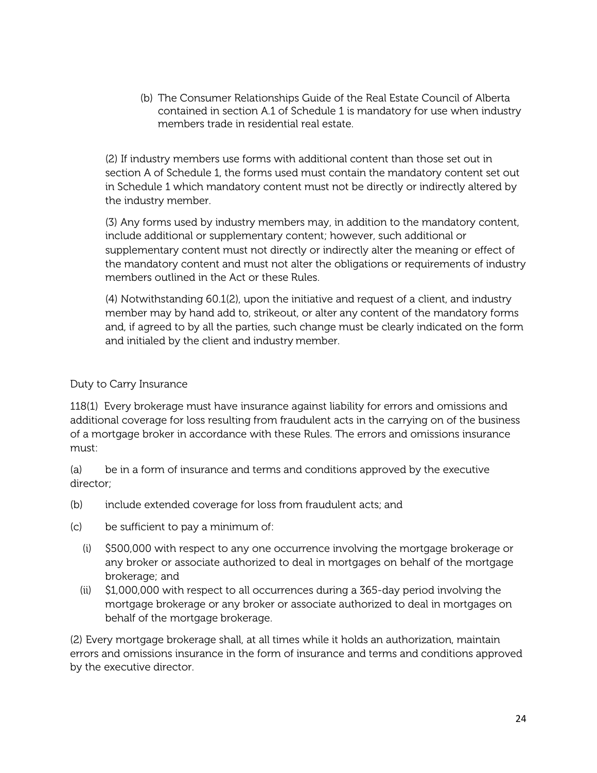(b) The Consumer Relationships Guide of the Real Estate Council of Alberta contained in section A.1 of Schedule 1 is mandatory for use when industry members trade in residential real estate.

(2) If industry members use forms with additional content than those set out in section A of Schedule 1, the forms used must contain the mandatory content set out in Schedule 1 which mandatory content must not be directly or indirectly altered by the industry member.

(3) Any forms used by industry members may, in addition to the mandatory content, include additional or supplementary content; however, such additional or supplementary content must not directly or indirectly alter the meaning or effect of the mandatory content and must not alter the obligations or requirements of industry members outlined in the Act or these Rules.

(4) Notwithstanding 60.1(2), upon the initiative and request of a client, and industry member may by hand add to, strikeout, or alter any content of the mandatory forms and, if agreed to by all the parties, such change must be clearly indicated on the form and initialed by the client and industry member.

## Duty to Carry Insurance

118(1) Every brokerage must have insurance against liability for errors and omissions and additional coverage for loss resulting from fraudulent acts in the carrying on of the business of a mortgage broker in accordance with these Rules. The errors and omissions insurance must:

(a) be in a form of insurance and terms and conditions approved by the executive director;

- (b) include extended coverage for loss from fraudulent acts; and
- (c) be sufficient to pay a minimum of:
	- (i) \$500,000 with respect to any one occurrence involving the mortgage brokerage or any broker or associate authorized to deal in mortgages on behalf of the mortgage brokerage; and
	- (ii) \$1,000,000 with respect to all occurrences during a 365-day period involving the mortgage brokerage or any broker or associate authorized to deal in mortgages on behalf of the mortgage brokerage.

(2) Every mortgage brokerage shall, at all times while it holds an authorization, maintain errors and omissions insurance in the form of insurance and terms and conditions approved by the executive director.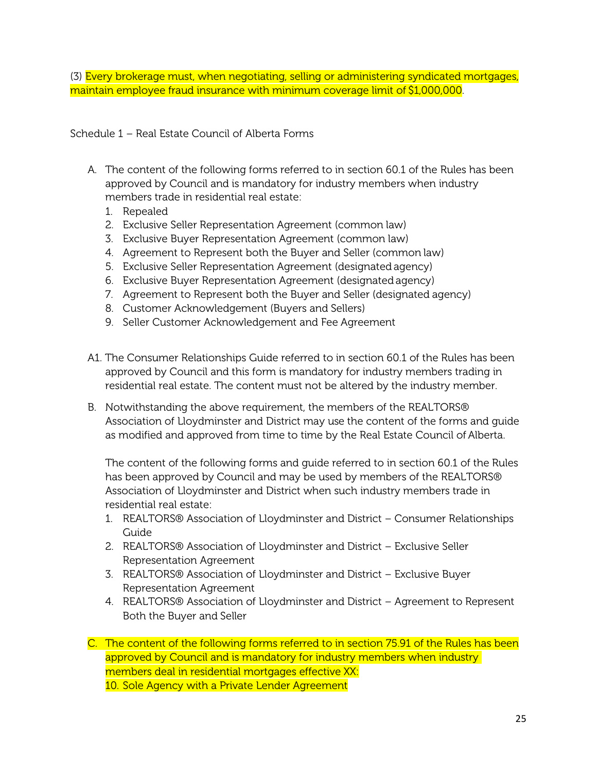(3) Every brokerage must, when negotiating, selling or administering syndicated mortgages, maintain employee fraud insurance with minimum coverage limit of \$1,000,000.

Schedule 1 – Real Estate Council of Alberta Forms

- A. The content of the following forms referred to in section 60.1 of the Rules has been approved by Council and is mandatory for industry members when industry members trade in residential real estate:
	- 1. Repealed
	- 2. Exclusive Seller Representation Agreement (common law)
	- 3. Exclusive Buyer Representation Agreement (common law)
	- 4. Agreement to Represent both the Buyer and Seller (common law)
	- 5. Exclusive Seller Representation Agreement (designated agency)
	- 6. Exclusive Buyer Representation Agreement (designated agency)
	- 7. Agreement to Represent both the Buyer and Seller (designated agency)
	- 8. Customer Acknowledgement (Buyers and Sellers)
	- 9. Seller Customer Acknowledgement and Fee Agreement
- A1. The Consumer Relationships Guide referred to in section 60.1 of the Rules has been approved by Council and this form is mandatory for industry members trading in residential real estate. The content must not be altered by the industry member.
- B. Notwithstanding the above requirement, the members of the REALTORS® Association of Lloydminster and District may use the content of the forms and guide as modified and approved from time to time by the Real Estate Council of Alberta.

The content of the following forms and guide referred to in section 60.1 of the Rules has been approved by Council and may be used by members of the REALTORS® Association of Lloydminster and District when such industry members trade in residential real estate:

- 1. REALTORS® Association of Lloydminster and District Consumer Relationships Guide
- 2. REALTORS® Association of Lloydminster and District Exclusive Seller Representation Agreement
- 3. REALTORS® Association of Lloydminster and District Exclusive Buyer Representation Agreement
- 4. REALTORS® Association of Lloydminster and District Agreement to Represent Both the Buyer and Seller

C. The content of the following forms referred to in section 75.91 of the Rules has been approved by Council and is mandatory for industry members when industry members deal in residential mortgages effective XX: 10. Sole Agency with a Private Lender Agreement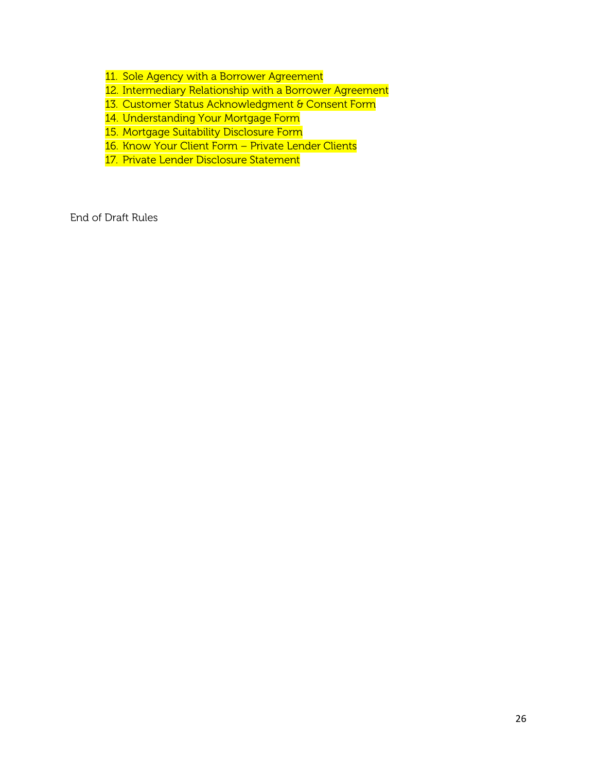11. Sole Agency with a Borrower Agreement

12. Intermediary Relationship with a Borrower Agreement

13. Customer Status Acknowledgment & Consent Form

14. Understanding Your Mortgage Form

15. Mortgage Suitability Disclosure Form

16. Know Your Client Form - Private Lender Clients

17. Private Lender Disclosure Statement

End of Draft Rules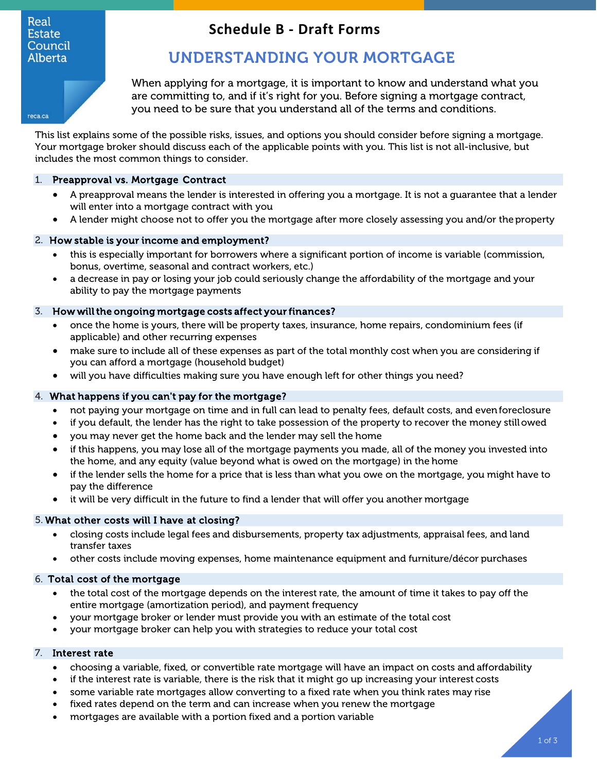#### Real **Estate** Council **Alberta**

# **Schedule B - Draft Forms**

# UNDERSTANDING YOUR MORTGAGE

When applying for a mortgage, it is important to know and understand what you are committing to, and if it's right for you. Before signing a mortgage contract, you need to be sure that you understand all of the terms and conditions.

reca.ca

This list explains some of the possible risks, issues, and options you should consider before signing a mortgage. Your mortgage broker should discuss each of the applicable points with you. This list is not all-inclusive, but includes the most common things to consider.

#### 1. Preapproval vs. Mortgage Contract

- A preapproval means the lender is interested in offering you a mortgage. It is not a guarantee that a lender will enter into a mortgage contract with you
- A lender might choose not to offer you the mortgage after more closely assessing you and/or theproperty

#### 2. How stable is your income and employment?

- this is especially important for borrowers where a significant portion of income is variable (commission, bonus, overtime, seasonal and contract workers, etc.)
- a decrease in pay or losing your job could seriously change the affordability of the mortgage and your ability to pay the mortgage payments

#### 3. How will the ongoing mortgage costs affect your finances?

- once the home is yours, there will be property taxes, insurance, home repairs, condominium fees (if applicable) and other recurring expenses
- make sure to include all of these expenses as part of the total monthly cost when you are considering if you can afford a mortgage (household budget)
- will you have difficulties making sure you have enough left for other things you need?

#### 4. What happens if you can't pay for the mortgage?

- not paying your mortgage on time and in full can lead to penalty fees, default costs, and evenforeclosure
- if you default, the lender has the right to take possession of the property to recover the money stillowed
- you may never get the home back and the lender may sell the home
- if this happens, you may lose all of the mortgage payments you made, all of the money you invested into the home, and any equity (value beyond what is owed on the mortgage) in the home
- if the lender sells the home for a price that is less than what you owe on the mortgage, you might have to pay the difference
- it will be very difficult in the future to find a lender that will offer you another mortgage

#### 5. What other costs will I have at closing?

- closing costs include legal fees and disbursements, property tax adjustments, appraisal fees, and land transfer taxes
- other costs include moving expenses, home maintenance equipment and furniture/décor purchases

### 6. Total cost of the mortgage

- the total cost of the mortgage depends on the interest rate, the amount of time it takes to pay off the entire mortgage (amortization period), and payment frequency
- your mortgage broker or lender must provide you with an estimate of the total cost
- your mortgage broker can help you with strategies to reduce your total cost

#### 7. Interest rate

- choosing a variable, fixed, or convertible rate mortgage will have an impact on costs and affordability
- if the interest rate is variable, there is the risk that it might go up increasing your interest costs
- some variable rate mortgages allow converting to a fixed rate when you think rates may rise
- fixed rates depend on the term and can increase when you renew the mortgage
- mortgages are available with a portion fixed and a portion variable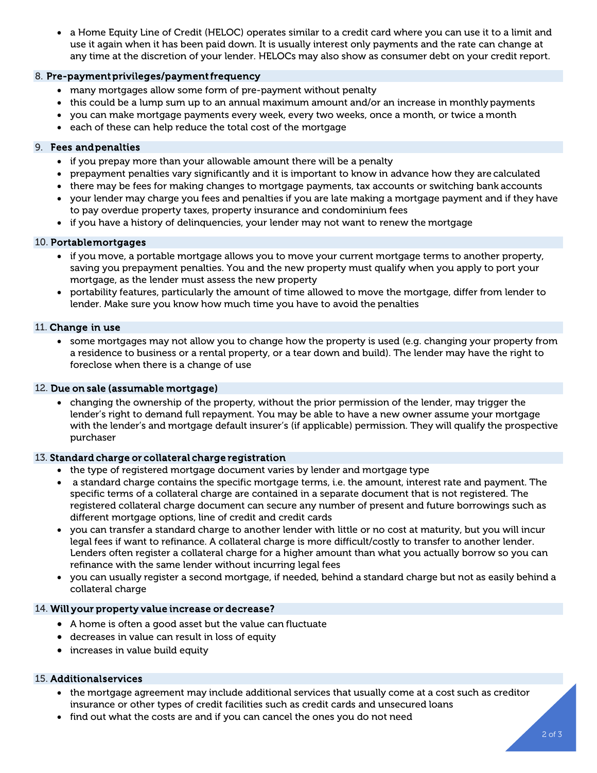• a Home Equity Line of Credit (HELOC) operates similar to a credit card where you can use it to a limit and use it again when it has been paid down. It is usually interest only payments and the rate can change at any time at the discretion of your lender. HELOCs may also show as consumer debt on your credit report.

#### 8. Pre-payment privileges/payment frequency

- many mortgages allow some form of pre-payment without penalty
- this could be a lump sum up to an annual maximum amount and/or an increase in monthly payments
- you can make mortgage payments every week, every two weeks, once a month, or twice a month
- each of these can help reduce the total cost of the mortgage

#### 9. Fees and penalties

- if you prepay more than your allowable amount there will be a penalty
- prepayment penalties vary significantly and it is important to know in advance how they are calculated
- there may be fees for making changes to mortgage payments, tax accounts or switching bank accounts
- your lender may charge you fees and penalties if you are late making a mortgage payment and if they have to pay overdue property taxes, property insurance and condominium fees
- if you have a history of delinquencies, your lender may not want to renew the mortgage

#### 10. Portable mortgages

- if you move, a portable mortgage allows you to move your current mortgage terms to another property, saving you prepayment penalties. You and the new property must qualify when you apply to port your mortgage, as the lender must assess the new property
- portability features, particularly the amount of time allowed to move the mortgage, differ from lender to lender. Make sure you know how much time you have to avoid the penalties

#### 11. Change in use

• some mortgages may not allow you to change how the property is used (e.g. changing your property from a residence to business or a rental property, or a tear down and build). The lender may have the right to foreclose when there is a change of use

#### 12. Due on sale (assumable mortgage)

• changing the ownership of the property, without the prior permission of the lender, may trigger the lender's right to demand full repayment. You may be able to have a new owner assume your mortgage with the lender's and mortgage default insurer's (if applicable) permission. They will qualify the prospective purchaser

#### 13. Standard charge or collateral charge registration

- the type of registered mortgage document varies by lender and mortgage type
- a standard charge contains the specific mortgage terms, i.e. the amount, interest rate and payment. The specific terms of a collateral charge are contained in a separate document that is not registered. The registered collateral charge document can secure any number of present and future borrowings such as different mortgage options, line of credit and credit cards
- you can transfer a standard charge to another lender with little or no cost at maturity, but you will incur legal fees if want to refinance. A collateral charge is more difficult/costly to transfer to another lender. Lenders often register a collateral charge for a higher amount than what you actually borrow so you can refinance with the same lender without incurring legal fees
- you can usually register a second mortgage, if needed, behind a standard charge but not as easily behind a collateral charge

#### 14. Will your property value increase or decrease?

- A home is often a good asset but the value can fluctuate
- decreases in value can result in loss of equity
- increases in value build equity

#### 15. Additional services

- the mortgage agreement may include additional services that usually come at a cost such as creditor insurance or other types of credit facilities such as credit cards and unsecured loans
- find out what the costs are and if you can cancel the ones you do not need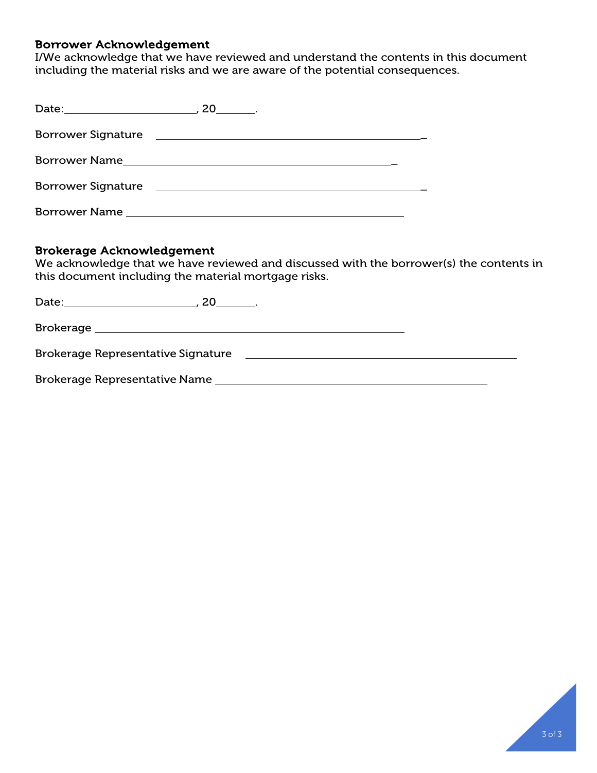## Borrower Acknowledgement

I/We acknowledge that we have reviewed and understand the contents in this document including the material risks and we are aware of the potential consequences.

|                           | $20$ _______.                                                                                                         |  |
|---------------------------|-----------------------------------------------------------------------------------------------------------------------|--|
|                           |                                                                                                                       |  |
|                           |                                                                                                                       |  |
| <b>Borrower Signature</b> | <u> 1989 - Andrea State Barbara, amerikan personal di personal dengan personal dengan personal dengan personal de</u> |  |
|                           | Borrower Name <b>Example 2018</b>                                                                                     |  |

## Brokerage Acknowledgement

We acknowledge that we have reviewed and discussed with the borrower(s) the contents in this document including the material mortgage risks.

| Date: the contract of the contract of the contract of the contract of the contract of the contract of the contract of the contract of the contract of the contract of the contract of the contract of the contract of the cont<br>20 |  |
|--------------------------------------------------------------------------------------------------------------------------------------------------------------------------------------------------------------------------------------|--|
|                                                                                                                                                                                                                                      |  |
| <b>Brokerage Representative Signature</b>                                                                                                                                                                                            |  |
| <b>Brokerage Representative Name</b>                                                                                                                                                                                                 |  |

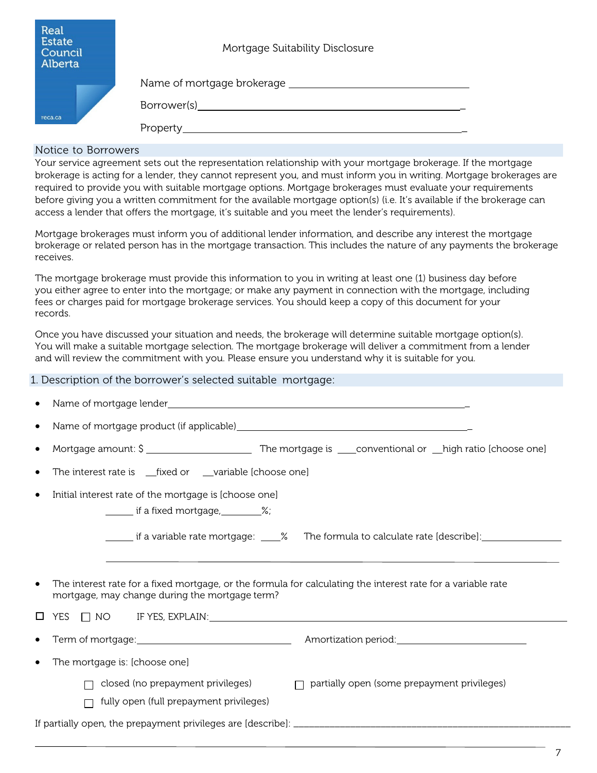| Real<br>Estate<br>Council<br>Alberta | Mortgage Suitability Disclosure                                                                                                                                                                                                |
|--------------------------------------|--------------------------------------------------------------------------------------------------------------------------------------------------------------------------------------------------------------------------------|
|                                      |                                                                                                                                                                                                                                |
|                                      | Borrower(s) and the state of the state of the state of the state of the state of the state of the state of the state of the state of the state of the state of the state of the state of the state of the state of the state o |
| reca.ca                              | Property                                                                                                                                                                                                                       |

#### Notice to Borrowers

Your service agreement sets out the representation relationship with your mortgage brokerage. If the mortgage brokerage is acting for a lender, they cannot represent you, and must inform you in writing. Mortgage brokerages are required to provide you with suitable mortgage options. Mortgage brokerages must evaluate your requirements before giving you a written commitment for the available mortgage option(s) (i.e. It's available if the brokerage can access a lender that offers the mortgage, it's suitable and you meet the lender's requirements).

Mortgage brokerages must inform you of additional lender information, and describe any interest the mortgage brokerage or related person has in the mortgage transaction. This includes the nature of any payments the brokerage receives.

The mortgage brokerage must provide this information to you in writing at least one (1) business day before you either agree to enter into the mortgage; or make any payment in connection with the mortgage, including fees or charges paid for mortgage brokerage services. You should keep a copy of this document for your records.

Once you have discussed your situation and needs, the brokerage will determine suitable mortgage option(s). You will make a suitable mortgage selection. The mortgage brokerage will deliver a commitment from a lender and will review the commitment with you. Please ensure you understand why it is suitable for you.

| 1. Description of the borrower's selected suitable mortgage: |  |  |  |
|--------------------------------------------------------------|--|--|--|
|                                                              |  |  |  |

| Name of mortgage lender and the contract of the contract of the contract of the contract of the contract of the contract of the contract of the contract of the contract of the contract of the contract of the contract of th<br>$\bullet$ |
|---------------------------------------------------------------------------------------------------------------------------------------------------------------------------------------------------------------------------------------------|
| $\bullet$                                                                                                                                                                                                                                   |
| $\bullet$                                                                                                                                                                                                                                   |
| The interest rate is _fixed or _variable [choose one]<br>$\bullet$                                                                                                                                                                          |
| Initial interest rate of the mortgage is [choose one]<br>$\bullet$                                                                                                                                                                          |
| if a fixed mortgage, 1.1.1.1.2%;                                                                                                                                                                                                            |
| _______ if a variable rate mortgage: _____% The formula to calculate rate [describe]: ___________________                                                                                                                                   |
|                                                                                                                                                                                                                                             |
| The interest rate for a fixed mortgage, or the formula for calculating the interest rate for a variable rate<br>$\bullet$<br>mortgage, may change during the mortgage term?                                                                 |
| $\begin{array}{llll} \text{YES} & \text{[NOC} & \text{IF } \text{YES}, \text{EXPLAIN:} \end{array}$                                                                                                                                         |
|                                                                                                                                                                                                                                             |
| The mortgage is: [choose one]                                                                                                                                                                                                               |
| closed (no prepayment privileges)<br>$\Box$ partially open (some prepayment privileges)                                                                                                                                                     |
| fully open (full prepayment privileges)                                                                                                                                                                                                     |
|                                                                                                                                                                                                                                             |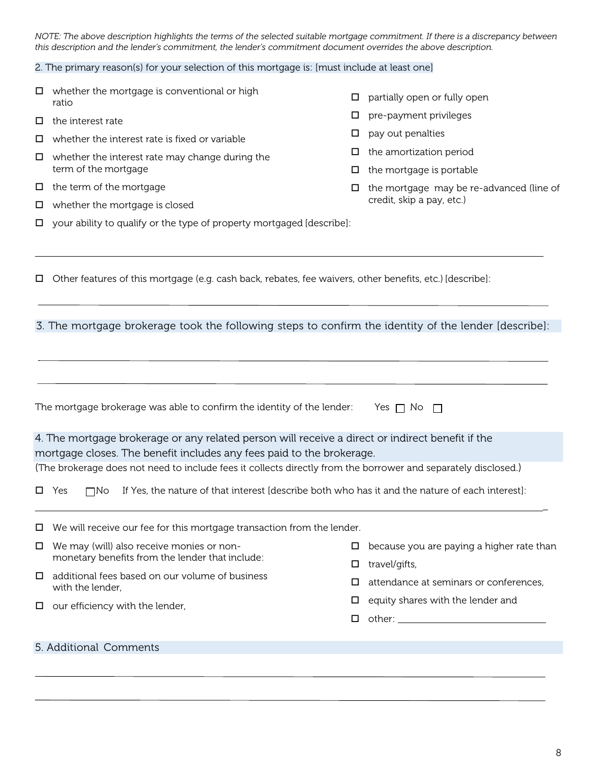*NOTE: The above description highlights the terms of the selected suitable mortgage commitment. If there is a discrepancy between this description and the lender's commitment, the lender's commitment document overrides the above description.*

 $\square$  partially open or fully open

 $\square$  pre-payment privileges

 $\Box$  the amortization period  $\Box$  the mortgage is portable

credit, skip a pay, etc.)

 $\Box$  the mortgage may be re-advanced (line of

 $\square$  pay out penalties

#### 2. The primary reason(s) for your selection of this mortgage is: [must include at least one]

- $\square$  whether the mortgage is conventional or high ratio
- $\Box$  the interest rate
- $\Box$  whether the interest rate is fixed or variable
- $\Box$  whether the interest rate may change during the term of the mortgage
- $\Box$  the term of the mortgage
- $\Box$  whether the mortgage is closed
- $\Box$  your ability to qualify or the type of property mortgaged [describe]:
- Other features of this mortgage (e.g. cash back, rebates, fee waivers, other benefits, etc.) [describe]:

#### 3. The mortgage brokerage took the following steps to confirm the identity of the lender [describe]:

|                                                 | The mortgage brokerage was able to confirm the identity of the lender:                                                        |   | Yes $\Box$ No $\Box$                      |
|-------------------------------------------------|-------------------------------------------------------------------------------------------------------------------------------|---|-------------------------------------------|
|                                                 | 4. The mortgage brokerage or any related person will receive a direct or indirect benefit if the                              |   |                                           |
|                                                 | mortgage closes. The benefit includes any fees paid to the brokerage.                                                         |   |                                           |
|                                                 | (The brokerage does not need to include fees it collects directly from the borrower and separately disclosed.)                |   |                                           |
|                                                 | $\square$ Yes<br>If Yes, the nature of that interest [describe both who has it and the nature of each interest]:<br>$\Box$ No |   |                                           |
|                                                 | $\Box$ We will receive our fee for this mortgage transaction from the lender.                                                 |   |                                           |
| $\Box$                                          | We may (will) also receive monies or non-                                                                                     |   | because you are paying a higher rate than |
| monetary benefits from the lender that include: |                                                                                                                               | □ | travel/gifts,                             |
| $\Box$                                          | additional fees based on our volume of business<br>with the lender,                                                           | □ | attendance at seminars or conferences,    |
|                                                 | $\Box$ our efficiency with the lender,                                                                                        | □ | equity shares with the lender and         |
|                                                 |                                                                                                                               | □ |                                           |
|                                                 |                                                                                                                               |   |                                           |
|                                                 | 5. Additional Comments                                                                                                        |   |                                           |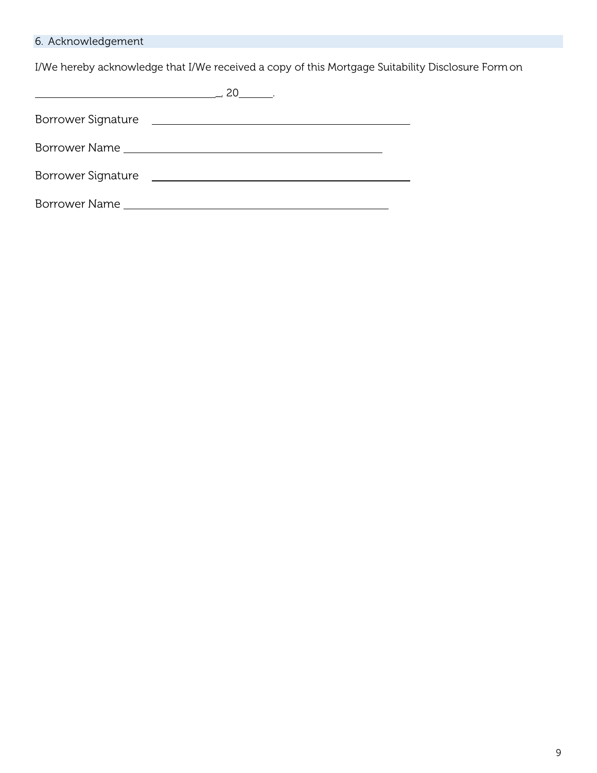## 6. Acknowledgement

I/We hereby acknowledge that I/We received a copy of this Mortgage Suitability Disclosure Formon

|                    | $-20$                                                      |
|--------------------|------------------------------------------------------------|
| Borrower Signature | <u> 1989 - Andrea Station Barbara, politik a politik (</u> |
|                    |                                                            |
| Borrower Signature |                                                            |
| Borrower Name      |                                                            |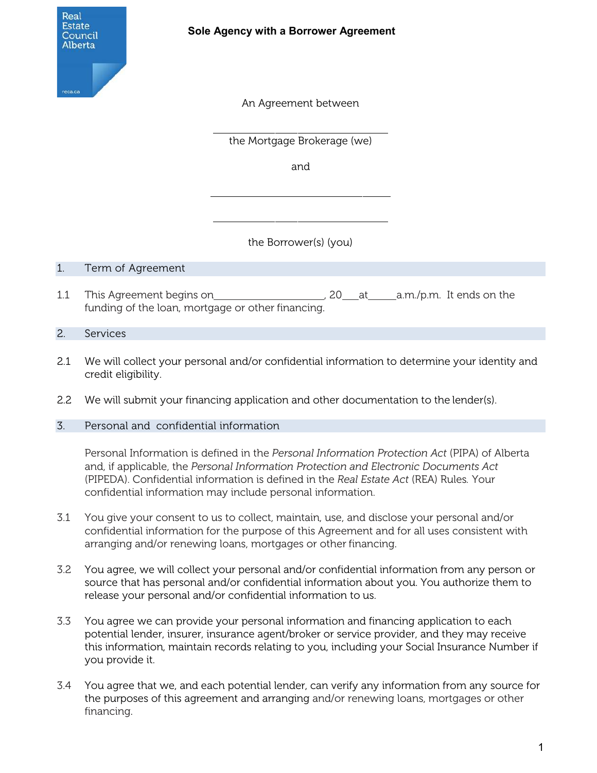

An Agreement between

the Mortgage Brokerage (we)

and

the Borrower(s) (you)

## 1. Term of Agreement

1.1 This Agreement begins on 1.1 This Agreement begins on  $\frac{1}{20}$  20 at a.m./p.m. It ends on the funding of the loan, mortgage or other financing.

## 2. Services

- 2.1 We will collect your personal and/or confidential information to determine your identity and credit eligibility.
- 2.2 We will submit your financing application and other documentation to the lender(s).

## 3. Personal and confidential information

Personal Information is defined in the *Personal Information Protection Act* (PIPA) of Alberta and, if applicable, the *Personal Information Protection and Electronic Documents Act*  (PIPEDA). Confidential information is defined in the *Real Estate Act* (REA) Rules*.* Your confidential information may include personal information.

- 3.1 You give your consent to us to collect, maintain, use, and disclose your personal and/or confidential information for the purpose of this Agreement and for all uses consistent with arranging and/or renewing loans, mortgages or other financing.
- 3.2 You agree, we will collect your personal and/or confidential information from any person or source that has personal and/or confidential information about you. You authorize them to release your personal and/or confidential information to us.
- 3.3 You agree we can provide your personal information and financing application to each potential lender, insurer, insurance agent/broker or service provider, and they may receive this information, maintain records relating to you, including your Social Insurance Number if you provide it.
- 3.4 You agree that we, and each potential lender, can verify any information from any source for the purposes of this agreement and arranging and/or renewing loans, mortgages or other financing.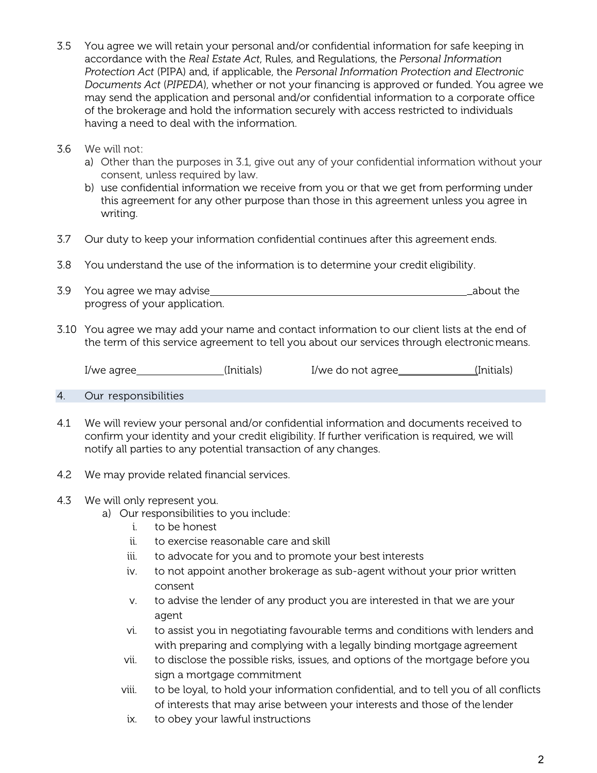- 3.5 You agree we will retain your personal and/or confidential information for safe keeping in accordance with the *Real Estate Act*, Rules, and Regulations, the *Personal Information Protection Act* (PIPA) and, if applicable, the *Personal Information Protection and Electronic Documents Act* (*PIPEDA*), whether or not your financing is approved or funded. You agree we may send the application and personal and/or confidential information to a corporate office of the brokerage and hold the information securely with access restricted to individuals having a need to deal with the information.
- 3.6 We will not:
	- a) Other than the purposes in 3.1, give out any of your confidential information without your consent, unless required by law.
	- b) use confidential information we receive from you or that we get from performing under this agreement for any other purpose than those in this agreement unless you agree in writing.
- 3.7 Our duty to keep your information confidential continues after this agreement ends.
- 3.8 You understand the use of the information is to determine your credit eligibility.
- 3.9 You agree we may advise \_about the progress of your application.
- 3.10 You agree we may add your name and contact information to our client lists at the end of the term of this service agreement to tell you about our services through electronicmeans.

I/we agree (Initials) I/we do not agree (Initials)

- 4. Our responsibilities
- 4.1 We will review your personal and/or confidential information and documents received to confirm your identity and your credit eligibility. If further verification is required, we will notify all parties to any potential transaction of any changes.
- 4.2 We may provide related financial services.
- 4.3 We will only represent you.
	- a) Our responsibilities to you include:
		- i. to be honest
		- ii. to exercise reasonable care and skill
		- iii. to advocate for you and to promote your best interests
		- iv. to not appoint another brokerage as sub-agent without your prior written consent
		- v. to advise the lender of any product you are interested in that we are your agent
		- vi. to assist you in negotiating favourable terms and conditions with lenders and with preparing and complying with a legally binding mortgage agreement
		- vii. to disclose the possible risks, issues, and options of the mortgage before you sign a mortgage commitment
		- viii. to be loyal, to hold your information confidential, and to tell you of all conflicts of interests that may arise between your interests and those of the lender
		- ix. to obey your lawful instructions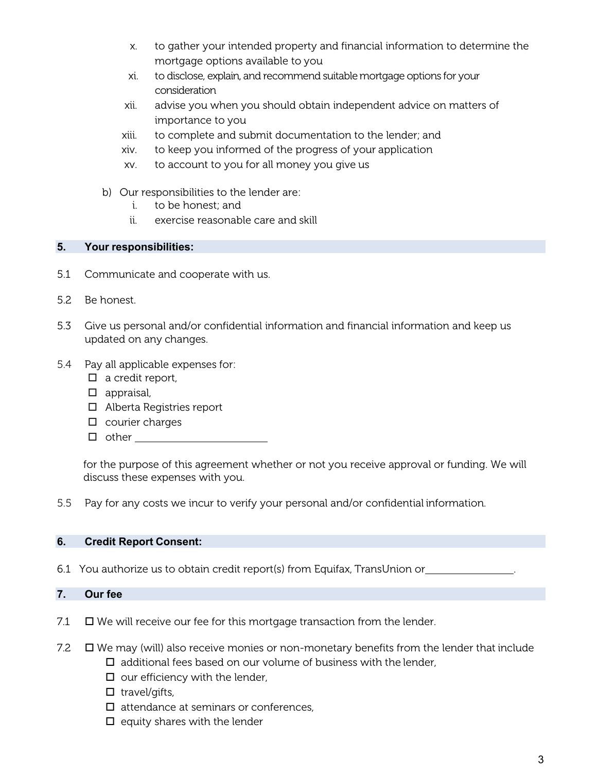- x. to gather your intended property and financial information to determine the mortgage options available to you
- xi. to disclose, explain, and recommend suitablemortgage options for your consideration
- xii. advise you when you should obtain independent advice on matters of importance to you
- xiii. to complete and submit documentation to the lender; and
- xiv. to keep you informed of the progress of your application
- xv. to account to you for all money you give us
- b) Our responsibilities to the lender are:
	- i. to be honest; and
	- ii. exercise reasonable care and skill

## **5. Your responsibilities:**

- 5.1 Communicate and cooperate with us.
- 5.2 Be honest.
- 5.3 Give us personal and/or confidential information and financial information and keep us updated on any changes.
- 5.4 Pay all applicable expenses for:
	- $\Box$  a credit report,
	- $\Box$  appraisal,
	- □ Alberta Registries report
	- $\square$  courier charges
	- $\Box$  other

for the purpose of this agreement whether or not you receive approval or funding. We will discuss these expenses with you.

5.5 Pay for any costs we incur to verify your personal and/or confidential information.

## **6. Credit Report Consent:**

6.1 You authorize us to obtain credit report(s) from Equifax, TransUnion or .

## **7. Our fee**

- 7.1  $\Box$  We will receive our fee for this mortgage transaction from the lender.
- 7.2  $\Box$  We may (will) also receive monies or non-monetary benefits from the lender that include
	- $\Box$  additional fees based on our volume of business with the lender,
	- $\square$  our efficiency with the lender,
	- $\Box$  travel/gifts,
	- $\Box$  attendance at seminars or conferences,
	- $\Box$  equity shares with the lender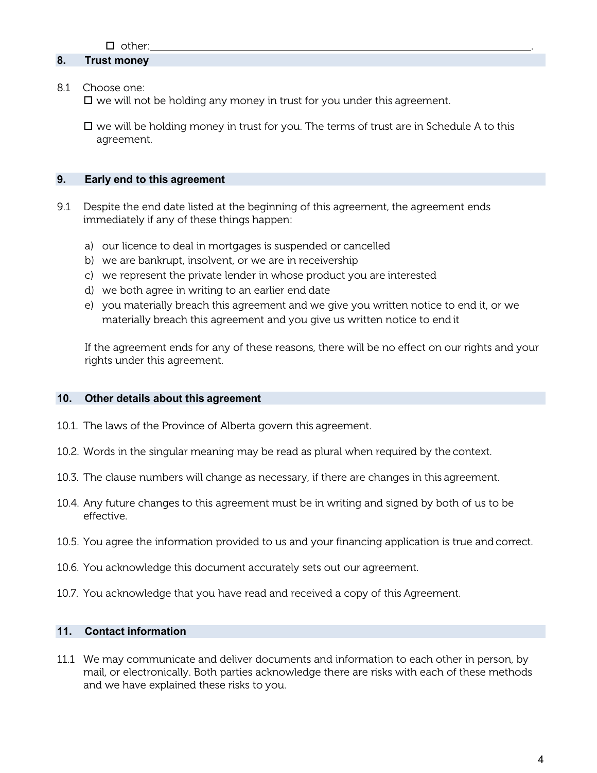## **8. Trust money**

8.1 Choose one:

 $\Box$  we will not be holding any money in trust for you under this agreement.

 $\Box$  we will be holding money in trust for you. The terms of trust are in Schedule A to this agreement.

#### **9. Early end to this agreement**

- 9.1 Despite the end date listed at the beginning of this agreement, the agreement ends immediately if any of these things happen:
	- a) our licence to deal in mortgages is suspended or cancelled
	- b) we are bankrupt, insolvent, or we are in receivership
	- c) we represent the private lender in whose product you are interested
	- d) we both agree in writing to an earlier end date
	- e) you materially breach this agreement and we give you written notice to end it, or we materially breach this agreement and you give us written notice to end it

If the agreement ends for any of these reasons, there will be no effect on our rights and your rights under this agreement.

#### **10. Other details about this agreement**

- 10.1. The laws of the Province of Alberta govern this agreement.
- 10.2. Words in the singular meaning may be read as plural when required by the context.
- 10.3. The clause numbers will change as necessary, if there are changes in this agreement.
- 10.4. Any future changes to this agreement must be in writing and signed by both of us to be effective.
- 10.5. You agree the information provided to us and your financing application is true and correct.
- 10.6. You acknowledge this document accurately sets out our agreement.
- 10.7. You acknowledge that you have read and received a copy of this Agreement.

#### **11. Contact information**

11.1 We may communicate and deliver documents and information to each other in person, by mail, or electronically. Both parties acknowledge there are risks with each of these methods and we have explained these risks to you.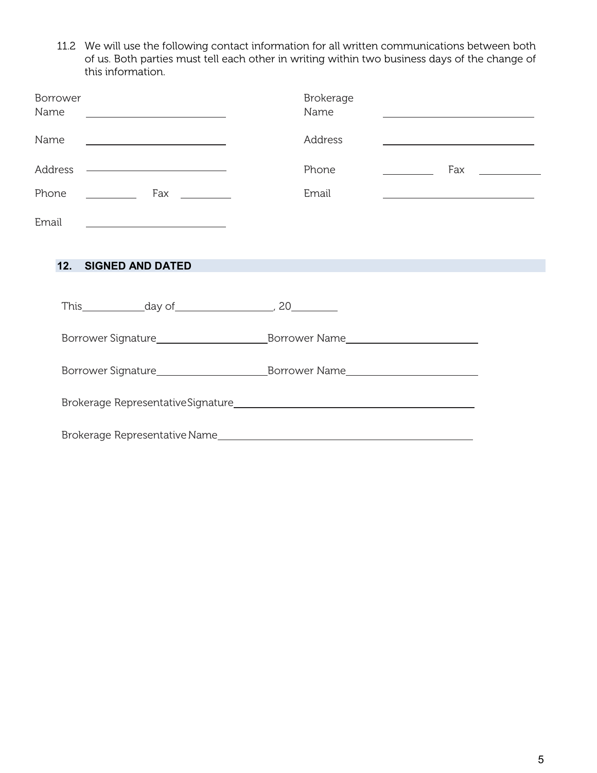11.2 We will use the following contact information for all written communications between both of us. Both parties must tell each other in writing within two business days of the change of this information.

| Borrower<br>Name<br><u> 1980 - Andrea Andrew Maria (h. 1980).</u> | Brokerage<br>Name |                                                                 |                    |
|-------------------------------------------------------------------|-------------------|-----------------------------------------------------------------|--------------------|
| Name<br><u> 1990 - Johann Barbara, martin a</u>                   | Address           |                                                                 |                    |
| Address                                                           | Phone             |                                                                 | Fax ______________ |
| Phone                                                             | Email             | <u> 1989 - Johann Barn, fransk politik amerikansk politik (</u> |                    |
| Email<br><u> 1990 - Johann Barbara, martin amerikan per</u>       |                   |                                                                 |                    |
| 12.<br><b>SIGNED AND DATED</b>                                    |                   |                                                                 |                    |
| This $\qquad \qquad \text{day of} \qquad \qquad \qquad 20$        |                   |                                                                 |                    |
|                                                                   |                   |                                                                 |                    |
|                                                                   |                   |                                                                 |                    |
|                                                                   |                   |                                                                 |                    |
| Brokerage Representative Name                                     |                   |                                                                 |                    |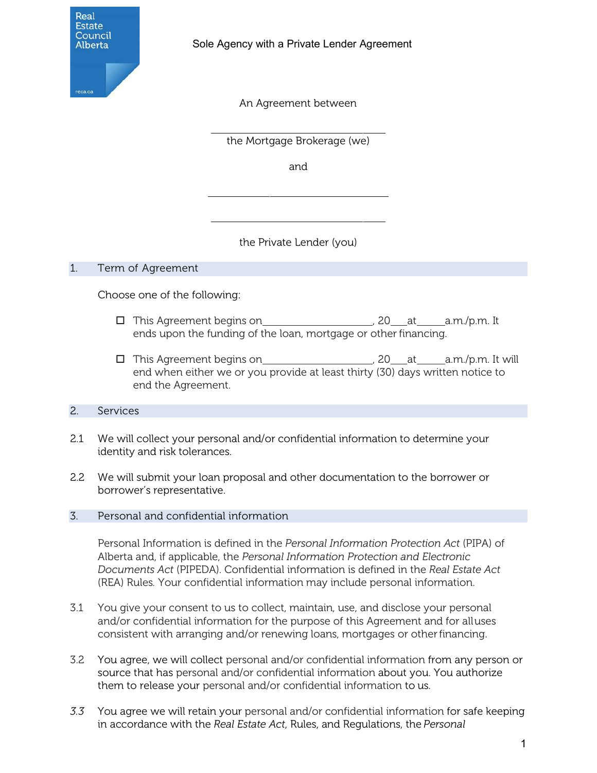

An Agreement between

the Mortgage Brokerage (we)

and

the Private Lender (you)

## 1. Term of Agreement

Choose one of the following:

- This Agreement begins on , 20 at a.m./p.m. It ends upon the funding of the loan, mortgage or other financing.
- This Agreement begins on , 20 at a.m./p.m. It will end when either we or you provide at least thirty (30) days written notice to end the Agreement.

## 2. Services

- 2.1 We will collect your personal and/or confidential information to determine your identity and risk tolerances.
- 2.2 We will submit your loan proposal and other documentation to the borrower or borrower's representative.

## 3. Personal and confidential information

Personal Information is defined in the *Personal Information Protection Act* (PIPA) of Alberta and, if applicable, the *Personal Information Protection and Electronic Documents Act* (PIPEDA). Confidential information is defined in the *Real Estate Act*  (REA) Rules*.* Your confidential information may include personal information.

- 3.1 You give your consent to us to collect, maintain, use, and disclose your personal and/or confidential information for the purpose of this Agreement and for alluses consistent with arranging and/or renewing loans, mortgages or otherfinancing.
- 3.2 You agree, we will collect personal and/or confidential information from any person or source that has personal and/or confidential information about you. You authorize them to release your personal and/or confidential information to us.
- *3.3* You agree we will retain your personal and/or confidential information for safe keeping in accordance with the *Real Estate Act*, Rules, and Regulations, the *Personal*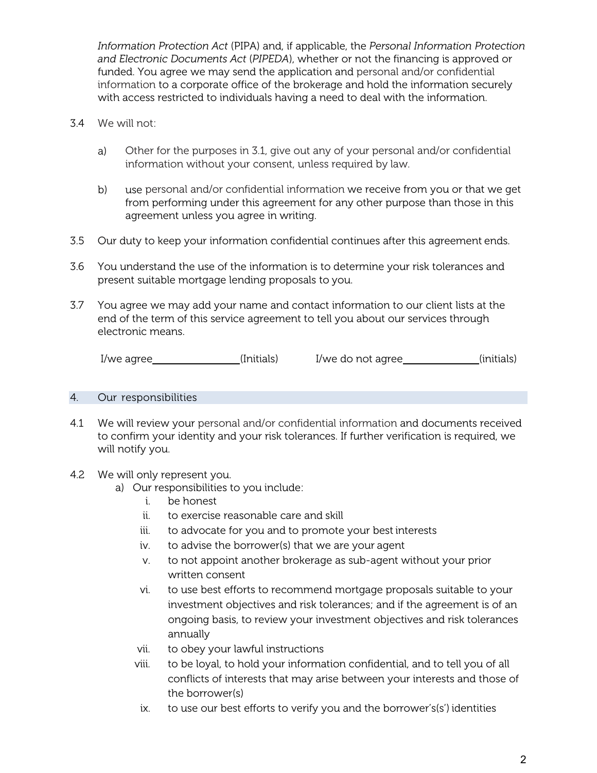*Information Protection Act* (PIPA) and, if applicable, the *Personal Information Protection and Electronic Documents Act* (*PIPEDA*), whether or not the financing is approved or funded. You agree we may send the application and personal and/or confidential information to a corporate office of the brokerage and hold the information securely with access restricted to individuals having a need to deal with the information.

- 3.4 We will not:
	- a) Other for the purposes in 3.1, give out any of your personal and/or confidential information without your consent, unless required by law.
	- b) use personal and/or confidential information we receive from you or that we get from performing under this agreement for any other purpose than those in this agreement unless you agree in writing.
- 3.5 Our duty to keep your information confidential continues after this agreement ends.
- 3.6 You understand the use of the information is to determine your risk tolerances and present suitable mortgage lending proposals to you.
- 3.7 You agree we may add your name and contact information to our client lists at the end of the term of this service agreement to tell you about our services through electronic means.

I/we agree \_\_\_\_\_\_\_\_\_\_\_\_\_\_\_\_(Initials) I/we do not agree \_\_\_\_\_\_\_\_\_\_\_\_\_(initials)

#### 4. Our responsibilities

4.1 We will review your personal and/or confidential information and documents received to confirm your identity and your risk tolerances. If further verification is required, we will notify you.

#### 4.2 We will only represent you.

- a) Our responsibilities to you include:
	- i. be honest
	- ii. to exercise reasonable care and skill
	- iii. to advocate for you and to promote your best interests
	- iv. to advise the borrower(s) that we are your agent
	- v. to not appoint another brokerage as sub-agent without your prior written consent
	- vi. to use best efforts to recommend mortgage proposals suitable to your investment objectives and risk tolerances; and if the agreement is of an ongoing basis, to review your investment objectives and risk tolerances annually
	- vii. to obey your lawful instructions
	- viii. to be loyal, to hold your information confidential, and to tell you of all conflicts of interests that may arise between your interests and those of the borrower(s)
	- ix. to use our best efforts to verify you and the borrower's(s') identities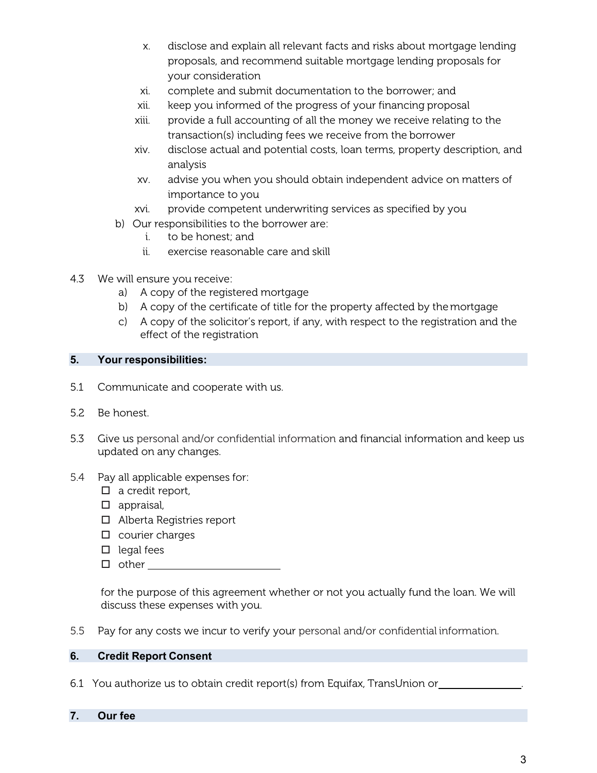- x. disclose and explain all relevant facts and risks about mortgage lending proposals, and recommend suitable mortgage lending proposals for your consideration
- xi. complete and submit documentation to the borrower; and
- xii. keep you informed of the progress of your financing proposal
- xiii. provide a full accounting of all the money we receive relating to the transaction(s) including fees we receive from the borrower
- xiv. disclose actual and potential costs, loan terms, property description, and analysis
- xv. advise you when you should obtain independent advice on matters of importance to you
- xvi. provide competent underwriting services as specified by you
- b) Our responsibilities to the borrower are:
	- i. to be honest; and
	- ii. exercise reasonable care and skill
- 4.3 We will ensure you receive:
	- a) A copy of the registered mortgage
	- b) A copy of the certificate of title for the property affected by themortgage
	- c) A copy of the solicitor's report, if any, with respect to the registration and the effect of the registration

## **5. Your responsibilities:**

- 5.1 Communicate and cooperate with us.
- 5.2 Be honest.
- 5.3 Give us personal and/or confidential information and financial information and keep us updated on any changes.
- 5.4 Pay all applicable expenses for:
	- $\Box$  a credit report,
	- $\Box$  appraisal,
	- □ Alberta Registries report
	- $\square$  courier charges
	- $\Box$  legal fees
	- $\Box$  other

for the purpose of this agreement whether or not you actually fund the loan. We will discuss these expenses with you.

5.5 Pay for any costs we incur to verify your personal and/or confidential information.

## **6. Credit Report Consent**

6.1 You authorize us to obtain credit report(s) from Equifax, TransUnion or .

## **7. Our fee**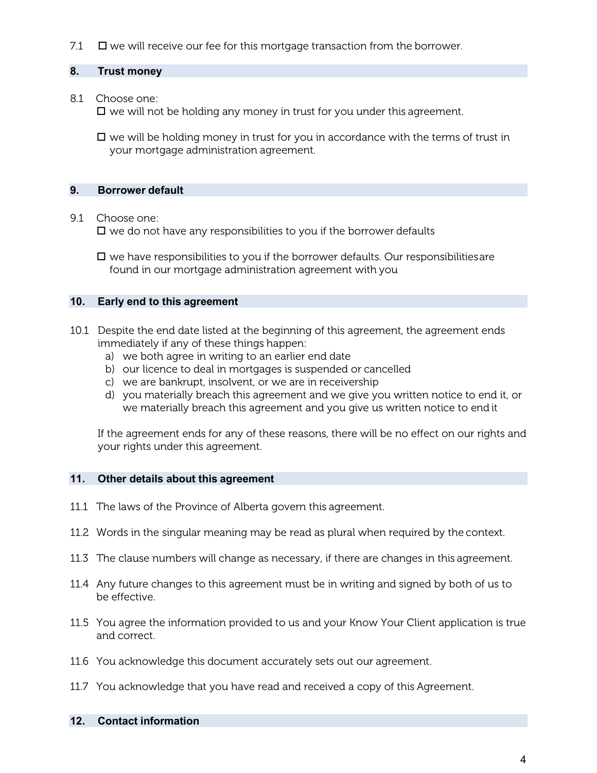7.1  $\Box$  we will receive our fee for this mortgage transaction from the borrower.

## **8. Trust money**

8.1 Choose one:

 $\square$  we will not be holding any money in trust for you under this agreement.

 $\Box$  we will be holding money in trust for you in accordance with the terms of trust in your mortgage administration agreement.

## **9. Borrower default**

#### 9.1 Choose one:

 $\Box$  we do not have any responsibilities to you if the borrower defaults

 $\Box$  we have responsibilities to you if the borrower defaults. Our responsibilities are found in our mortgage administration agreement with you

#### **10. Early end to this agreement**

- 10.1 Despite the end date listed at the beginning of this agreement, the agreement ends immediately if any of these things happen:
	- a) we both agree in writing to an earlier end date
	- b) our licence to deal in mortgages is suspended or cancelled
	- c) we are bankrupt, insolvent, or we are in receivership
	- d) you materially breach this agreement and we give you written notice to end it, or we materially breach this agreement and you give us written notice to end it

If the agreement ends for any of these reasons, there will be no effect on our rights and your rights under this agreement.

#### **11. Other details about this agreement**

- 11.1 The laws of the Province of Alberta govern this agreement.
- 11.2 Words in the singular meaning may be read as plural when required by the context.
- 11.3 The clause numbers will change as necessary, if there are changes in this agreement.
- 11.4 Any future changes to this agreement must be in writing and signed by both of us to be effective.
- 11.5 You agree the information provided to us and your Know Your Client application is true and correct.
- 11.6 You acknowledge this document accurately sets out our agreement.
- 11.7 You acknowledge that you have read and received a copy of this Agreement.

#### **12. Contact information**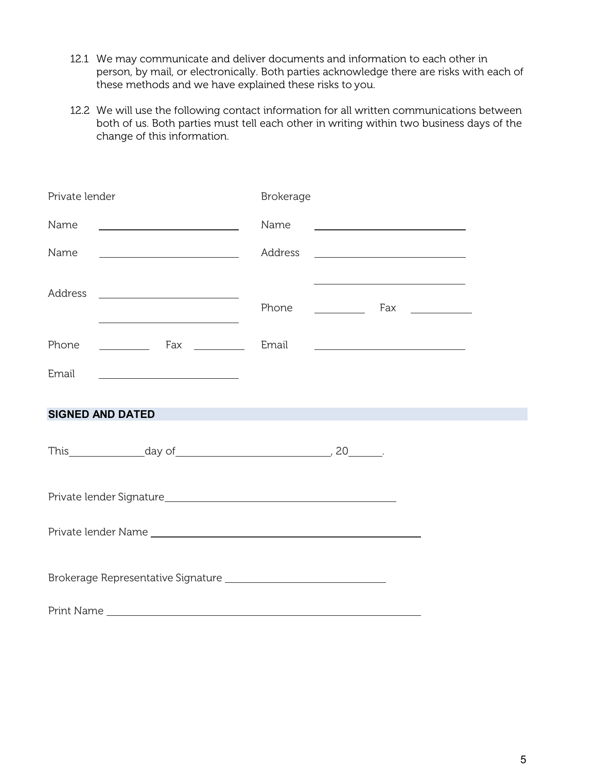- 12.1 We may communicate and deliver documents and information to each other in person, by mail, or electronically. Both parties acknowledge there are risks with each of these methods and we have explained these risks to you.
- 12.2 We will use the following contact information for all written communications between both of us. Both parties must tell each other in writing within two business days of the change of this information.

| Private lender                                                                  | Brokerage                                                                                                                                                                                                                                                                                                                                                                                             |
|---------------------------------------------------------------------------------|-------------------------------------------------------------------------------------------------------------------------------------------------------------------------------------------------------------------------------------------------------------------------------------------------------------------------------------------------------------------------------------------------------|
| Name                                                                            | Name                                                                                                                                                                                                                                                                                                                                                                                                  |
| Name                                                                            | Address<br><u> 1980 - Johann Barbara, martin amerikan basar da</u>                                                                                                                                                                                                                                                                                                                                    |
| Address                                                                         | Phone<br>$\begin{tabular}{c} \begin{tabular}{@{}c@{}} \quad \quad & \quad \quad & \quad \quad & \quad \quad & \quad \quad & \quad \quad & \quad \quad \\ \hline \begin{tabular}{@{}c@{}}\quad \quad & \quad \quad & \quad \quad & \quad \quad & \quad \quad & \quad \quad \\ \hline \end{tabular} \end{tabular} \end{tabular} \end{tabular} \end{tabular} \end{tabular} \end{tabular} \label{tab:ex}$ |
| Phone                                                                           | Email<br><u> Alexandria de la contrada de la contrada de la contrada de la contrada de la contrada de la contrada de la c</u>                                                                                                                                                                                                                                                                         |
| Email                                                                           |                                                                                                                                                                                                                                                                                                                                                                                                       |
| <b>SIGNED AND DATED</b>                                                         |                                                                                                                                                                                                                                                                                                                                                                                                       |
| This $\qquad \qquad \text{day of} \qquad \qquad \qquad \qquad 20 \qquad \qquad$ |                                                                                                                                                                                                                                                                                                                                                                                                       |
|                                                                                 |                                                                                                                                                                                                                                                                                                                                                                                                       |
|                                                                                 |                                                                                                                                                                                                                                                                                                                                                                                                       |
|                                                                                 |                                                                                                                                                                                                                                                                                                                                                                                                       |
|                                                                                 |                                                                                                                                                                                                                                                                                                                                                                                                       |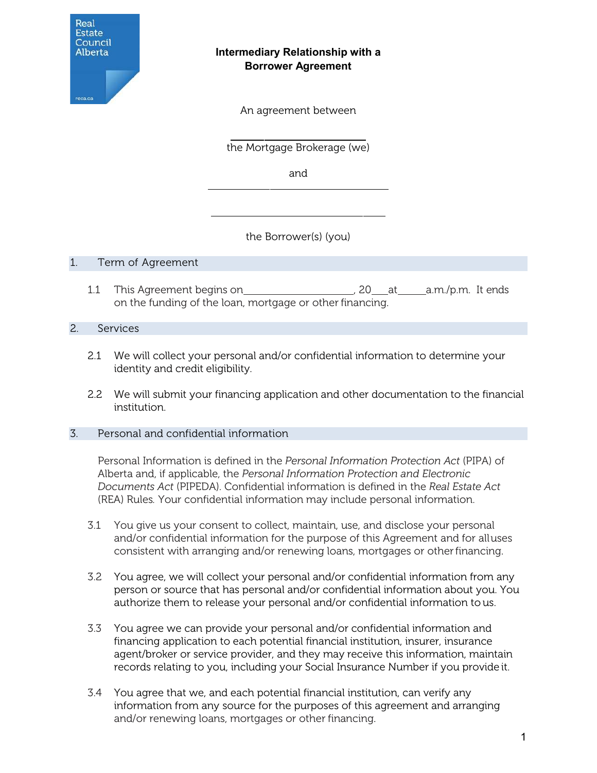

## **Intermediary Relationship with a Borrower Agreement**

An agreement between

the Mortgage Brokerage (we)

and

the Borrower(s) (you)

## 1. Term of Agreement

1.1 This Agreement begins on , 20 at a.m./p.m. It ends on the funding of the loan, mortgage or other financing.

## 2. Services

- 2.1 We will collect your personal and/or confidential information to determine your identity and credit eligibility.
- 2.2 We will submit your financing application and other documentation to the financial institution.

## 3. Personal and confidential information

Personal Information is defined in the *Personal Information Protection Act* (PIPA) of Alberta and, if applicable, the *Personal Information Protection and Electronic Documents Act* (PIPEDA). Confidential information is defined in the *Real Estate Act*  (REA) Rules*.* Your confidential information may include personal information.

- 3.1 You give us your consent to collect, maintain, use, and disclose your personal and/or confidential information for the purpose of this Agreement and for alluses consistent with arranging and/or renewing loans, mortgages or otherfinancing.
- 3.2 You agree, we will collect your personal and/or confidential information from any person or source that has personal and/or confidential information about you. You authorize them to release your personal and/or confidential information to us.
- 3.3 You agree we can provide your personal and/or confidential information and financing application to each potential financial institution, insurer, insurance agent/broker or service provider, and they may receive this information, maintain records relating to you, including your Social Insurance Number if you provide it.
- 3.4 You agree that we, and each potential financial institution, can verify any information from any source for the purposes of this agreement and arranging and/or renewing loans, mortgages or other financing.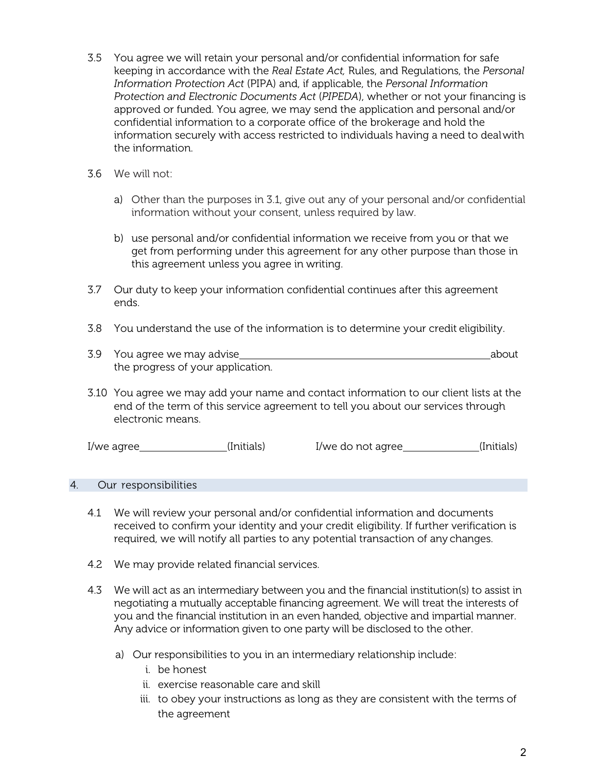- 3.5 You agree we will retain your personal and/or confidential information for safe keeping in accordance with the *Real Estate Act,* Rules, and Regulations, the *Personal Information Protection Act* (PIPA) and, if applicable, the *Personal Information Protection and Electronic Documents Act* (*PIPEDA*), whether or not your financing is approved or funded. You agree, we may send the application and personal and/or confidential information to a corporate office of the brokerage and hold the information securely with access restricted to individuals having a need to dealwith the information.
- 3.6 We will not:
	- a) Other than the purposes in 3.1, give out any of your personal and/or confidential information without your consent, unless required by law.
	- b) use personal and/or confidential information we receive from you or that we get from performing under this agreement for any other purpose than those in this agreement unless you agree in writing.
- 3.7 Our duty to keep your information confidential continues after this agreement ends.
- 3.8 You understand the use of the information is to determine your credit eligibility.
- 3.9 You agree we may advise <u>contained a bout about</u> the progress of your application.
- 3.10 You agree we may add your name and contact information to our client lists at the end of the term of this service agreement to tell you about our services through electronic means.

| l/we agree | (Initials) | I/we do not agree | (Initials) |
|------------|------------|-------------------|------------|
|------------|------------|-------------------|------------|

## 4. Our responsibilities

- 4.1 We will review your personal and/or confidential information and documents received to confirm your identity and your credit eligibility. If further verification is required, we will notify all parties to any potential transaction of any changes.
- 4.2 We may provide related financial services.
- 4.3 We will act as an intermediary between you and the financial institution(s) to assist in negotiating a mutually acceptable financing agreement. We will treat the interests of you and the financial institution in an even handed, objective and impartial manner. Any advice or information given to one party will be disclosed to the other.
	- a) Our responsibilities to you in an intermediary relationship include:
		- i. be honest
		- ii. exercise reasonable care and skill
		- iii. to obey your instructions as long as they are consistent with the terms of the agreement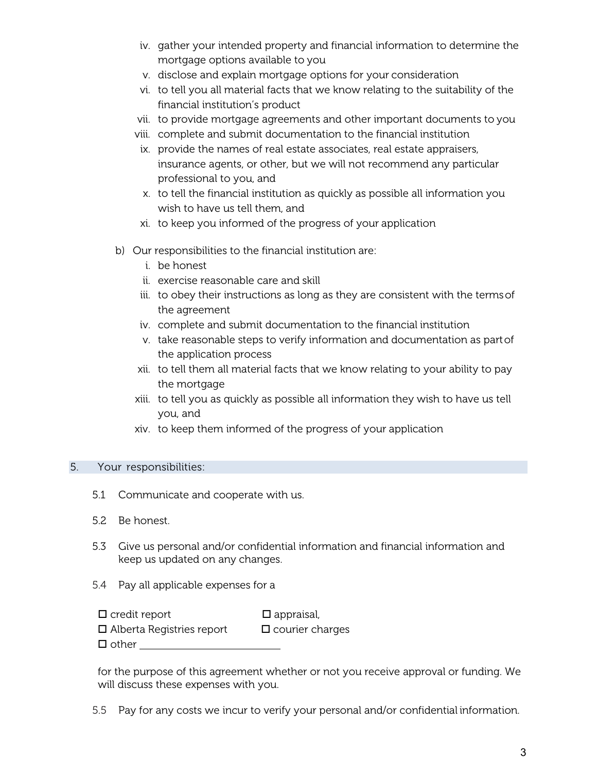- iv. gather your intended property and financial information to determine the mortgage options available to you
- v. disclose and explain mortgage options for your consideration
- vi. to tell you all material facts that we know relating to the suitability of the financial institution's product
- vii. to provide mortgage agreements and other important documents to you
- viii. complete and submit documentation to the financial institution
- ix. provide the names of real estate associates, real estate appraisers, insurance agents, or other, but we will not recommend any particular professional to you, and
- x. to tell the financial institution as quickly as possible all information you wish to have us tell them, and
- xi. to keep you informed of the progress of your application
- b) Our responsibilities to the financial institution are:
	- i. be honest
	- ii. exercise reasonable care and skill
	- iii. to obey their instructions as long as they are consistent with the termsof the agreement
	- iv. complete and submit documentation to the financial institution
	- v. take reasonable steps to verify information and documentation as partof the application process
	- xii. to tell them all material facts that we know relating to your ability to pay the mortgage
	- xiii. to tell you as quickly as possible all information they wish to have us tell you, and
	- xiv. to keep them informed of the progress of your application

## 5. Your responsibilities:

- 5.1 Communicate and cooperate with us.
- 5.2 Be honest.
- 5.3 Give us personal and/or confidential information and financial information and keep us updated on any changes.
- 5.4 Pay all applicable expenses for a

| $\Box$ credit report             | $\square$ appraisal,   |
|----------------------------------|------------------------|
| $\Box$ Alberta Registries report | $\Box$ courier charges |
| $\Box$ other                     |                        |

for the purpose of this agreement whether or not you receive approval or funding. We will discuss these expenses with you.

5.5 Pay for any costs we incur to verify your personal and/or confidential information.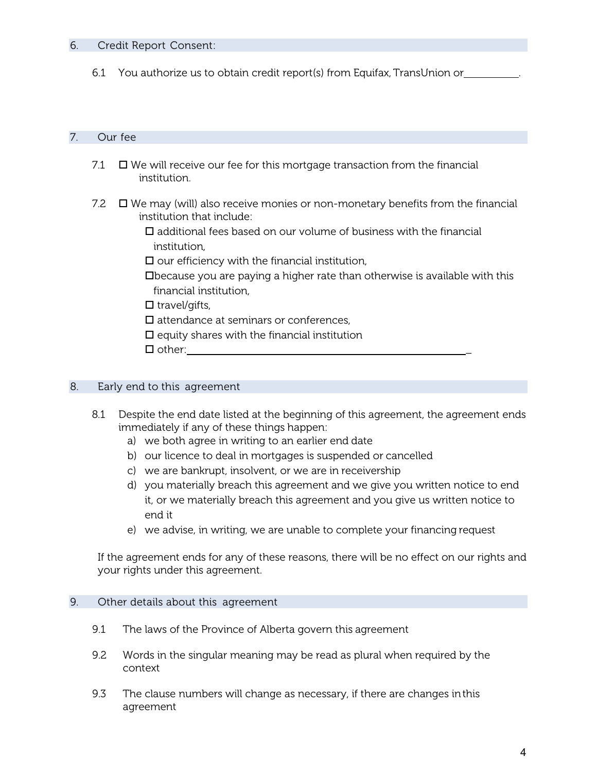## 6. Credit Report Consent:

6.1 You authorize us to obtain credit report(s) from Equifax, TransUnion or .

## 7. Our fee

- 7.1  $\Box$  We will receive our fee for this mortgage transaction from the financial institution.
- 7.2  $\Box$  We may (will) also receive monies or non-monetary benefits from the financial institution that include:
	- $\square$  additional fees based on our volume of business with the financial institution,
	- $\square$  our efficiency with the financial institution,
	- because you are paying a higher rate than otherwise is available with this financial institution,

 $\Box$  travel/gifts,

 $\square$  attendance at seminars or conferences,

 $\square$  equity shares with the financial institution

 $\Box$  other:

## 8. Early end to this agreement

- 8.1 Despite the end date listed at the beginning of this agreement, the agreement ends immediately if any of these things happen:
	- a) we both agree in writing to an earlier end date
	- b) our licence to deal in mortgages is suspended or cancelled
	- c) we are bankrupt, insolvent, or we are in receivership
	- d) you materially breach this agreement and we give you written notice to end it, or we materially breach this agreement and you give us written notice to end it
	- e) we advise, in writing, we are unable to complete your financing request

If the agreement ends for any of these reasons, there will be no effect on our rights and your rights under this agreement.

## 9. Other details about this agreement

- 9.1 The laws of the Province of Alberta govern this agreement
- 9.2 Words in the singular meaning may be read as plural when required by the context
- 9.3 The clause numbers will change as necessary, if there are changes inthis agreement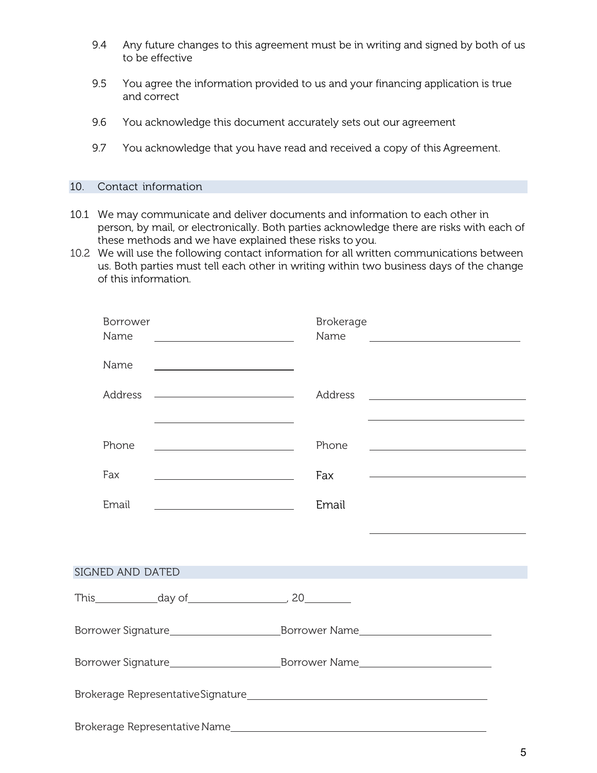- 9.4 Any future changes to this agreement must be in writing and signed by both of us to be effective
- 9.5 You agree the information provided to us and your financing application is true and correct
- 9.6 You acknowledge this document accurately sets out our agreement
- 9.7 You acknowledge that you have read and received a copy of this Agreement.

#### 10. Contact information

- 10.1 We may communicate and deliver documents and information to each other in person, by mail, or electronically. Both parties acknowledge there are risks with each of these methods and we have explained these risks to you.
- 10.2 We will use the following contact information for all written communications between us. Both parties must tell each other in writing within two business days of the change of this information.

| Borrower<br>Name |                                                                                                                       | <b>Brokerage</b><br>Name | <u> 1989 - Johann Barbara, martin amerikan basal dan berasal dalam basal dalam basal dalam basal dalam basal dala</u> |  |
|------------------|-----------------------------------------------------------------------------------------------------------------------|--------------------------|-----------------------------------------------------------------------------------------------------------------------|--|
| Name             | <u> 1999 - Johann Barbara, martin a</u>                                                                               |                          |                                                                                                                       |  |
| Address          | <u> 1989 - Johann Harry Harry Harry Harry Harry Harry Harry Harry Harry Harry Harry Harry Harry Harry Harry Harry</u> | Address                  | <u> Alexandria de la contrada de la contrada de la contrada de la contrada de la contrada de la contrada de la c</u>  |  |
|                  | <u> 1989 - Johann Stoff, Amerikaansk politiker (</u>                                                                  |                          | the control of the control of the control of the control of the control of the control of                             |  |
| Phone            |                                                                                                                       | Phone                    |                                                                                                                       |  |
| Fax              | <u> 1989 - Johann Barn, fransk politik (</u>                                                                          | Fax                      | <u> 1989 - Johann Harry Harry Harry Harry Harry Harry Harry Harry Harry Harry Harry Harry Harry Harry Harry Harry</u> |  |
| Email            | <u> 1980 - Johann Barn, mars an t-Amerikaansk ferskeizh (</u>                                                         | Email                    |                                                                                                                       |  |
|                  |                                                                                                                       |                          |                                                                                                                       |  |
| SIGNED AND DATED | <u> 1999 - Johann Barnett, mars eta industrial eta industrial eta industrial eta industrial eta industrial eta i</u>  |                          |                                                                                                                       |  |
|                  |                                                                                                                       |                          |                                                                                                                       |  |
|                  |                                                                                                                       |                          |                                                                                                                       |  |
|                  |                                                                                                                       |                          |                                                                                                                       |  |
|                  |                                                                                                                       |                          |                                                                                                                       |  |
|                  |                                                                                                                       |                          |                                                                                                                       |  |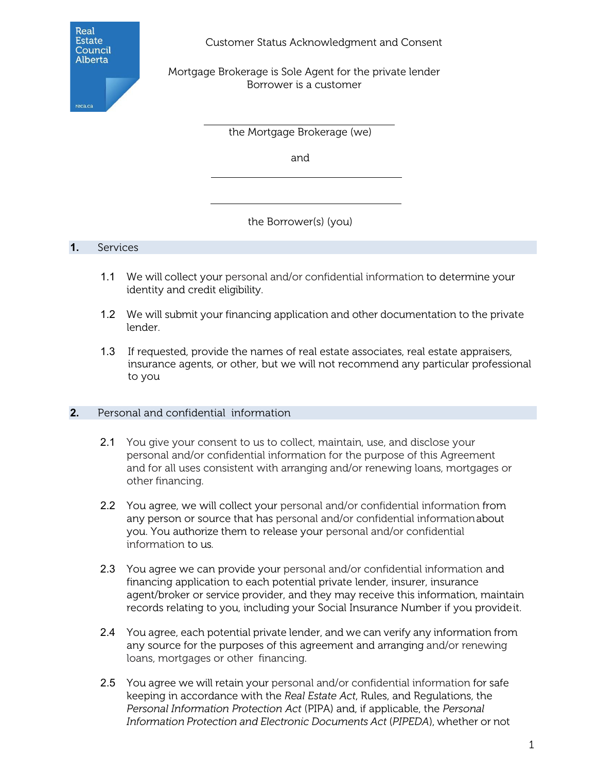

Customer Status Acknowledgment and Consent

Mortgage Brokerage is Sole Agent for the private lender Borrower is a customer

the Mortgage Brokerage (we)

and

the Borrower(s) (you)

## **1.** Services

- 1.1 We will collect your personal and/or confidential information to determine your identity and credit eligibility.
- 1.2 We will submit your financing application and other documentation to the private lender.
- 1.3 If requested, provide the names of real estate associates, real estate appraisers, insurance agents, or other, but we will not recommend any particular professional to you

## **2.** Personal and confidential information

- 2.1 You give your consent to us to collect, maintain, use, and disclose your personal and/or confidential information for the purpose of this Agreement and for all uses consistent with arranging and/or renewing loans, mortgages or other financing.
- 2.2 You agree, we will collect your personal and/or confidential information from any person or source that has personal and/or confidential informationabout you. You authorize them to release your personal and/or confidential information to us.
- 2.3 You agree we can provide your personal and/or confidential information and financing application to each potential private lender, insurer, insurance agent/broker or service provider, and they may receive this information, maintain records relating to you, including your Social Insurance Number if you provideit.
- 2.4 You agree, each potential private lender, and we can verify any information from any source for the purposes of this agreement and arranging and/or renewing loans, mortgages or other financing.
- 2.5 You agree we will retain your personal and/or confidential information for safe keeping in accordance with the *Real Estate Act*, Rules, and Regulations, the *Personal Information Protection Act* (PIPA) and, if applicable, the *Personal Information Protection and Electronic Documents Act* (*PIPEDA*), whether or not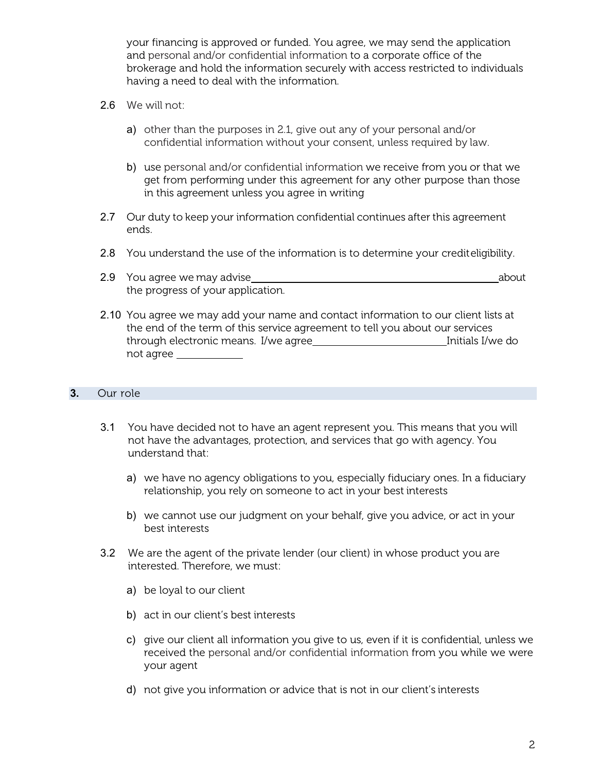your financing is approved or funded. You agree, we may send the application and personal and/or confidential information to a corporate office of the brokerage and hold the information securely with access restricted to individuals having a need to deal with the information.

- 2.6 We will not:
	- a) other than the purposes in 2.1, give out any of your personal and/or confidential information without your consent, unless required by law.
	- b) use personal and/or confidential information we receive from you or that we get from performing under this agreement for any other purpose than those in this agreement unless you agree in writing
- 2.7 Our duty to keep your information confidential continues after this agreement ends.
- 2.8 You understand the use of the information is to determine your crediteligibility.
- 2.9 You agree we may advise about the state about the state about about the state about about about about the state about  $\sim$ the progress of your application.
- 2.10 You agree we may add your name and contact information to our client lists at the end of the term of this service agreement to tell you about our services through electronic means. I/we agree Initials I/we do Initials I/we do not agree

## **3.** Our role

- 3.1 You have decided not to have an agent represent you. This means that you will not have the advantages, protection, and services that go with agency. You understand that:
	- a) we have no agency obligations to you, especially fiduciary ones. In a fiduciary relationship, you rely on someone to act in your best interests
	- b) we cannot use our judgment on your behalf, give you advice, or act in your best interests
- 3.2 We are the agent of the private lender (our client) in whose product you are interested. Therefore, we must:
	- a) be loyal to our client
	- b) act in our client's best interests
	- c) give our client all information you give to us, even if it is confidential, unless we received the personal and/or confidential information from you while we were your agent
	- d) not give you information or advice that is not in our client's interests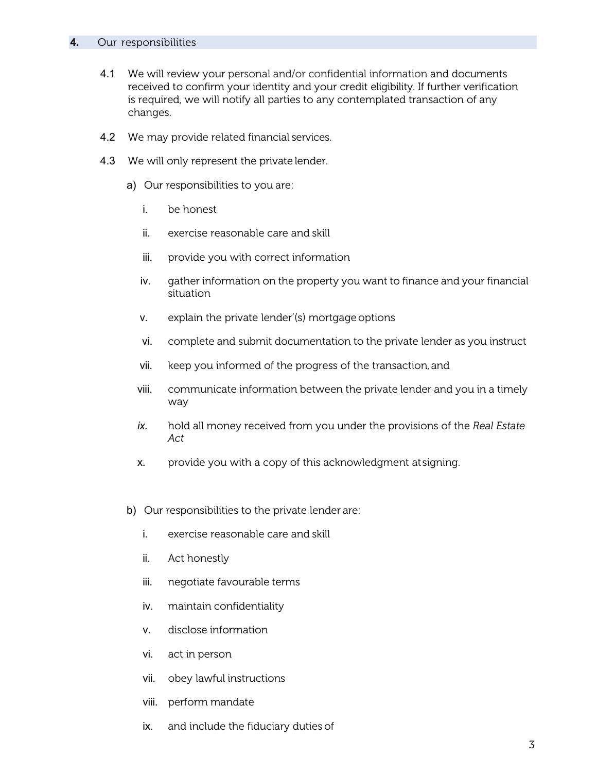#### **4.** Our responsibilities

- 4.1 We will review your personal and/or confidential information and documents received to confirm your identity and your credit eligibility. If further verification is required, we will notify all parties to any contemplated transaction of any changes.
- 4.2 We may provide related financial services.
- 4.3 We will only represent the private lender.
	- a) Our responsibilities to you are:
		- i. be honest
		- ii. exercise reasonable care and skill
		- iii. provide you with correct information
		- iv. gather information on the property you want to finance and your financial situation
		- v. explain the private lender'(s) mortgageoptions
		- vi. complete and submit documentation to the private lender as you instruct
		- vii. keep you informed of the progress of the transaction,and
		- viii. communicate information between the private lender and you in a timely way
		- *ix.* hold all money received from you under the provisions of the *Real Estate Act*
		- x. provide you with a copy of this acknowledgment atsigning.
	- b) Our responsibilities to the private lender are:
		- i. exercise reasonable care and skill
		- ii. Act honestly
		- iii. negotiate favourable terms
		- iv. maintain confidentiality
		- v. disclose information
		- vi. act in person
		- vii. obey lawful instructions
		- viii. perform mandate
		- ix. and include the fiduciary duties of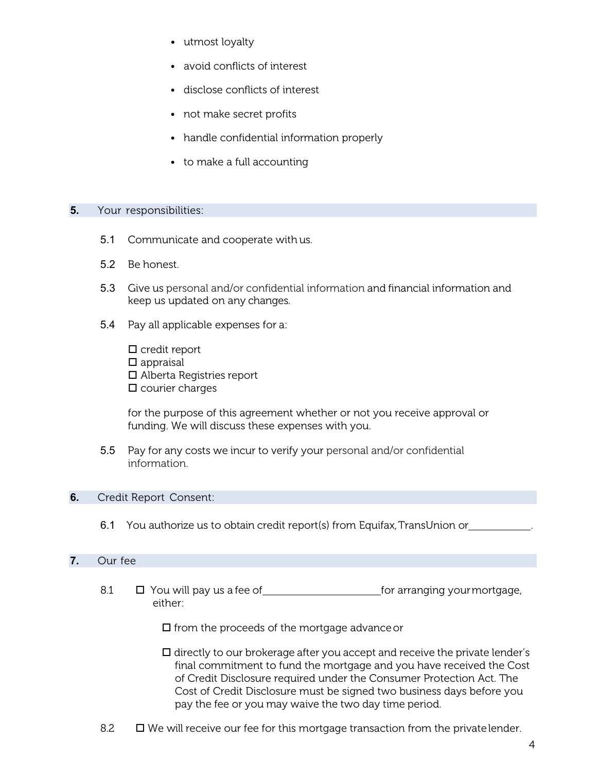- utmost loyalty
- avoid conflicts of interest
- disclose conflicts of interest
- not make secret profits
- handle confidential information properly
- to make a full accounting

#### **5.** Your responsibilities:

- 5.1 Communicate and cooperate with us.
- 5.2 Be honest.
- 5.3 Give us personal and/or confidential information and financial information and keep us updated on any changes.
- 5.4 Pay all applicable expenses for a:

 $\square$  credit report  $\square$  appraisal Alberta Registries report  $\square$  courier charges

for the purpose of this agreement whether or not you receive approval or funding. We will discuss these expenses with you.

5.5 Pay for any costs we incur to verify your personal and/or confidential information.

## **6.** Credit Report Consent:

6.1 You authorize us to obtain credit report(s) from Equifax, TransUnion or

## **7.** Our fee

8.1  $\Box$  You will pay us a fee of <u>equal to see for arranging your mortgage</u>, either:

 $\square$  from the proceeds of the mortgage advance or

- $\square$  directly to our brokerage after you accept and receive the private lender's final commitment to fund the mortgage and you have received the Cost of Credit Disclosure required under the Consumer Protection Act. The Cost of Credit Disclosure must be signed two business days before you pay the fee or you may waive the two day time period.
- 8.2  $\Box$  We will receive our fee for this mortgage transaction from the private lender.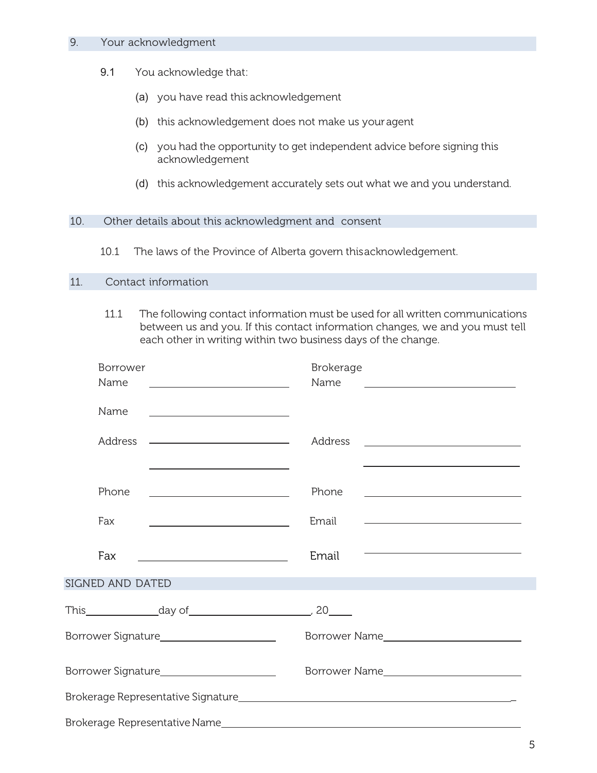#### 9. Your acknowledgment

- 9.1 You acknowledge that:
	- (a) you have read this acknowledgement
	- (b) this acknowledgement does not make us youragent
	- (c) you had the opportunity to get independent advice before signing this acknowledgement
	- (d) this acknowledgement accurately sets out what we and you understand.

#### 10. Other details about this acknowledgment and consent

10.1 The laws of the Province of Alberta govern thisacknowledgement.

### 11. Contact information

11.1 The following contact information must be used for all written communications between us and you. If this contact information changes, we and you must tell each other in writing within two business days of the change.

| Borrower                                                                                                                      | <b>Brokerage</b>                                                                                                              |
|-------------------------------------------------------------------------------------------------------------------------------|-------------------------------------------------------------------------------------------------------------------------------|
| Name<br><u> Alexandria de la contrada de la contrada de la contrada de la contrada de la contrada de la contrada de la c</u>  | Name<br><u> 1989 - John Stein, mars and de Britain and de Britain and de Britain and de Britain and de Britain and de Br</u>  |
| Name                                                                                                                          |                                                                                                                               |
| Address<br><u> 1989 - Andrea Stadt, fransk politik (d. 1989)</u>                                                              | Address                                                                                                                       |
| the control of the control of the control of the control of the control of                                                    | the control of the control of the control of the control of the control of the control of                                     |
| Phone<br><u> Alexandria de la contrada de la contrada de la contrada de la contrada de la contrada de la contrada de la c</u> | Phone<br><u> 1989 - Johann Barbara, martin amerikan basar dan berasal dalam basa dalam basar dalam basar dalam basar dala</u> |
| Fax<br><u> 1989 - Johann Barn, fransk politik amerikansk politik (</u>                                                        | Email                                                                                                                         |
| Fax                                                                                                                           | <u> 1989 - Johann John Stone, mars et al. (</u><br>Email                                                                      |
| SIGNED AND DATED                                                                                                              |                                                                                                                               |
|                                                                                                                               |                                                                                                                               |
|                                                                                                                               |                                                                                                                               |
|                                                                                                                               |                                                                                                                               |
|                                                                                                                               |                                                                                                                               |
|                                                                                                                               |                                                                                                                               |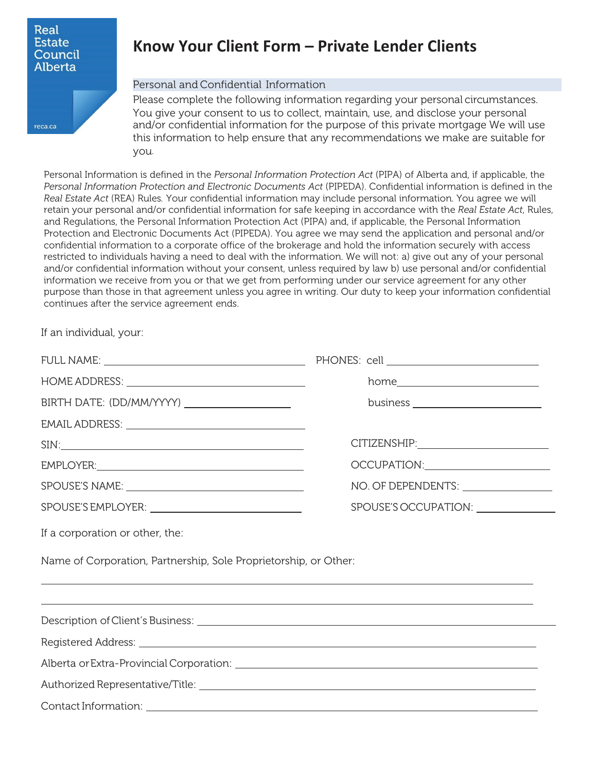

reca.ca

# **Know Your Client Form – Private Lender Clients**

#### Personal and Confidential Information

Please complete the following information regarding your personal circumstances. You give your consent to us to collect, maintain, use, and disclose your personal and/or confidential information for the purpose of this private mortgage We will use this information to help ensure that any recommendations we make are suitable for you.

Personal Information is defined in the *Personal Information Protection Act* (PIPA) of Alberta and, if applicable, the *Personal Information Protection and Electronic Documents Act* (PIPEDA). Confidential information is defined in the *Real Estate Act* (REA) Rules*.* Your confidential information may include personal information. You agree we will retain your personal and/or confidential information for safe keeping in accordance with the *Real Estate Act*, Rules, and Regulations, the Personal Information Protection Act (PIPA) and, if applicable, the Personal Information Protection and Electronic Documents Act (PIPEDA). You agree we may send the application and personal and/or confidential information to a corporate office of the brokerage and hold the information securely with access restricted to individuals having a need to deal with the information. We will not: a) give out any of your personal and/or confidential information without your consent, unless required by law b) use personal and/or confidential information we receive from you or that we get from performing under our service agreement for any other purpose than those in that agreement unless you agree in writing. Our duty to keep your information confidential continues after the service agreement ends.

If an individual, your:

|                                                                                                                                                                      | $home \begin{tabular}{c} home \end{tabular}$ |
|----------------------------------------------------------------------------------------------------------------------------------------------------------------------|----------------------------------------------|
| BIRTH DATE: (DD/MM/YYYY) _____________________                                                                                                                       | business $\frac{1}{1}$                       |
|                                                                                                                                                                      |                                              |
| SIN:                                                                                                                                                                 |                                              |
| EMPLOYER:                                                                                                                                                            | OCCUPATION:________________________          |
|                                                                                                                                                                      |                                              |
|                                                                                                                                                                      |                                              |
| If a corporation or other, the:                                                                                                                                      |                                              |
| Name of Corporation, Partnership, Sole Proprietorship, or Other:                                                                                                     |                                              |
| ,我们也不会有什么?""我们的人,我们也不会有什么?""我们的人,我们也不会有什么?""我们的人,我们也不会有什么?""我们的人,我们也不会有什么?""我们的人<br>,我们也不会有什么。""我们的人,我们也不会有什么?""我们的人,我们也不会有什么?""我们的人,我们也不会有什么?""我们的人,我们也不会有什么?""我们的人 |                                              |
|                                                                                                                                                                      |                                              |
|                                                                                                                                                                      |                                              |
|                                                                                                                                                                      |                                              |
|                                                                                                                                                                      |                                              |
|                                                                                                                                                                      |                                              |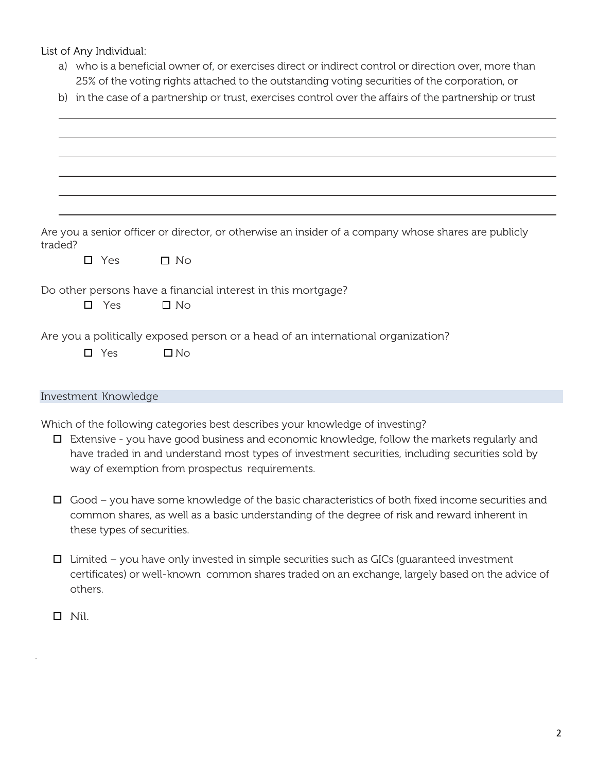List of Any Individual:

- a) who is a beneficial owner of, or exercises direct or indirect control or direction over, more than 25% of the voting rights attached to the outstanding voting securities of the corporation, or
- b) in the case of a partnership or trust, exercises control over the affairs of the partnership or trust

| traded? |                      | Are you a senior officer or director, or otherwise an insider of a company whose shares are publicly                                                                                                                                                                                                                              |
|---------|----------------------|-----------------------------------------------------------------------------------------------------------------------------------------------------------------------------------------------------------------------------------------------------------------------------------------------------------------------------------|
|         | $\square$ Yes        | $\Box$ No                                                                                                                                                                                                                                                                                                                         |
|         | $\Box$ Yes           | Do other persons have a financial interest in this mortgage?<br>$\square$ No                                                                                                                                                                                                                                                      |
|         |                      | Are you a politically exposed person or a head of an international organization?                                                                                                                                                                                                                                                  |
|         | $\Box$ Yes           | $\square$ No                                                                                                                                                                                                                                                                                                                      |
|         |                      |                                                                                                                                                                                                                                                                                                                                   |
|         | Investment Knowledge |                                                                                                                                                                                                                                                                                                                                   |
| □       |                      | Which of the following categories best describes your knowledge of investing?<br>Extensive - you have good business and economic knowledge, follow the markets regularly and<br>have traded in and understand most types of investment securities, including securities sold by<br>way of exemption from prospectus requirements. |
| □       |                      | Good – you have some knowledge of the basic characteristics of both fixed income securities and<br>common shares, as well as a basic understanding of the degree of risk and reward inherent in                                                                                                                                   |

- $\Box$  Limited you have only invested in simple securities such as GICs (guaranteed investment certificates) or well-known common shares traded on an exchange, largely based on the advice of others.
- $\Box$  Nil.

.

these types of securities.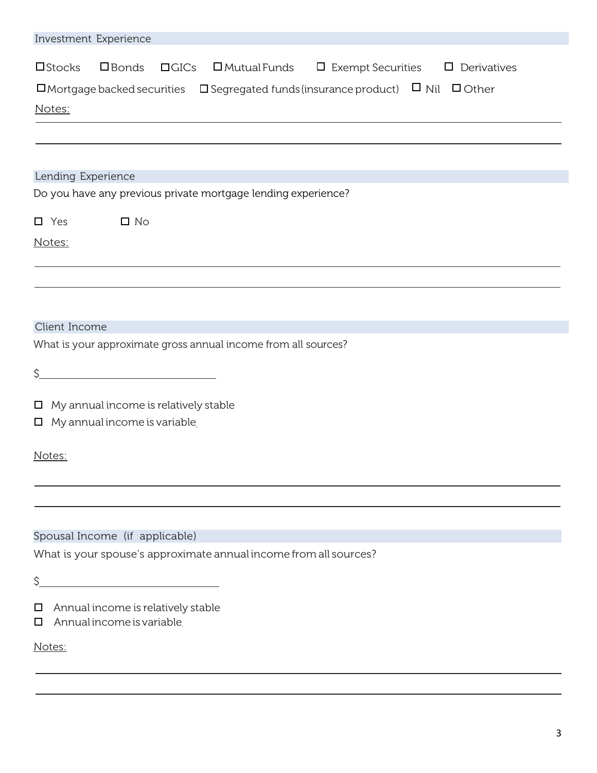| Investment Experience                                                                                                          |
|--------------------------------------------------------------------------------------------------------------------------------|
| $\square$ Stocks<br>$\square$ Bonds<br>$\Box$ GICs<br>$\square$ Mutual Funds $\square$ Exempt Securities<br>$\Box$ Derivatives |
| $\square$ Mortgage backed securities $\square$ Segregated funds (insurance product) $\square$ Nil $\square$ Other              |
| Notes:                                                                                                                         |
|                                                                                                                                |
|                                                                                                                                |
| Lending Experience                                                                                                             |
| Do you have any previous private mortgage lending experience?                                                                  |
| $\square$ No<br>$\square$ Yes                                                                                                  |
| Notes:                                                                                                                         |
|                                                                                                                                |
|                                                                                                                                |
|                                                                                                                                |
| Client Income                                                                                                                  |
| What is your approximate gross annual income from all sources?                                                                 |
| \$.<br><u> 1989 - Johann Barbara, martxa alemaniar a</u>                                                                       |
|                                                                                                                                |
| $\Box$ My annual income is relatively stable<br>$\Box$ My annual income is variable                                            |
|                                                                                                                                |
| Notes:                                                                                                                         |
|                                                                                                                                |
|                                                                                                                                |
| Spousal Income (if applicable)                                                                                                 |
| What is your spouse's approximate annual income from all sources?                                                              |
| \$.                                                                                                                            |
|                                                                                                                                |
| Annual income is relatively stable<br>$\Box$<br>Annual income is variable<br>$\Box$                                            |
|                                                                                                                                |
| Notes:                                                                                                                         |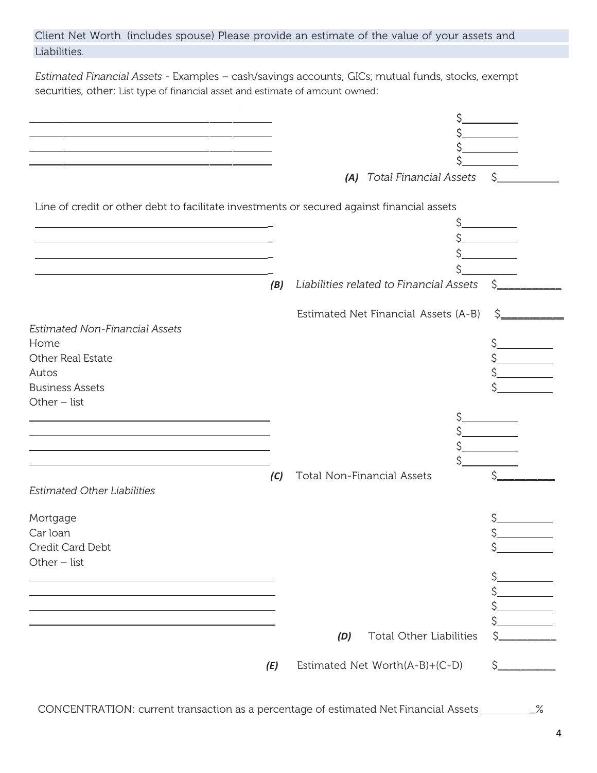|              | Client Net Worth (includes spouse) Please provide an estimate of the value of your assets and |  |  |  |
|--------------|-----------------------------------------------------------------------------------------------|--|--|--|
| Liabilities. |                                                                                               |  |  |  |

*Estimated Financial Assets* - Examples – cash/savings accounts; GICs; mutual funds, stocks, exempt securities, other: List type of financial asset and estimate of amount owned:

|                                                                                            |     | (A) Total Financial Assets              | S   |
|--------------------------------------------------------------------------------------------|-----|-----------------------------------------|-----|
| Line of credit or other debt to facilitate investments or secured against financial assets |     |                                         |     |
|                                                                                            |     |                                         |     |
|                                                                                            |     |                                         |     |
|                                                                                            |     |                                         |     |
| <u> 1989 - Johann Barn, amerikansk politiker (d. 1989)</u>                                 |     |                                         |     |
|                                                                                            | (B) | Liabilities related to Financial Assets | Ś   |
|                                                                                            |     |                                         |     |
|                                                                                            |     | Estimated Net Financial Assets (A-B)    | \$. |
| <b>Estimated Non-Financial Assets</b>                                                      |     |                                         |     |
| Home                                                                                       |     |                                         |     |
| Other Real Estate                                                                          |     |                                         |     |
| Autos                                                                                      |     |                                         |     |
| <b>Business Assets</b>                                                                     |     |                                         |     |
| Other $-$ list                                                                             |     |                                         |     |
|                                                                                            |     |                                         |     |
|                                                                                            |     |                                         |     |
|                                                                                            |     |                                         |     |
|                                                                                            |     |                                         |     |
|                                                                                            | (C) | Total Non-Financial Assets              |     |
| <b>Estimated Other Liabilities</b>                                                         |     |                                         |     |
|                                                                                            |     |                                         |     |
| Mortgage                                                                                   |     |                                         |     |
| Car loan                                                                                   |     |                                         |     |
| Credit Card Debt                                                                           |     |                                         | ¢   |
| Other $-$ list                                                                             |     |                                         |     |
|                                                                                            |     |                                         | \$  |
|                                                                                            |     |                                         |     |
|                                                                                            |     |                                         |     |
|                                                                                            |     |                                         |     |
|                                                                                            |     |                                         |     |
|                                                                                            |     | Total Other Liabilities<br>(D)          |     |
|                                                                                            | (E) | Estimated Net Worth(A-B)+(C-D)          | S   |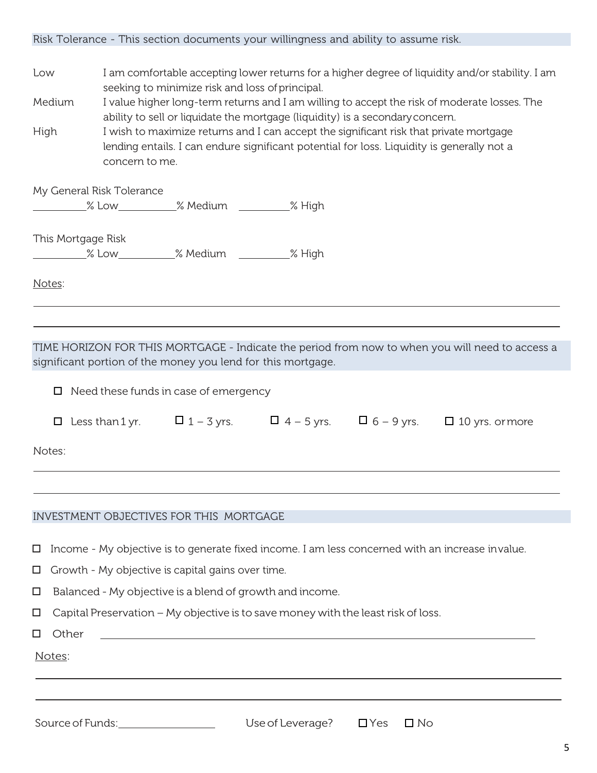|                                                        | Risk Tolerance - This section documents your willingness and ability to assume risk.                                                                                                                                                                                                    |
|--------------------------------------------------------|-----------------------------------------------------------------------------------------------------------------------------------------------------------------------------------------------------------------------------------------------------------------------------------------|
| Low                                                    | I am comfortable accepting lower returns for a higher degree of liquidity and/or stability. I am<br>seeking to minimize risk and loss of principal.                                                                                                                                     |
| Medium                                                 | I value higher long-term returns and I am willing to accept the risk of moderate losses. The                                                                                                                                                                                            |
| High                                                   | ability to sell or liquidate the mortgage (liquidity) is a secondary concern.<br>I wish to maximize returns and I can accept the significant risk that private mortgage<br>lending entails. I can endure significant potential for loss. Liquidity is generally not a<br>concern to me. |
|                                                        | My General Risk Tolerance                                                                                                                                                                                                                                                               |
|                                                        | % Low ________________% Medium _____________% High                                                                                                                                                                                                                                      |
| This Mortgage Risk                                     |                                                                                                                                                                                                                                                                                         |
|                                                        |                                                                                                                                                                                                                                                                                         |
| Notes:                                                 |                                                                                                                                                                                                                                                                                         |
|                                                        |                                                                                                                                                                                                                                                                                         |
|                                                        |                                                                                                                                                                                                                                                                                         |
|                                                        | TIME HORIZON FOR THIS MORTGAGE - Indicate the period from now to when you will need to access a                                                                                                                                                                                         |
|                                                        | significant portion of the money you lend for this mortgage.                                                                                                                                                                                                                            |
|                                                        | $\Box$ Need these funds in case of emergency                                                                                                                                                                                                                                            |
|                                                        |                                                                                                                                                                                                                                                                                         |
|                                                        | □ Less than 1 yr. $\Box$ 1 - 3 yrs. $\Box$ 4 - 5 yrs. $\Box$ 6 - 9 yrs. $\Box$ 10 yrs. or more                                                                                                                                                                                          |
| Notes:                                                 |                                                                                                                                                                                                                                                                                         |
|                                                        |                                                                                                                                                                                                                                                                                         |
|                                                        | INVESTMENT OBJECTIVES FOR THIS MORTGAGE                                                                                                                                                                                                                                                 |
| □                                                      | Income - My objective is to generate fixed income. I am less concerned with an increase invalue.                                                                                                                                                                                        |
| □                                                      | Growth - My objective is capital gains over time.                                                                                                                                                                                                                                       |
| $\Box$                                                 | Balanced - My objective is a blend of growth and income.                                                                                                                                                                                                                                |
| $\Box$                                                 | Capital Preservation - My objective is to save money with the least risk of loss.                                                                                                                                                                                                       |
| Other<br>□                                             |                                                                                                                                                                                                                                                                                         |
| Notes:                                                 |                                                                                                                                                                                                                                                                                         |
|                                                        |                                                                                                                                                                                                                                                                                         |
|                                                        |                                                                                                                                                                                                                                                                                         |
| $\mathcal{C}_{\Omega}$ iroo of $\mathcal{C}_{1}$ index | $l$ $\sim$ of $l$ $\sim$ $\sim$ $\sim$ $\sim$ $\sim$ $\sim$<br>$\Box V_{\Omega}$ $\Box$ $\Box$                                                                                                                                                                                          |

Sourceof Funds: Useof Leverage? Yes No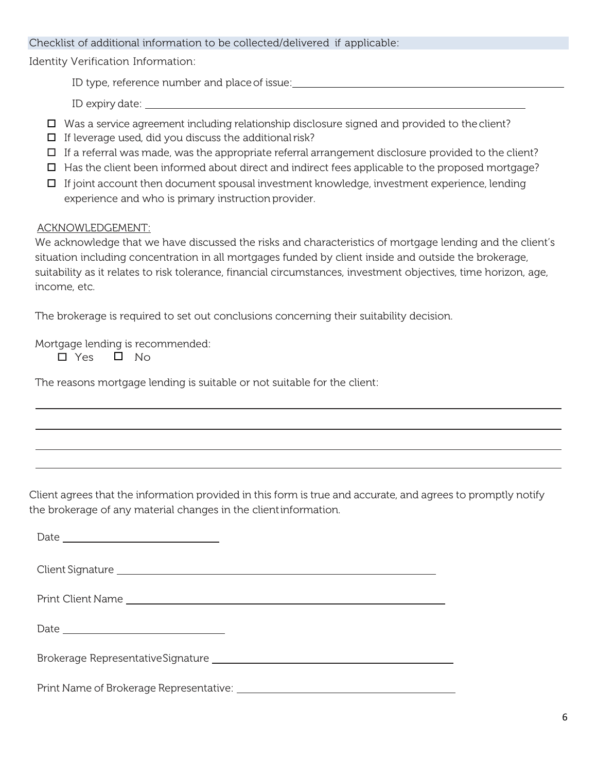## Checklist of additional information to be collected/delivered if applicable:

Identity Verification Information:

ID type, reference number and place of issue: which is a set of the set of the set of the set of the set of the set of the set of the set of the set of the set of the set of the set of the set of the set of the set of the

ID expiry date:

- $\Box$  Was a service agreement including relationship disclosure signed and provided to the client?
- $\Box$  If leverage used, did you discuss the additional risk?
- $\Box$  If a referral was made, was the appropriate referral arrangement disclosure provided to the client?
- $\Box$  Has the client been informed about direct and indirect fees applicable to the proposed mortgage?
- $\Box$  If joint account then document spousal investment knowledge, investment experience, lending experience and who is primary instruction provider.

## ACKNOWLEDGEMENT:

We acknowledge that we have discussed the risks and characteristics of mortgage lending and the client's situation including concentration in all mortgages funded by client inside and outside the brokerage, suitability as it relates to risk tolerance, financial circumstances, investment objectives, time horizon, age, income, etc.

The brokerage is required to set out conclusions concerning their suitability decision.

Mortgage lending is recommended:

 $\Box$  Yes  $\Box$  No.

The reasons mortgage lending is suitable or not suitable for the client:

Client agrees that the information provided in this form is true and accurate, and agrees to promptly notify the brokerage of any material changes in the clientinformation.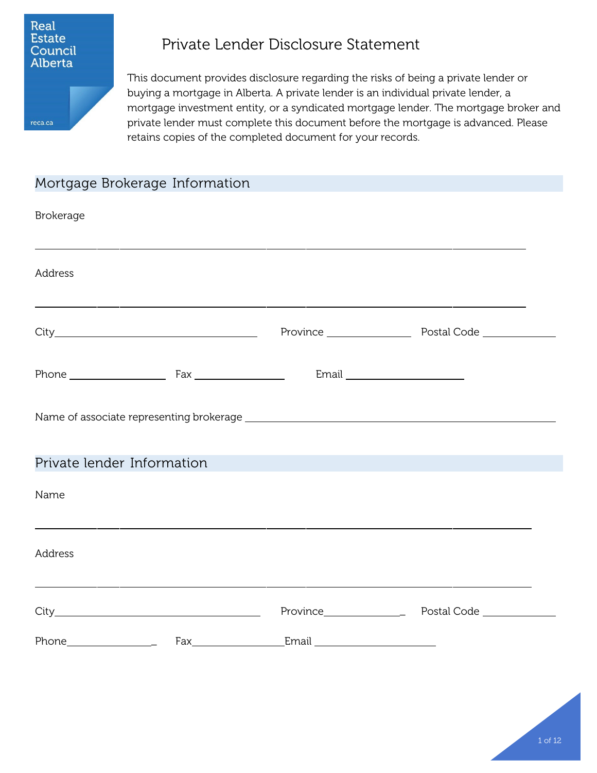

reca.ca

# Private Lender Disclosure Statement

This document provides disclosure regarding the risks of being a private lender or buying a mortgage in Alberta. A private lender is an individual private lender, a mortgage investment entity, or a syndicated mortgage lender. The mortgage broker and private lender must complete this document before the mortgage is advanced. Please retains copies of the completed document for your records.

## Mortgage Brokerage Information

| <b>Brokerage</b>           |  |  |
|----------------------------|--|--|
| Address                    |  |  |
|                            |  |  |
|                            |  |  |
|                            |  |  |
| Private lender Information |  |  |
| Name                       |  |  |
| Address                    |  |  |
|                            |  |  |
|                            |  |  |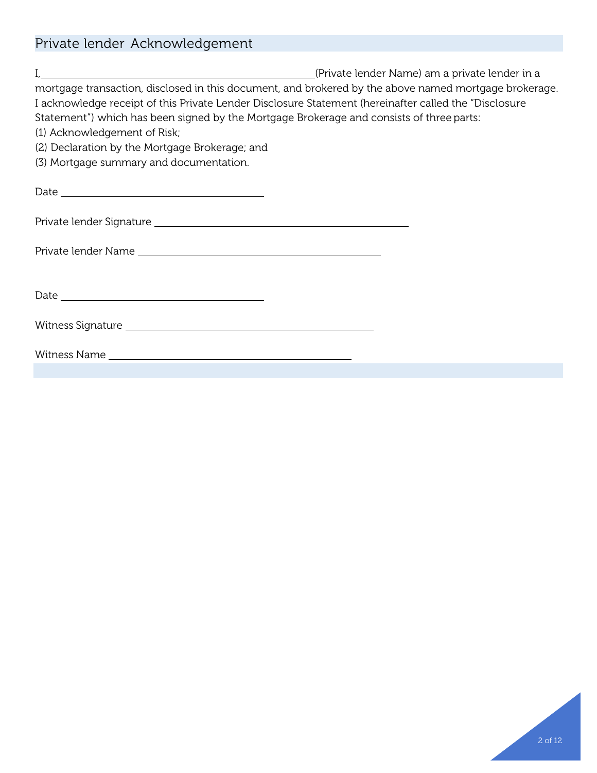# Private lender Acknowledgement

| I, 1. (Private lender Name) am a private lender (Private Name) am a private lender in a                                                                                                                        |
|----------------------------------------------------------------------------------------------------------------------------------------------------------------------------------------------------------------|
| mortgage transaction, disclosed in this document, and brokered by the above named mortgage brokerage.<br>I acknowledge receipt of this Private Lender Disclosure Statement (hereinafter called the "Disclosure |
| Statement") which has been signed by the Mortgage Brokerage and consists of three parts:                                                                                                                       |
| (1) Acknowledgement of Risk;                                                                                                                                                                                   |
| (2) Declaration by the Mortgage Brokerage; and                                                                                                                                                                 |
| (3) Mortgage summary and documentation.                                                                                                                                                                        |
|                                                                                                                                                                                                                |
| Private lender Signature et al. 2008 and 2008 and 2008 and 2008 and 2008 and 2008 and 2008 and 2008 and 2008 a                                                                                                 |
|                                                                                                                                                                                                                |
|                                                                                                                                                                                                                |
|                                                                                                                                                                                                                |
|                                                                                                                                                                                                                |
|                                                                                                                                                                                                                |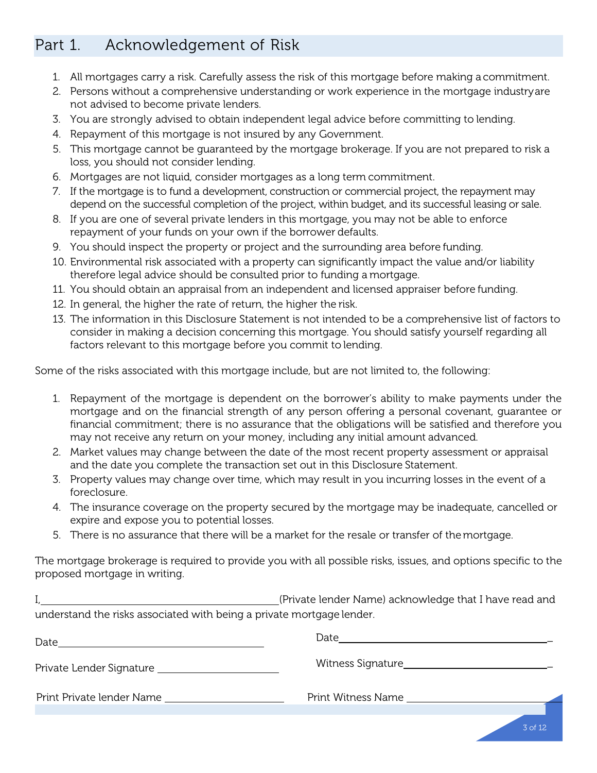## Part 1. Acknowledgement of Risk

- 1. All mortgages carry a risk. Carefully assess the risk of this mortgage before making a commitment.
- 2. Persons without a comprehensive understanding or work experience in the mortgage industryare not advised to become private lenders.
- 3. You are strongly advised to obtain independent legal advice before committing to lending.
- 4. Repayment of this mortgage is not insured by any Government.
- 5. This mortgage cannot be guaranteed by the mortgage brokerage. If you are not prepared to risk a loss, you should not consider lending.
- 6. Mortgages are not liquid, consider mortgages as a long term commitment.
- 7. If the mortgage is to fund a development, construction or commercial project, the repayment may depend on the successful completion of the project, within budget, and its successful leasing or sale.
- 8. If you are one of several private lenders in this mortgage, you may not be able to enforce repayment of your funds on your own if the borrower defaults.
- 9. You should inspect the property or project and the surrounding area before funding.
- 10. Environmental risk associated with a property can significantly impact the value and/or liability therefore legal advice should be consulted prior to funding a mortgage.
- 11. You should obtain an appraisal from an independent and licensed appraiser before funding.
- 12. In general, the higher the rate of return, the higher the risk.
- 13. The information in this Disclosure Statement is not intended to be a comprehensive list of factors to consider in making a decision concerning this mortgage. You should satisfy yourself regarding all factors relevant to this mortgage before you commit to lending.

Some of the risks associated with this mortgage include, but are not limited to, the following:

- 1. Repayment of the mortgage is dependent on the borrower's ability to make payments under the mortgage and on the financial strength of any person offering a personal covenant, guarantee or financial commitment; there is no assurance that the obligations will be satisfied and therefore you may not receive any return on your money, including any initial amount advanced.
- 2. Market values may change between the date of the most recent property assessment or appraisal and the date you complete the transaction set out in this Disclosure Statement.
- 3. Property values may change over time, which may result in you incurring losses in the event of a foreclosure.
- 4. The insurance coverage on the property secured by the mortgage may be inadequate, cancelled or expire and expose you to potential losses.
- 5. There is no assurance that there will be a market for the resale or transfer of themortgage.

The mortgage brokerage is required to provide you with all possible risks, issues, and options specific to the proposed mortgage in writing.

(Private lender Name) acknowledge that I have read and understand the risks associated with being a private mortgage lender.

| Date                      | Date                      |           |
|---------------------------|---------------------------|-----------|
|                           |                           |           |
| Print Private lender Name | <b>Print Witness Name</b> |           |
|                           |                           | $3$ of 12 |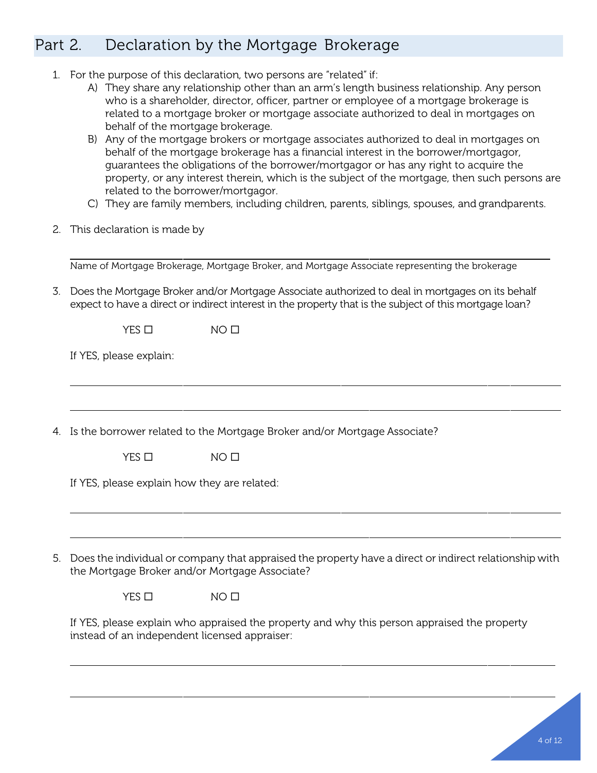# Part 2. Declaration by the Mortgage Brokerage

- 1. For the purpose of this declaration, two persons are "related" if:
	- A) They share any relationship other than an arm's length business relationship. Any person who is a shareholder, director, officer, partner or employee of a mortgage brokerage is related to a mortgage broker or mortgage associate authorized to deal in mortgages on behalf of the mortgage brokerage.
	- B) Any of the mortgage brokers or mortgage associates authorized to deal in mortgages on behalf of the mortgage brokerage has a financial interest in the borrower/mortgagor, guarantees the obligations of the borrower/mortgagor or has any right to acquire the property, or any interest therein, which is the subject of the mortgage, then such persons are related to the borrower/mortgagor.
	- C) They are family members, including children, parents, siblings, spouses, and grandparents.
- 2. This declaration is made by

Name of Mortgage Brokerage, Mortgage Broker, and Mortgage Associate representing the brokerage

3. Does the Mortgage Broker and/or Mortgage Associate authorized to deal in mortgages on its behalf expect to have a direct or indirect interest in the property that is the subject of this mortgage loan?

 $YES \Box$   $NO \Box$ 

If YES, please explain:

4. Is the borrower related to the Mortgage Broker and/or Mortgage Associate?

 $YES \Box$ 

If YES, please explain how they are related:

5. Does the individual or company that appraised the property have a direct or indirect relationship with the Mortgage Broker and/or Mortgage Associate?

 $YES \Box$   $NO \Box$ 

If YES, please explain who appraised the property and why this person appraised the property instead of an independent licensed appraiser: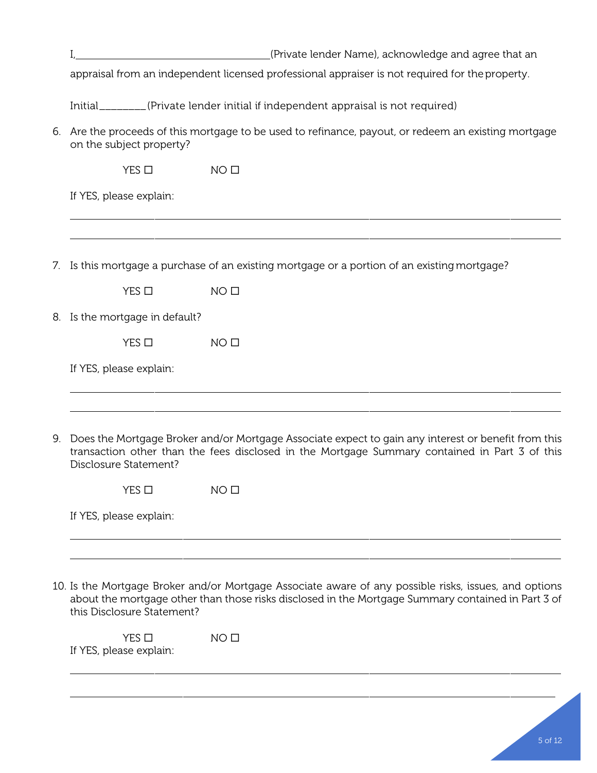|    | (Private lender Name), acknowledge and agree that an                                                                                                                                                                                      |
|----|-------------------------------------------------------------------------------------------------------------------------------------------------------------------------------------------------------------------------------------------|
|    | appraisal from an independent licensed professional appraiser is not required for the property.                                                                                                                                           |
|    | Initial <sub>________</sub> (Private lender initial if independent appraisal is not required)                                                                                                                                             |
| 6. | Are the proceeds of this mortgage to be used to refinance, payout, or redeem an existing mortgage<br>on the subject property?                                                                                                             |
|    | NO <sub>0</sub><br>$YES$ $\square$                                                                                                                                                                                                        |
|    | If YES, please explain:                                                                                                                                                                                                                   |
|    |                                                                                                                                                                                                                                           |
|    | 7. Is this mortgage a purchase of an existing mortgage or a portion of an existing mortgage?                                                                                                                                              |
|    | $YES$ $\square$<br>NO <sub>0</sub>                                                                                                                                                                                                        |
|    | 8. Is the mortgage in default?                                                                                                                                                                                                            |
|    | $YES$ $\square$<br>NO <sub>0</sub>                                                                                                                                                                                                        |
|    | If YES, please explain:                                                                                                                                                                                                                   |
|    | 9. Does the Mortgage Broker and/or Mortgage Associate expect to gain any interest or benefit from this<br>transaction other than the fees disclosed in the Mortgage Summary contained in Part 3 of this<br>Disclosure Statement?          |
|    | YES □<br>NO <sub>0</sub>                                                                                                                                                                                                                  |
|    | If YES, please explain:                                                                                                                                                                                                                   |
|    |                                                                                                                                                                                                                                           |
|    | 10. Is the Mortgage Broker and/or Mortgage Associate aware of any possible risks, issues, and options<br>about the mortgage other than those risks disclosed in the Mortgage Summary contained in Part 3 of<br>this Disclosure Statement? |

 $YES \Box$   $NO \Box$ If YES, please explain: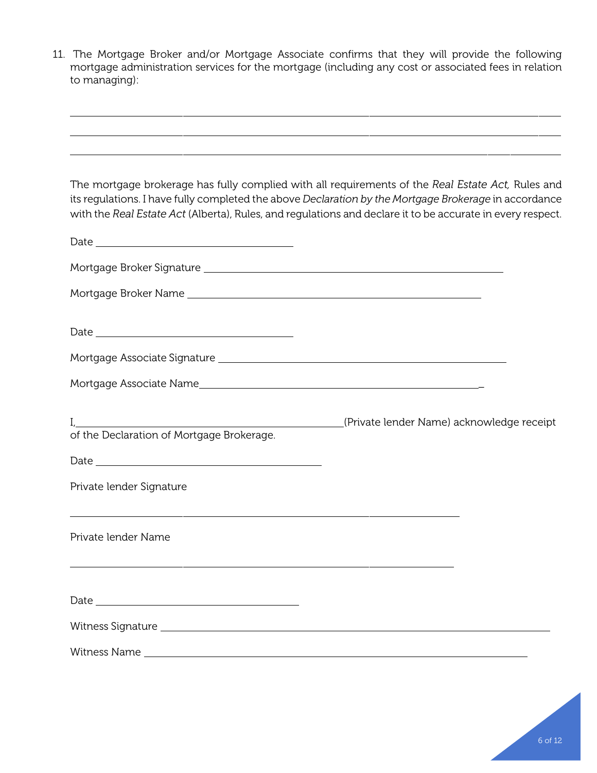11. The Mortgage Broker and/or Mortgage Associate confirms that they will provide the following mortgage administration services for the mortgage (including any cost or associated fees in relation to managing):

| The mortgage brokerage has fully complied with all requirements of the Real Estate Act, Rules and<br>its regulations. I have fully completed the above Declaration by the Mortgage Brokerage in accordance<br>with the Real Estate Act (Alberta), Rules, and regulations and declare it to be accurate in every respect. |                                           |  |
|--------------------------------------------------------------------------------------------------------------------------------------------------------------------------------------------------------------------------------------------------------------------------------------------------------------------------|-------------------------------------------|--|
|                                                                                                                                                                                                                                                                                                                          |                                           |  |
|                                                                                                                                                                                                                                                                                                                          |                                           |  |
|                                                                                                                                                                                                                                                                                                                          |                                           |  |
|                                                                                                                                                                                                                                                                                                                          |                                           |  |
|                                                                                                                                                                                                                                                                                                                          |                                           |  |
|                                                                                                                                                                                                                                                                                                                          |                                           |  |
| of the Declaration of Mortgage Brokerage.                                                                                                                                                                                                                                                                                | (Private lender Name) acknowledge receipt |  |
|                                                                                                                                                                                                                                                                                                                          |                                           |  |
| Private lender Signature                                                                                                                                                                                                                                                                                                 |                                           |  |
| Private lender Name                                                                                                                                                                                                                                                                                                      |                                           |  |
|                                                                                                                                                                                                                                                                                                                          |                                           |  |
|                                                                                                                                                                                                                                                                                                                          |                                           |  |
|                                                                                                                                                                                                                                                                                                                          |                                           |  |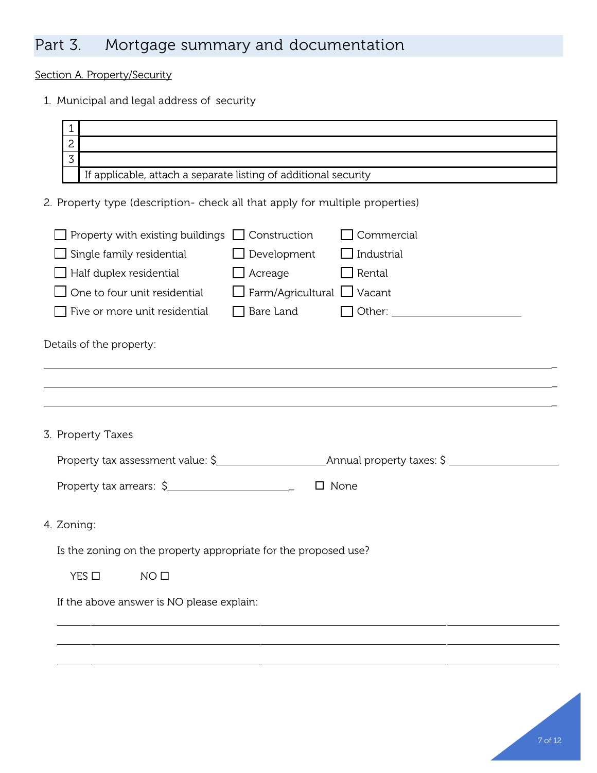# Part 3. Mortgage summary and documentation

Section A. Property/Security

1. Municipal and legal address of security

| 1<br>2<br>3<br>If applicable, attach a separate listing of additional security<br>2. Property type (description- check all that apply for multiple properties)<br>Property with existing buildings $\Box$ Construction<br>Commercial<br>$\Box$ Industrial<br>Single family residential<br>$\Box$ Development |  |  |
|--------------------------------------------------------------------------------------------------------------------------------------------------------------------------------------------------------------------------------------------------------------------------------------------------------------|--|--|
|                                                                                                                                                                                                                                                                                                              |  |  |
|                                                                                                                                                                                                                                                                                                              |  |  |
|                                                                                                                                                                                                                                                                                                              |  |  |
|                                                                                                                                                                                                                                                                                                              |  |  |
|                                                                                                                                                                                                                                                                                                              |  |  |
|                                                                                                                                                                                                                                                                                                              |  |  |
|                                                                                                                                                                                                                                                                                                              |  |  |
|                                                                                                                                                                                                                                                                                                              |  |  |
| Half duplex residential<br>$\Box$ Acreage<br>$\Box$ Rental                                                                                                                                                                                                                                                   |  |  |
| $\Box$ Farm/Agricultural $\Box$ Vacant<br>One to four unit residential                                                                                                                                                                                                                                       |  |  |
| $\Box$ Bare Land<br>$\Box$ Other: $\Box$<br>Five or more unit residential                                                                                                                                                                                                                                    |  |  |
|                                                                                                                                                                                                                                                                                                              |  |  |
| Details of the property:                                                                                                                                                                                                                                                                                     |  |  |
|                                                                                                                                                                                                                                                                                                              |  |  |
|                                                                                                                                                                                                                                                                                                              |  |  |
|                                                                                                                                                                                                                                                                                                              |  |  |
|                                                                                                                                                                                                                                                                                                              |  |  |
| 3. Property Taxes                                                                                                                                                                                                                                                                                            |  |  |
|                                                                                                                                                                                                                                                                                                              |  |  |
| $\Box$ None                                                                                                                                                                                                                                                                                                  |  |  |
|                                                                                                                                                                                                                                                                                                              |  |  |
|                                                                                                                                                                                                                                                                                                              |  |  |
| 4. Zoning:                                                                                                                                                                                                                                                                                                   |  |  |
| Is the zoning on the property appropriate for the proposed use?                                                                                                                                                                                                                                              |  |  |
|                                                                                                                                                                                                                                                                                                              |  |  |
|                                                                                                                                                                                                                                                                                                              |  |  |
| $YES$ $\square$<br>NO <sub>0</sub>                                                                                                                                                                                                                                                                           |  |  |
| If the above answer is NO please explain:                                                                                                                                                                                                                                                                    |  |  |
|                                                                                                                                                                                                                                                                                                              |  |  |
|                                                                                                                                                                                                                                                                                                              |  |  |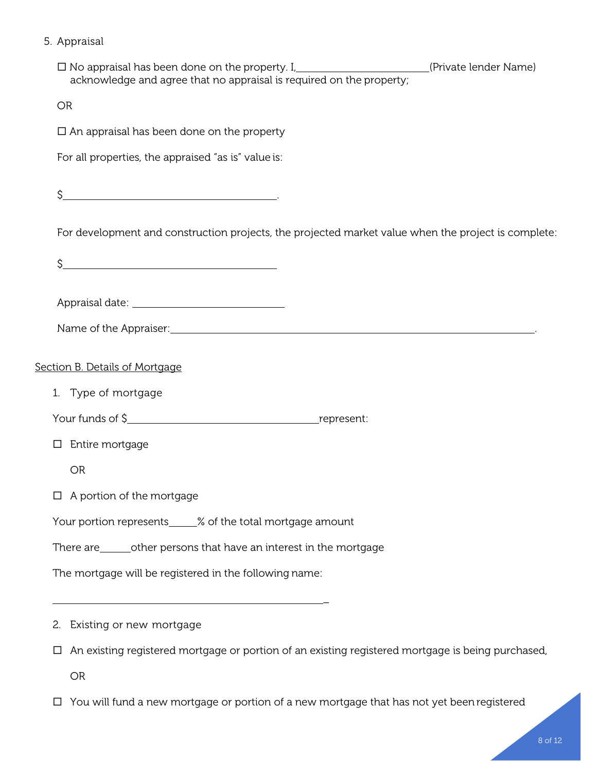## 5. Appraisal

| $\square$ No appraisal has been done on the property. I, $\qquad \qquad \qquad \qquad \qquad$ (Private lender Name) acknowledge and agree that no appraisal is required on the property;                                       |
|--------------------------------------------------------------------------------------------------------------------------------------------------------------------------------------------------------------------------------|
| <b>OR</b>                                                                                                                                                                                                                      |
| $\Box$ An appraisal has been done on the property                                                                                                                                                                              |
| For all properties, the appraised "as is" value is:                                                                                                                                                                            |
| \$.<br><u> 1989 - Johann Stein, mars an t-Amerikaansk kommunister (</u>                                                                                                                                                        |
| For development and construction projects, the projected market value when the project is complete:                                                                                                                            |
| \$<br><u> 1980 - Johann Barn, mars eta biztanleria (h. 1980).</u>                                                                                                                                                              |
|                                                                                                                                                                                                                                |
|                                                                                                                                                                                                                                |
| Name of the Appraiser: 1990 and 200 million and 200 million and 200 million and 200 million and 200 million and 200 million and 200 million and 200 million and 200 million and 200 million and 200 million and 200 million an |
| Section B. Details of Mortgage                                                                                                                                                                                                 |
| 1. Type of mortgage                                                                                                                                                                                                            |
|                                                                                                                                                                                                                                |
| Entire mortgage<br>□                                                                                                                                                                                                           |
| <b>OR</b>                                                                                                                                                                                                                      |
| $\Box$ A portion of the mortgage                                                                                                                                                                                               |
| Your portion represents_____% of the total mortgage amount                                                                                                                                                                     |
| There are ________ other persons that have an interest in the mortgage                                                                                                                                                         |
| The mortgage will be registered in the following name:                                                                                                                                                                         |
|                                                                                                                                                                                                                                |
| 2. Existing or new mortgage                                                                                                                                                                                                    |

An existing registered mortgage or portion of an existing registered mortgage is being purchased,

OR

You will fund a new mortgage or portion of a new mortgage that has not yet been registered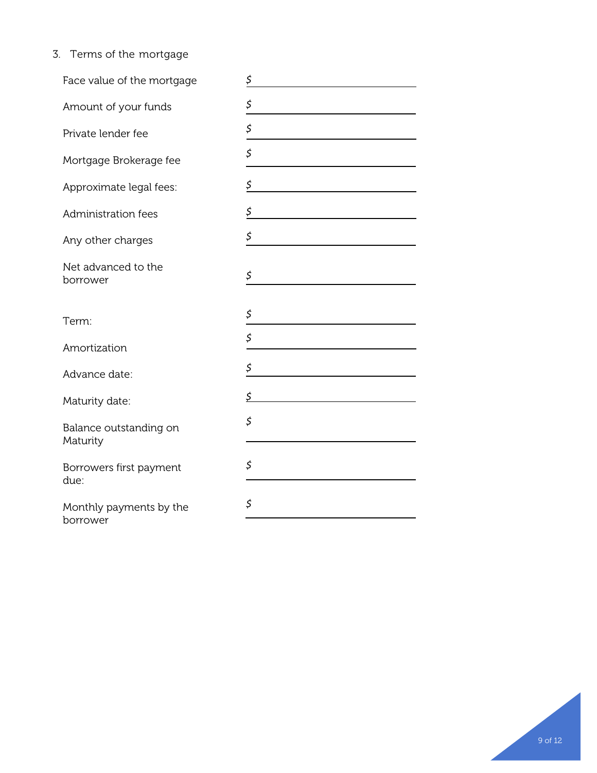3. Terms of the mortgage

| Face value of the mortgage          | \$ |
|-------------------------------------|----|
| Amount of your funds                | \$ |
| Private lender fee                  | \$ |
| Mortgage Brokerage fee              | \$ |
| Approximate legal fees:             | \$ |
| Administration fees                 | \$ |
| Any other charges                   | \$ |
| Net advanced to the<br>borrower     | \$ |
| Term:                               | \$ |
| Amortization                        | \$ |
| Advance date:                       | \$ |
| Maturity date:                      | \$ |
| Balance outstanding on<br>Maturity  | \$ |
| Borrowers first payment<br>due:     | \$ |
| Monthly payments by the<br>borrower | \$ |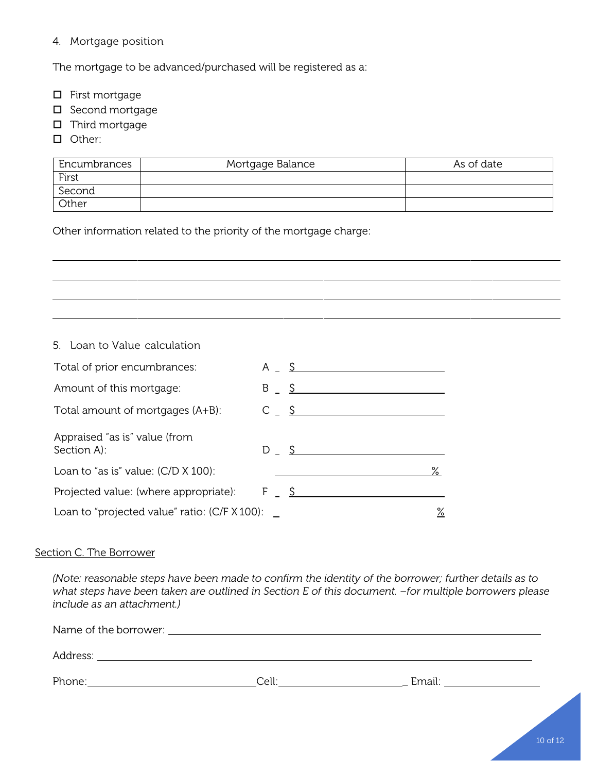4. Mortgage position

The mortgage to be advanced/purchased will be registered as a:

- $\square$  First mortgage
- $\square$  Second mortgage
- $\square$  Third mortgage
- **D** Other:

| Encumbrances | Mortgage Balance | As of date |
|--------------|------------------|------------|
| First        |                  |            |
| Second       |                  |            |
| Other        |                  |            |

Other information related to the priority of the mortgage charge:

## 5. Loan to Value calculation

| Total of prior encumbrances:                            | $A \quad S$                          |   |
|---------------------------------------------------------|--------------------------------------|---|
| Amount of this mortgage:                                | $B \quad S \quad$                    |   |
| Total amount of mortgages (A+B):                        | $C \begin{array}{ccc} S \end{array}$ |   |
| Appraised "as is" value (from<br>Section A):            | $D \quad \mathsf{S}$                 |   |
| Loan to "as is" value: $(C/D \times 100)$ :             |                                      | ℅ |
| Projected value: (where appropriate): $F = \frac{S}{S}$ |                                      |   |
| Loan to "projected value" ratio: $(C/F X 100)$ :        |                                      | ℅ |

### Section C. The Borrower

*(Note: reasonable steps have been made to confirm the identity of the borrower; further details as to what steps have been taken are outlined in Section E of this document. –for multiple borrowers please include as an attachment.)*

| Address: |                  |        |
|----------|------------------|--------|
| Phone:   | $C_{\mathsf{P}}$ | Email: |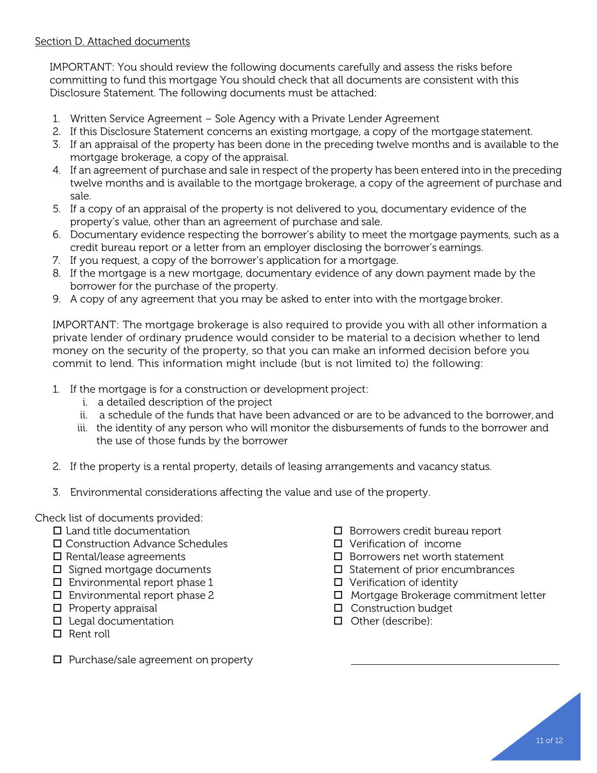## Section D. Attached documents

IMPORTANT: You should review the following documents carefully and assess the risks before committing to fund this mortgage You should check that all documents are consistent with this Disclosure Statement. The following documents must be attached:

- 1. Written Service Agreement Sole Agency with a Private Lender Agreement
- 2. If this Disclosure Statement concerns an existing mortgage, a copy of the mortgage statement.
- 3. If an appraisal of the property has been done in the preceding twelve months and is available to the mortgage brokerage, a copy of the appraisal.
- 4. If an agreement of purchase and sale in respect of the property has been entered into in the preceding twelve months and is available to the mortgage brokerage, a copy of the agreement of purchase and sale.
- 5. If a copy of an appraisal of the property is not delivered to you, documentary evidence of the property's value, other than an agreement of purchase and sale.
- 6. Documentary evidence respecting the borrower's ability to meet the mortgage payments, such as a credit bureau report or a letter from an employer disclosing the borrower's earnings.
- 7. If you request, a copy of the borrower's application for a mortgage.
- 8. If the mortgage is a new mortgage, documentary evidence of any down payment made by the borrower for the purchase of the property.
- 9. A copy of any agreement that you may be asked to enter into with the mortgage broker.

IMPORTANT: The mortgage brokerage is also required to provide you with all other information a private lender of ordinary prudence would consider to be material to a decision whether to lend money on the security of the property, so that you can make an informed decision before you commit to lend. This information might include (but is not limited to) the following:

- 1. If the mortgage is for a construction or development project:
	- i. a detailed description of the project
	- ii. a schedule of the funds that have been advanced or are to be advanced to the borrower, and
	- iii. the identity of any person who will monitor the disbursements of funds to the borrower and the use of those funds by the borrower
- 2. If the property is a rental property, details of leasing arrangements and vacancy status.
- 3. Environmental considerations affecting the value and use of the property.

Check list of documents provided:

- $\square$  Land title documentation
- □ Construction Advance Schedules
- $\square$  Rental/lease agreements
- $\square$  Signed mortgage documents
- $\Box$  Environmental report phase 1
- $\Box$  Environmental report phase 2
- $\square$  Property appraisal
- $\square$  Legal documentation
- $\Box$  Rent roll
- $\square$  Purchase/sale agreement on property
- $\square$  Borrowers credit bureau report
- Verification of income
- $\square$  Borrowers net worth statement
- $\square$  Statement of prior encumbrances
- $\Box$  Verification of identity
- Mortgage Brokerage commitment letter
- $\Box$  Construction budget
- $\Box$  Other (describe):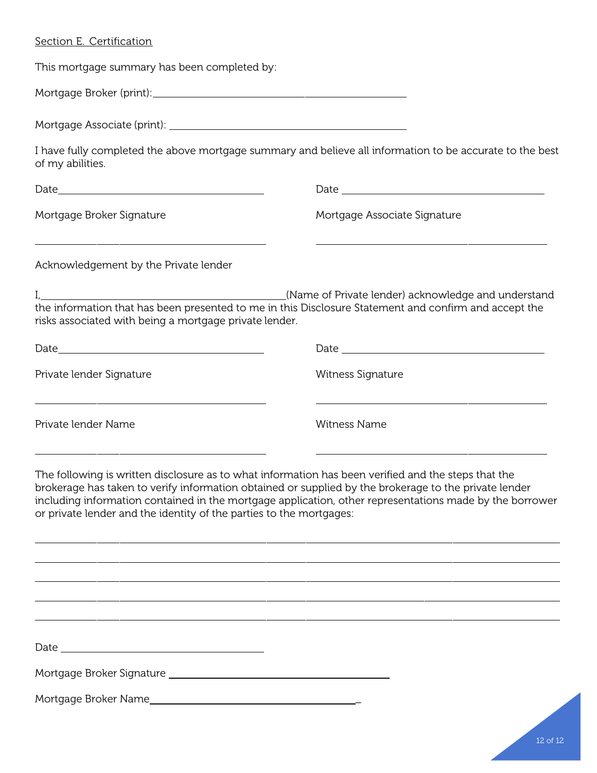## Section E. Certification

This mortgage summary has been completed by:

Mortgage Broker (print):

Mortgage Associate (print):

I have fully completed the above mortgage summary and believe all information to be accurate to the best of my abilities.

| $\text{Date}\_\_$                                                                       |                                                                                                                                                              |  |
|-----------------------------------------------------------------------------------------|--------------------------------------------------------------------------------------------------------------------------------------------------------------|--|
| Mortgage Broker Signature                                                               | Mortgage Associate Signature                                                                                                                                 |  |
| Acknowledgement by the Private lender                                                   |                                                                                                                                                              |  |
| risks associated with being a mortgage private lender.                                  | (Name of Private lender) acknowledge and understand<br>the information that has been presented to me in this Disclosure Statement and confirm and accept the |  |
|                                                                                         |                                                                                                                                                              |  |
| Private lender Signature                                                                | Witness Signature                                                                                                                                            |  |
| <u> 1980 - Andrea Stadt Britain, amerikansk politik (* 1908)</u><br>Private lender Name | Witness Name                                                                                                                                                 |  |

The following is written disclosure as to what information has been verified and the steps that the brokerage has taken to verify information obtained or supplied by the brokerage to the private lender including information contained in the mortgage application, other representations made by the borrower or private lender and the identity of the parties to the mortgages:

Date

Mortgage Broker Signature

Mortgage Broker Name \_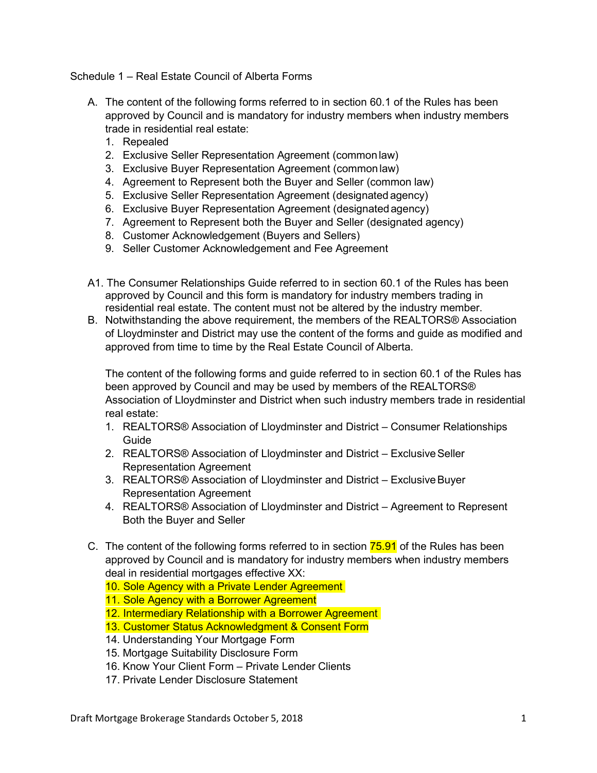Schedule 1 – Real Estate Council of Alberta Forms

- A. The content of the following forms referred to in section 60.1 of the Rules has been approved by Council and is mandatory for industry members when industry members trade in residential real estate:
	- 1. Repealed
	- 2. Exclusive Seller Representation Agreement (common law)
	- 3. Exclusive Buyer Representation Agreement (common law)
	- 4. Agreement to Represent both the Buyer and Seller (common law)
	- 5. Exclusive Seller Representation Agreement (designated agency)
	- 6. Exclusive Buyer Representation Agreement (designatedagency)
	- 7. Agreement to Represent both the Buyer and Seller (designated agency)
	- 8. Customer Acknowledgement (Buyers and Sellers)
	- 9. Seller Customer Acknowledgement and Fee Agreement
- A1. The Consumer Relationships Guide referred to in section 60.1 of the Rules has been approved by Council and this form is mandatory for industry members trading in residential real estate. The content must not be altered by the industry member.
- B. Notwithstanding the above requirement, the members of the REALTORS® Association of Lloydminster and District may use the content of the forms and guide as modified and approved from time to time by the Real Estate Council of Alberta.

The content of the following forms and guide referred to in section 60.1 of the Rules has been approved by Council and may be used by members of the REALTORS® Association of Lloydminster and District when such industry members trade in residential real estate:

- 1. REALTORS® Association of Lloydminster and District Consumer Relationships Guide
- 2. REALTORS® Association of Lloydminster and District Exclusive Seller Representation Agreement
- 3. REALTORS® Association of Lloydminster and District ExclusiveBuyer Representation Agreement
- 4. REALTORS® Association of Lloydminster and District Agreement to Represent Both the Buyer and Seller
- C. The content of the following forms referred to in section 75.91 of the Rules has been approved by Council and is mandatory for industry members when industry members deal in residential mortgages effective XX:
	- 10. Sole Agency with a Private Lender Agreement
	- 11. Sole Agency with a Borrower Agreement
	- 12. Intermediary Relationship with a Borrower Agreement
	- 13. Customer Status Acknowledgment & Consent Form
	- 14. Understanding Your Mortgage Form
	- 15. Mortgage Suitability Disclosure Form
	- 16. Know Your Client Form Private Lender Clients
	- 17. Private Lender Disclosure Statement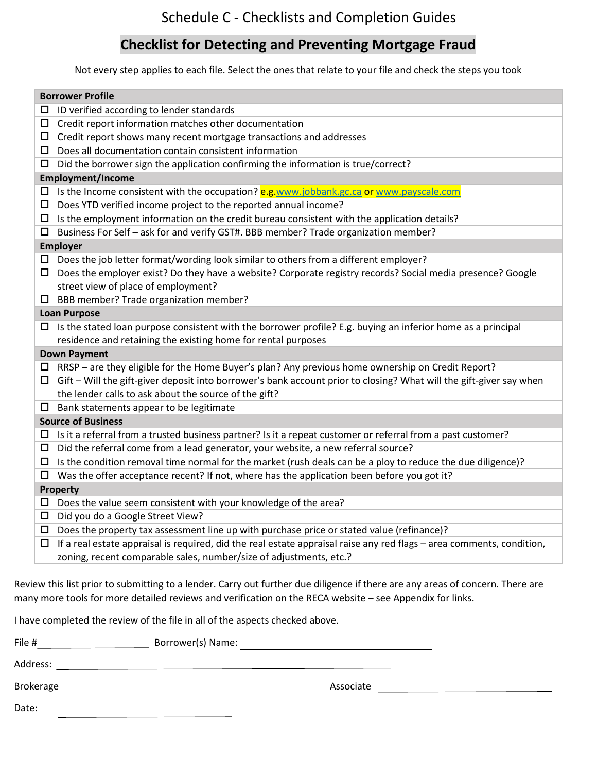## **Checklist for Detecting and Preventing Mortgage Fraud**

Not every step applies to each file. Select the ones that relate to your file and check the steps you took

| <b>Borrower Profile</b>                                                                                                    |
|----------------------------------------------------------------------------------------------------------------------------|
| ID verified according to lender standards<br>□                                                                             |
| $\Box$ Credit report information matches other documentation                                                               |
| $\Box$ Credit report shows many recent mortgage transactions and addresses                                                 |
| $\square$ Does all documentation contain consistent information                                                            |
| $\Box$ Did the borrower sign the application confirming the information is true/correct?                                   |
| <b>Employment/Income</b>                                                                                                   |
| □ Is the Income consistent with the occupation? e.g.www.jobbank.gc.ca or www.payscale.com                                  |
| $\square$ Does YTD verified income project to the reported annual income?                                                  |
| $\square$ Is the employment information on the credit bureau consistent with the application details?                      |
| $\square$ Business For Self - ask for and verify GST#. BBB member? Trade organization member?                              |
| <b>Employer</b>                                                                                                            |
| $\Box$ Does the job letter format/wording look similar to others from a different employer?                                |
| $\Box$ Does the employer exist? Do they have a website? Corporate registry records? Social media presence? Google          |
| street view of place of employment?                                                                                        |
| $\square$ BBB member? Trade organization member?                                                                           |
| <b>Loan Purpose</b>                                                                                                        |
| $\Box$ Is the stated loan purpose consistent with the borrower profile? E.g. buying an inferior home as a principal        |
| residence and retaining the existing home for rental purposes                                                              |
| <b>Down Payment</b>                                                                                                        |
| $\Box$ RRSP – are they eligible for the Home Buyer's plan? Any previous home ownership on Credit Report?                   |
| $\Box$ Gift – Will the gift-giver deposit into borrower's bank account prior to closing? What will the gift-giver say when |
| the lender calls to ask about the source of the gift?                                                                      |
| $\square$ Bank statements appear to be legitimate                                                                          |
| <b>Source of Business</b>                                                                                                  |
| Is it a referral from a trusted business partner? Is it a repeat customer or referral from a past customer?<br>$\Box$      |
| $\Box$ Did the referral come from a lead generator, your website, a new referral source?                                   |
| $\Box$ Is the condition removal time normal for the market (rush deals can be a ploy to reduce the due diligence)?         |
| $\Box$ Was the offer acceptance recent? If not, where has the application been before you got it?                          |
| Property                                                                                                                   |
| $\square$ Does the value seem consistent with your knowledge of the area?                                                  |
| □ Did you do a Google Street View?                                                                                         |
| $\square$ Does the property tax assessment line up with purchase price or stated value (refinance)?                        |
| If a real estate appraisal is required, did the real estate appraisal raise any red flags - area comments, condition,<br>□ |
| zoning, recent comparable sales, number/size of adjustments, etc.?                                                         |
|                                                                                                                            |

Review this list prior to submitting to a lender. Carry out further due diligence if there are any areas of concern. There are many more tools for more detailed reviews and verification on the RECA website – see Appendix for links.

I have completed the review of the file in all of the aspects checked above.

| File #    | Borrower(s) Name: |           |  |
|-----------|-------------------|-----------|--|
| Address:  |                   |           |  |
| Brokerage |                   | Associate |  |
| Date:     |                   |           |  |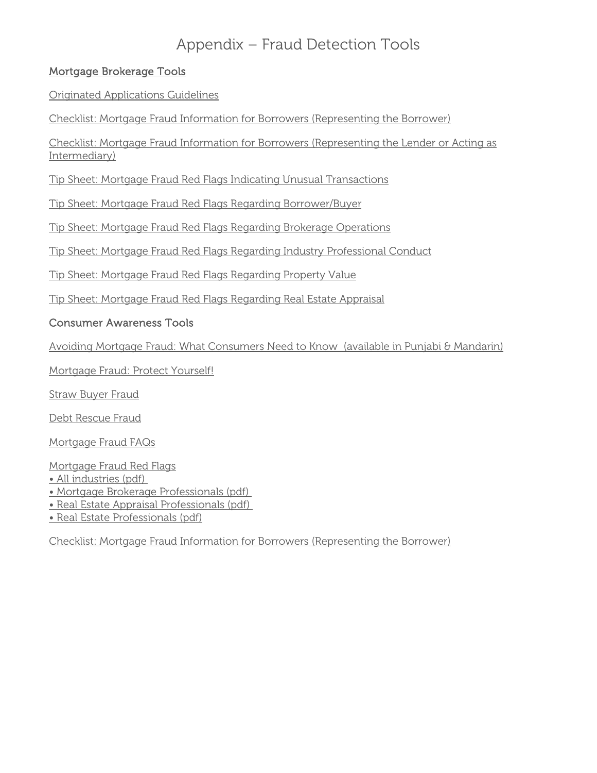# Appendix – Fraud Detection Tools

## Mortgage Brokerage Tools

[Originated Applications Guidelines](http://www.reca.ca/industry/forms/PDF/Guidelines%20for%20MB%20Originated%20Applications.pdf)

[Checklist: Mortgage Fraud Information for Borrowers \(Representing the Borrower\)](http://www.reca.ca/industrytools/pdfs/M-REP%20docs/Checklist%20Mortgage%20Fraud%20Information%20for%20Borrowers%20-%20Representing%20the%20Borrower.pdf)

[Checklist: Mortgage Fraud Information for Borrowers \(Representing the Lender or Acting as](http://www.reca.ca/industrytools/pdfs/M-REP%20docs/Checklist%20Mortgage%20Fraud%20Information%20for%20Borrowers%20-%20Representing%20the%20Lender%20or%20Acting%20as%20Intermediary.pdf)  [Intermediary\)](http://www.reca.ca/industrytools/pdfs/M-REP%20docs/Checklist%20Mortgage%20Fraud%20Information%20for%20Borrowers%20-%20Representing%20the%20Lender%20or%20Acting%20as%20Intermediary.pdf)

[Tip Sheet: Mortgage Fraud Red Flags Indicating Unusual Transactions](http://www.reca.ca/industrytools/pdfs/M-REP%20docs/Tip%20Sheet%20Mortgage%20Fraud%20Red%20Flags%20Indicating%20Unusual%20Transactions.pdf)

[Tip Sheet: Mortgage Fraud Red Flags Regarding Borrower/Buyer](http://www.reca.ca/industrytools/pdfs/M-REP%20docs/Tip%20Sheet%20Mortgage%20Fraud%20Red%20Flags%20Regarding%20Borrower_Buyer.pdf)

[Tip Sheet: Mortgage Fraud Red Flags Regarding Brokerage Operations](http://www.reca.ca/industrytools/pdfs/M-REP%20docs/Tip%20Sheet%20Mortgage%20Fraud%20Red%20Flags%20Regarding%20Brokerage%20Operations.pdf)

[Tip Sheet: Mortgage Fraud Red Flags Regarding Industry Professional Conduct](http://www.reca.ca/industrytools/pdfs/M-REP%20docs/Tip%20Sheet%20Mortgage%20Fraud%20Red%20Flags%20Regarding%20Industry%20Professional%20Conduct.pdf)

[Tip Sheet: Mortgage Fraud Red Flags Regarding Property Value](http://www.reca.ca/industrytools/pdfs/M-REP%20docs/Tip%20Sheet%20Mortgage%20Fraud%20Red%20Flags%20Regarding%20Property%20Value.pdf)

[Tip Sheet: Mortgage Fraud Red Flags Regarding Real Estate Appraisal](http://www.reca.ca/industrytools/pdfs/M-REP%20docs/Tip%20Sheet%20Mortgage%20Fraud%20Red%20Flags%20Regarding%20Real%20Estate%20Appraisal.pdf)

## Consumer Awareness Tools

[Avoiding Mortgage Fraud: What Consumers Need](http://www.reca.ca/consumers/information/avoiding-mortgage-fraud-what-consumers-need-to-know.html) to Know (available in Punjabi & Mandarin)

[Mortgage Fraud: Protect Yourself!](http://www.reca.ca/consumers/information/PDF/Mortgage-fraud-poster.pdf)

[Straw Buyer Fraud](http://www.reca.ca/consumers/information/PDF/straw-buyer-fraud-simple.pdf)

[Debt Rescue Fraud](http://www.reca.ca/consumers/information/PDF/debt-rescue-fraud.pdf)

[Mortgage Fraud FAQs](http://www.reca.ca/consumers/information/mortgage-fraud-FAQ.html)

[Mortgage Fraud Red Flags](http://www.reca.ca/industry/legislation/information-bulletins/mortgage-fraud-red-flags.htm)

• [All industries](http://www.reca.ca/industry/legislation/information-bulletins/mortgage-fraud-red-flags.htm) [\(pdf\)](http://www.reca.ca/industry/legislation/information-bulletins/PDF/Mortgage-Fraud-Red-Flags.pdf)

• [Mortgage Brokerage Professionals](http://www.reca.ca/industry/legislation/information-bulletins/mortgage-fraud-red-flags-mortgage-brokerage.htm) [\(pdf\)](http://www.reca.ca/industry/legislation/information-bulletins/PDF/Mortgage-Fraud-Red-Flags-Mortgage.pdf)

- [Real Estate Appraisal Professionals](http://www.reca.ca/industry/legislation/information-bulletins/mortgage-fraud-red-flags-appraisers.htm) [\(pdf\)](http://www.reca.ca/industry/legislation/information-bulletins/PDF/Mortgage-Fraud-Red-Flags-App.pdf)
- [Real Estate Professionals](http://www.reca.ca/industry/legislation/information-bulletins/mortgage-fraud-red-flags-real-estate.htm) [\(pdf\)](http://www.reca.ca/industry/legislation/information-bulletins/PDF/Mortgage-Fraud-Red-Flags-RE.pdf)

[Checklist: Mortgage Fraud Information for Borrowers \(Representing the Borrower\)](http://www.reca.ca/consumers/publications/PDF/Checklist%20Mortgage%20Fraud%20Information%20for%20Borrowers%20-%20Representing%20the%20Borrower.pdf)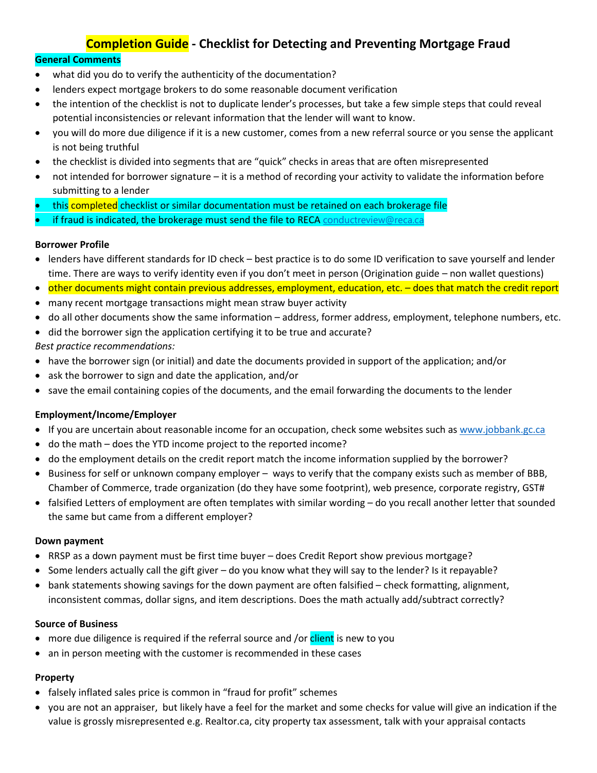## **Completion Guide - Checklist for Detecting and Preventing Mortgage Fraud**

## **General Comments**

- what did you do to verify the authenticity of the documentation?
- lenders expect mortgage brokers to do some reasonable document verification
- the intention of the checklist is not to duplicate lender's processes, but take a few simple steps that could reveal potential inconsistencies or relevant information that the lender will want to know.
- you will do more due diligence if it is a new customer, comes from a new referral source or you sense the applicant is not being truthful
- the checklist is divided into segments that are "quick" checks in areas that are often misrepresented
- not intended for borrower signature it is a method of recording your activity to validate the information before submitting to a lender
- this completed checklist or similar documentation must be retained on each brokerage file
- if fraud is indicated, the brokerage must send the file to RECA [conductreview@reca.ca](mailto:conductreview@reca.ca)

### **Borrower Profile**

- lenders have different standards for ID check best practice is to do some ID verification to save yourself and lender time. There are ways to verify identity even if you don't meet in person (Origination guide – non wallet questions)
- other documents might contain previous addresses, employment, education, etc. does that match the credit report
- many recent mortgage transactions might mean straw buyer activity
- do all other documents show the same information address, former address, employment, telephone numbers, etc.
- did the borrower sign the application certifying it to be true and accurate? *Best practice recommendations:*
- have the borrower sign (or initial) and date the documents provided in support of the application; and/or
- ask the borrower to sign and date the application, and/or
- save the email containing copies of the documents, and the email forwarding the documents to the lender

### **Employment/Income/Employer**

- If you are uncertain about reasonable income for an occupation, check some websites such a[s www.jobbank.gc.ca](http://www.jobbank.gc.ca/)
- do the math does the YTD income project to the reported income?
- do the employment details on the credit report match the income information supplied by the borrower?
- Business for self or unknown company employer ways to verify that the company exists such as member of BBB, Chamber of Commerce, trade organization (do they have some footprint), web presence, corporate registry, GST#
- falsified Letters of employment are often templates with similar wording do you recall another letter that sounded the same but came from a different employer?

### **Down payment**

- RRSP as a down payment must be first time buyer does Credit Report show previous mortgage?
- Some lenders actually call the gift giver do you know what they will say to the lender? Is it repayable?
- bank statements showing savings for the down payment are often falsified check formatting, alignment, inconsistent commas, dollar signs, and item descriptions. Does the math actually add/subtract correctly?

### **Source of Business**

- more due diligence is required if the referral source and /or client is new to you
- an in person meeting with the customer is recommended in these cases

### **Property**

- falsely inflated sales price is common in "fraud for profit" schemes
- you are not an appraiser, but likely have a feel for the market and some checks for value will give an indication if the value is grossly misrepresented e.g. Realtor.ca, city property tax assessment, talk with your appraisal contacts